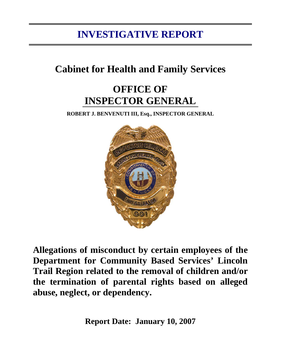# **INVESTIGATIVE REPORT**

# **Cabinet for Health and Family Services**

# **OFFICE OF INSPECTOR GENERAL**

**ROBERT J. BENVENUTI III, Esq., INSPECTOR GENERAL** 



**Allegations of misconduct by certain employees of the Department for Community Based Services' Lincoln Trail Region related to the removal of children and/or the termination of parental rights based on alleged abuse, neglect, or dependency.** 

**Report Date: January 10, 2007**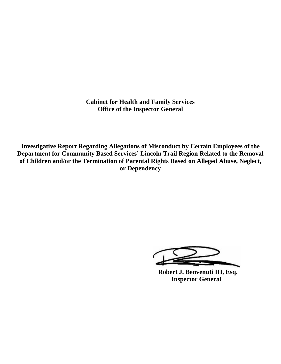**Cabinet for Health and Family Services Office of the Inspector General** 

**Investigative Report Regarding Allegations of Misconduct by Certain Employees of the Department for Community Based Services' Lincoln Trail Region Related to the Removal of Children and/or the Termination of Parental Rights Based on Alleged Abuse, Neglect, or Dependency**

 **Robert J. Benvenuti III, Esq. Inspector General**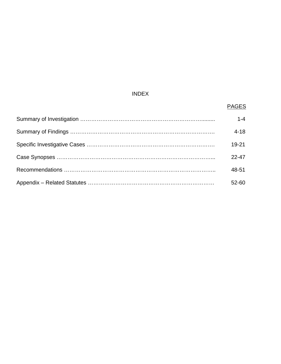# INDEX

#### en de la provincia de la provincia de la provincia de la provincia de la provincia de la provincia de la provi

| $1 - 4$   |
|-----------|
| $4 - 18$  |
| $19 - 21$ |
| $22 - 47$ |
| 48-51     |
| 52-60     |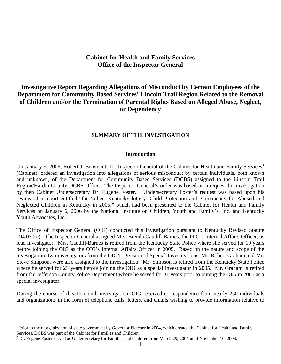# **Cabinet for Health and Family Services Office of the Inspector General**

# **Investigative Report Regarding Allegations of Misconduct by Certain Employees of the Department for Community Based Services' Lincoln Trail Region Related to the Removal of Children and/or the Termination of Parental Rights Based on Alleged Abuse, Neglect, or Dependency**

#### **SUMMARY OF THE INVESTIGATION**

#### **Introduction**

On January 9, 2006, Robert J. Benvenuti III, Inspector General of the Cabinet for Health and Family Services<sup>[1](#page-3-0)</sup> (Cabinet), ordered an investigation into allegations of serious misconduct by certain individuals, both known and unknown, of the Department for Community Based Services (DCBS) assigned to the Lincoln Trail Region/Hardin County DCBS Office. The Inspector General's order was based on a request for investigation by then Cabinet Undersecretary Dr. Eugene Foster.<sup>[2](#page-3-1)</sup> Undersecretary Foster's request was based upon his review of a report entitled "the 'other' Kentucky lottery: Child Protection and Permanency for Abused and Neglected Children in Kentucky in 2005," which had been presented to the Cabinet for Health and Family Services on January 6, 2006 by the National Institute on Children, Youth and Family's, Inc. and Kentucky Youth Advocates, Inc.

The Office of Inspector General (OIG) conducted this investigation pursuant to Kentucky Revised Statute 194.030(c). The Inspector General assigned Mrs. Brenda Caudill-Barnes, the OIG's Internal Affairs Officer, as lead investigator. Mrs. Caudill-Barnes is retired from the Kentucky State Police where she served for 19 years before joining the OIG as the OIG's Internal Affairs Officer in 2005. Based on the nature and scope of the investigation, two investigators from the OIG's Division of Special Investigations, Mr. Robert Graham and Mr. Steve Simpson, were also assigned to the investigation. Mr. Simpson is retired from the Kentucky State Police where he served for 23 years before joining the OIG as a special investigator in 2005. Mr. Graham is retired from the Jefferson County Police Department where he served for 31 years prior to joining the OIG in 2005 as a special investigator.

During the course of this 12-month investigation, OIG received correspondence from nearly 250 individuals and organizations in the form of telephone calls, letters, and emails wishing to provide information relative to

 $\overline{a}$ 

<span id="page-3-0"></span><sup>&</sup>lt;sup>1</sup> Prior to the reorganization of state government by Governor Fletcher in 2004, which created the Cabinet for Health and Family Services, DCBS was part of the Cabinet for Families and Children.

<span id="page-3-1"></span> $2^{2}$  Dr. Eugene Foster served as Undersecretary for Families and Children from March 29, 2004 until November 10, 2006.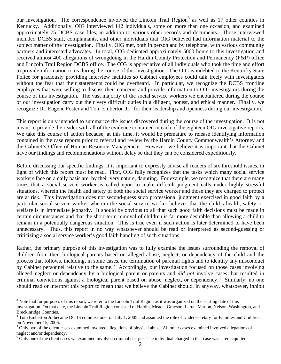our investigation. The correspondence involved the Lincoln Trail Region<sup>[3](#page-4-0)</sup> as well as 17 other counties in Kentucky. Additionally, OIG interviewed 142 individuals, some on more than one occasion, and examined approximately 75 DCBS case files, in addition to various other records and documents. Those interviewed included DCBS staff, complainants, and other individuals that OIG believed had information material to the subject matter of the investigation. Finally, OIG met, both in person and by telephone, with various community partners and interested advocates. In total, OIG dedicated approximately 5000 hours to this investigation and received almost 400 allegations of wrongdoing in the Hardin County Protection and Permanency (P&P) office and Lincoln Trail Region DCBS office. The OIG is appreciative of all individuals who took the time and effort to provide information to us during the course of this investigation. The OIG is indebted to the Kentucky State Police for graciously providing interview facilities so Cabinet employees could talk freely with investigators without the fear that their statements could be overheard. In particular, we recognize the DCBS frontline employees that were willing to discuss their concerns and provide information to OIG investigators during the course of this investigation. The vast majority of the social service workers we encountered during the course of our investigation carry out their very difficult duties in a diligent, honest, and ethical manner. Finally, we recognize Dr. Eugene Foster and Tom Emberton Jr.<sup>[4](#page-4-1)</sup> for their leadership and openness during our investigation.

This report is only intended to summarize the issues discovered during the course of the investigation. It is not meant to provide the reader with all of the evidence contained in each of the eighteen OIG investigative reports. We take this course of action because, at this time, it would be premature to release identifying information contained in the case reports prior to referral and review by the Hardin County Commonwealth's Attorney and the Cabinet's Office of Human Resource Management. However, we believe it is important that the Cabinet have our findings and recommendations without delay so that they can be considered expeditiously.

Before discussing our specific findings, it is important to expressly advise all readers of six threshold issues, in light of which this report must be read. First, OIG fully recognizes that the tasks which many social service workers face on a daily basis are, by their very nature, daunting. For example, we recognize that there are many times that a social service worker is called upon to make difficult judgment calls under highly stressful situations, wherein the health and safety of both the social service worker and those they are charged to protect are at risk. This investigation does not second-guess such professional judgment exercised in good faith by a particular social service worker wherein the social service worker believes that the child's health, safety, or welfare is in immediate jeopardy. It should be obvious to all that such good faith decisions must be made in certain circumstances and that the short-term removal of children is far more desirable than allowing a child to remain in a potentially dangerous situation. This is true even if such action is later determined to have been unnecessary. Thus, this report in no way whatsoever should be read or interpreted as second-guessing or criticizing a social service worker's good faith handling of such situations.

Rather, the primary purpose of this investigation was to fully examine the issues surrounding the removal of children from their biological parents based on alleged abuse, neglect, or dependency of the child and the process that follows, including, in some cases, the termination of parental rights and to identify any misconduct by Cabinet personnel relative to the same.<sup>[5](#page-4-2)</sup> Accordingly, our investigation focused on those cases involving alleged neglect or dependency by a biological parent or parents and *did not* involve cases that resulted in criminal convictions against a biological parent based on abuse, neglect, or dependency.<sup>[6](#page-4-3)</sup> Similarly, no one should read or interpret this report to mean that we believe the Cabinet should, in anyway, whatsoever, inhibit

1

 $3$  Note that for purposes of this report, we refer to the Lincoln Trail Region as it was organized on the starting date of this investigation. On that date, the Lincoln Trail Region consisted of Hardin, Meade, Grayson, Larue, Marion, Nelson, Washington, and Breckinridge Counties.

<sup>&</sup>lt;sup>4</sup> Tom Emberton Jr. became DCBS commissioner on July 1, 2005 and assumed the role of Undersecretary for Families and Children on November 15, 2006.

<sup>&</sup>lt;sup>5</sup> Only two of the client cases examined involved allegations of physical abuse. All other cases examined involved allegations of neglect and/or dependency.

<span id="page-4-3"></span><span id="page-4-2"></span><span id="page-4-1"></span><span id="page-4-0"></span> $6$  Only one of the client cases we examined involved criminal charges. The individual charged in that case was later acquitted.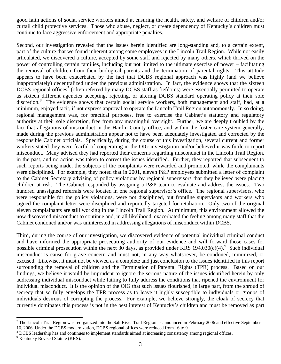good faith actions of social service workers aimed at ensuring the health, safety, and welfare of children and/or curtail child protective services. Those who abuse, neglect, or create dependency of Kentucky's children must continue to face aggressive enforcement and appropriate penalties.

Second, our investigation revealed that the issues herein identified are long-standing and, to a certain extent, part of the culture that we found inherent among some employees in the Lincoln Trail Region. While not easily articulated, we discovered a culture, accepted by some staff and rejected by many others, which thrived on the power of controlling certain families, including but not limited to the ultimate exercise of power – facilitating the removal of children from their biological parents and the termination of parental rights. This attitude appears to have been exacerbated by the fact that DCBS regional approach was highly (and we believe inappropriately) decentralized under the previous administration. In fact, the evidence shows that the sixteen DCBS regional offices<sup>[7](#page-5-0)</sup> (often referred by many DCBS staff as fiefdoms) were essentially permitted to operate as sixteen different agencies accepting, rejecting, or altering DCBS standard operating policy at their sole discretion.<sup>[8](#page-5-1)</sup> The evidence shows that certain social service workers, both management and staff, had, at a minimum, enjoyed tacit, if not express approval to operate the Lincoln Trail Region autonomously. In so doing, regional management was, for practical purposes, free to exercise the Cabinet's statutory and regulatory authority at their sole discretion, free from any meaningful oversight. Further, we are deeply troubled by the fact that allegations of misconduct in the Hardin County office, and within the foster care system generally, made during the previous administration appear not to have been adequately investigated and corrected by the responsible Cabinet officials. Specifically, during the course of this investigation, several current and former workers stated they were fearful of cooperating in the OIG investigation and/or believed it was futile to report misconduct. Many advised they had reported their concerns regarding misconduct in the Lincoln Trail Region, in the past, and no action was taken to correct the issues identified. Further, they reported that subsequent to such reports being made, the subjects of the complaints were rewarded and promoted, while the complainants were disciplined. For example, they noted that in 2001, eleven P&P employees submitted a letter of complaint to the Cabinet Secretary advising of policy violations by regional supervisors that they believed were placing children at risk. The Cabinet responded by assigning a P&P team to evaluate and address the issues. Two hundred unassigned referrals were located in one regional supervisor's office. The regional supervisors, who were responsible for the policy violations, were not disciplined, but frontline supervisors and workers who signed the complaint letter were disciplined and reportedly targeted for retaliation. Only two of the original eleven complainants are still working in the Lincoln Trail Region. At minimum, this environment allowed the now discovered misconduct to continue and, in all likelihood, exacerbated the feeling among many staff that the Cabinet condoned and/or was uninterested in addressing allegations of misconduct within DCBS.

Third, during the course of our investigation, we discovered evidence of potential individual criminal conduct and have informed the appropriate prosecuting authority of our evidence and will forward those cases for possible criminal prosecution within the next 30 days, as provided under KRS 1[9](#page-5-2)4.030(c)(4).<sup>9</sup> Such individual misconduct is cause for grave concern and must not, in any way whatsoever, be condoned, minimized, or excused. Likewise, it must not be viewed as a complete and just conclusion to the issues identified in this report surrounding the removal of children and the Termination of Parental Rights (TPR) process. Based on our findings, we believe it would be imprudent to ignore the serious nature of the issues identified herein by only addressing individual misconduct while failing to fully address the conditions that ripened the environment for individual misconduct. It is the opinion of the OIG that such issues flourished, in large part, from the shroud of secrecy that so fully envelops the TPR process as to leave it highly susceptible to individuals or groups of individuals desirous of corrupting the process. For example, we believe strongly, the cloak of secrecy that currently dominates this process is not in the best interest of Kentucky's children and must be removed as part

1

<span id="page-5-0"></span> $^7$  The Lincoln Trial Region was reorganized into the Salt River Trail Region as announced in February 2006 and effective September 16, 2006. Under the DCBS modernization, DCBS regional offices were reduced from 16 to 9.

<span id="page-5-1"></span><sup>&</sup>lt;sup>8</sup> DCBS leadership has and continues to implement standards aimed at increasing consistency among regional offices.

<span id="page-5-2"></span><sup>&</sup>lt;sup>9</sup> Kentucky Revised Statute (KRS).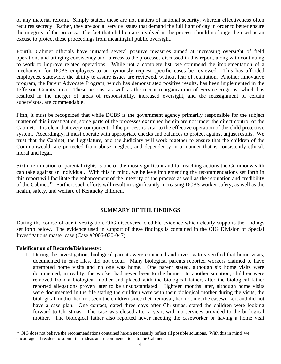<span id="page-6-0"></span>of any material reform. Simply stated, these are not matters of national security, wherein effectiveness often requires secrecy. Rather, they are social service issues that demand the full light of day in order to better ensure the integrity of the process. The fact that children are involved in the process should no longer be used as an excuse to protect these proceedings from meaningful public oversight.

Fourth, Cabinet officials have initiated several positive measures aimed at increasing oversight of field operations and bringing consistency and fairness to the processes discussed in this report, along with continuing to work to improve related operations. While not a complete list, we commend the implementation of a mechanism for DCBS employees to anonymously request specific cases be reviewed. This has afforded employees, statewide, the ability to assure issues are reviewed, without fear of retaliation. Another innovative program, the Parent Advocate Program, which has demonstrated positive results, has been implemented in the Jefferson County area. These actions, as well as the recent reorganization of Service Regions, which has resulted in the merger of areas of responsibility, increased oversight, and the reassignment of certain supervisors, are commendable.

Fifth, it must be recognized that while DCBS is the government agency primarily responsible for the subject matter of this investigation, some parts of the processes examined herein are not under the direct control of the Cabinet. It is clear that every component of the process is vital to the effective operation of the child protective system. Accordingly, it must operate with appropriate checks and balances to protect against unjust results. We trust that the Cabinet, the Legislature, and the Judiciary will work together to ensure that the children of the Commonwealth are protected from abuse, neglect, and dependency in a manner that is consistently ethical, moral and legal.

Sixth, termination of parental rights is one of the most significant and far-reaching actions the Commonwealth can take against an individual. With this in mind, we believe implementing the recommendations set forth in this report will facilitate the enhancement of the integrity of the process as well as the reputation and credibility of the Cabinet.<sup>[1](#page-6-0)0</sup> Further, such efforts will result in significantly increasing DCBS worker safety, as well as the health, safety, and welfare of Kentucky children.

# **SUMMARY OF THE FINDINGS**

During the course of our investigation, OIG discovered credible evidence which clearly supports the findings set forth below. The evidence used in support of these findings is contained in the OIG Division of Special Investigations master case (Case #2006-030-047).

# **Falsification of Records/Dishonesty:**

1

1. During the investigation, biological parents were contacted and investigators verified that home visits, documented in case files, did not occur. Many biological parents reported workers claimed to have attempted home visits and no one was home. One parent stated, although six home visits were documented, in reality, the worker had never been to the home. In another situation, children were removed from a biological mother and placed with the biological father, after the biological father reported allegations proven later to be unsubstantiated. Eighteen months later, although home visits were documented in the file stating the children were with their biological mother during the visits, the biological mother had not seen the children since their removal, had not met the caseworker, and did not have a case plan. One contact, dated three days after Christmas, stated the children were looking forward to Christmas. The case was closed after a year, with no services provided to the biological mother. The biological father also reported never meeting the caseworker or having a home visit

<sup>&</sup>lt;sup>10</sup> OIG does not believe the recommendations contained herein necessarily reflect all possible solutions. With this in mind, we encourage all readers to submit their ideas and recommendations to the Cabinet.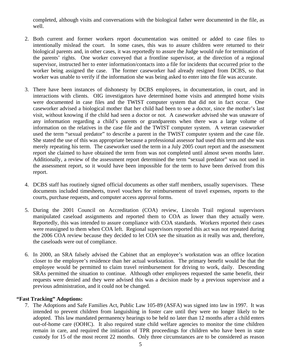completed, although visits and conversations with the biological father were documented in the file, as well.

- 2. Both current and former workers report documentation was omitted or added to case files to intentionally mislead the court. In some cases, this was to assure children were returned to their biological parents and, in other cases, it was reportedly to assure the Judge would rule for termination of the parents' rights. One worker conveyed that a frontline supervisor, at the direction of a regional supervisor, instructed her to enter information/contacts into a file for incidents that occurred prior to the worker being assigned the case. The former caseworker had already resigned from DCBS, so that worker was unable to verify if the information she was being asked to enter into the file was accurate.
- 3. There have been instances of dishonesty by DCBS employees, in documentation, in court, and in interactions with clients. OIG investigators have determined home visits and attempted home visits were documented in case files and the TWIST computer system that did not in fact occur. One caseworker advised a biological mother that her child had been to see a doctor, since the mother's last visit, without knowing if the child had seen a doctor or not. A caseworker advised she was unaware of any information regarding a child's parents or grandparents when there was a large volume of information on the relatives in the case file and the TWIST computer system. A veteran caseworker used the term "sexual predator" to describe a parent in the TWIST computer system and the case file. She stated the use of this was appropriate because a professional assessor had used this term and she was merely repeating his term. The caseworker used the term in a July 2005 court report and the assessment report she claimed to have obtained the term from was not completed until almost seven months later. Additionally, a review of the assessment report determined the term "sexual predator" was not used in the assessment report, so it would have been impossible for the term to have been derived from this report.
- 4. DCBS staff has routinely signed official documents as other staff members, usually supervisors. These documents included timesheets, travel vouchers for reimbursement of travel expenses, reports to the courts, purchase requests, and computer access approval forms.
- 5. During the 2001 Council on Accreditation (COA) review, Lincoln Trail regional supervisors manipulated caseload assignments and reported them to COA as lower than they actually were. Reportedly, this was intended to assure compliance with COA standards. Workers reported their cases were reassigned to them when COA left. Regional supervisors reported this act was not repeated during the 2006 COA review because they decided to let COA see the situation as it really was and, therefore, the caseloads were out of compliance.
- 6. In 2000, an SRA falsely advised the Cabinet that an employee's workstation was an office location closer to the employee's residence than her actual workstation. The primary benefit would be that the employee would be permitted to claim travel reimbursement for driving to work, daily. Descending SRAs permitted the situation to continue. Although other employees requested the same benefit, their requests were denied and they were advised this was a decision made by a previous supervisor and a previous administration, and it could not be changed.

# **"Fast Tracking" Adoptions:**

7. The Adoptions and Safe Families Act, Public Law 105-89 (ASFA) was signed into law in 1997. It was intended to prevent children from languishing in foster care until they were no longer likely to be adopted. This law mandated permanency hearings to be held no later than 12 months after a child enters out-of-home care (OOHC). It also required state child welfare agencies to monitor the time children remain in care, and required the initiation of TPR proceedings for children who have been in state custody for 15 of the most recent 22 months. Only three circumstances are to be considered as reason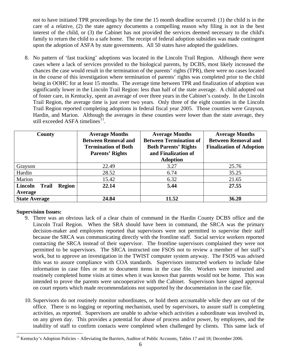<span id="page-8-0"></span>not to have initiated TPR proceedings by the time the 15 month deadline occurred: (1) the child is in the care of a relative, (2) the state agency documents a compelling reason why filing is not in the best interest of the child, or (3) the Cabinet has not provided the services deemed necessary to the child's family to return the child to a safe home. The receipt of federal adoption subsidies was made contingent upon the adoption of ASFA by state governments. All 50 states have adopted the guidelines.

8. No pattern of 'fast tracking' adoptions was located in the Lincoln Trail Region. Although there were cases where a lack of services provided to the biological parents, by DCBS, most likely increased the chances the case would result in the termination of the parents' rights (TPR), there were no cases located in the course of this investigation where termination of parents' rights was completed prior to the child being in OOHC for at least 15 months. The average time between TPR and finalization of adoption was significantly lower in the Lincoln Trail Region: less than half of the state average. A child adopted out of foster care, in Kentucky, spent an average of over three years in the Cabinet's custody. In the Lincoln Trail Region, the average time is just over two years. Only three of the eight counties in the Lincoln Trail Region reported completing adoptions in federal fiscal year 2005. Those counties were Grayson, Hardin, and Marion. Although the averages in these counties were lower than the state average, they still exceeded ASFA timelines $11$ .

| County                                              | <b>Average Months</b><br><b>Between Removal and</b><br><b>Termination of Both</b><br><b>Parents' Rights</b> | <b>Average Months</b><br><b>Between Termination of</b><br><b>Both Parents' Rights</b><br>and Finalization of<br><b>Adoption</b> | <b>Average Months</b><br><b>Between Removal and</b><br><b>Finalization of Adoption</b> |
|-----------------------------------------------------|-------------------------------------------------------------------------------------------------------------|---------------------------------------------------------------------------------------------------------------------------------|----------------------------------------------------------------------------------------|
| Grayson                                             | 22.49                                                                                                       | 3.27                                                                                                                            | 25.76                                                                                  |
| Hardin                                              | 28.52                                                                                                       | 6.74                                                                                                                            | 35.25                                                                                  |
| Marion                                              | 15.42                                                                                                       | 6.32                                                                                                                            | 21.65                                                                                  |
| <b>Region</b><br>Lincoln<br><b>Trail</b><br>Average | 22.14                                                                                                       | 5.44                                                                                                                            | 27.55                                                                                  |
| <b>State Average</b>                                | 24.84                                                                                                       | 11.52                                                                                                                           | 36.20                                                                                  |

# **Supervision Issues:**

- 9. There was an obvious lack of a clear chain of command in the Hardin County DCBS office and the Lincoln Trail Region. When the SRA should have been in command, the SRCA was the primary decision-maker and employees reported that supervisors were not permitted to supervise their staff because the SRCA was communicating directly with the frontline staff. Social service workers reported contacting the SRCA instead of their supervisor. The frontline supervisors complained they were not permitted to be supervisors. The SRCA instructed one FSOS not to review a member of her staff's work, but to approve an investigation in the TWIST computer system anyway. The FSOS was advised this was to assure compliance with COA standards. Supervisors instructed workers to include false information in case files or not to document items in the case file. Workers were instructed and routinely completed home visits at times when it was known that parents would not be home. This was intended to prove the parents were uncooperative with the Cabinet. Supervisors have signed approval on court reports which made recommendations not supported by the documentation in the case file.
- 10. Supervisors do not routinely monitor subordinates, or hold them accountable while they are out of the office. There is no logging or reporting mechanism, used by supervisors, to assure staff is completing activities, as reported. Supervisors are unable to advise which activities a subordinate was involved in, on any given day. This provides a potential for abuse of process and/or power, by employees, and the inability of staff to confirm contacts were completed when challenged by clients. This same lack of

 $\overline{a}$  $11$  Kentucky's Adoption Policies – Alleviating the Barriers, Auditor of Public Accounts, Tables 17 and 18; December 2006.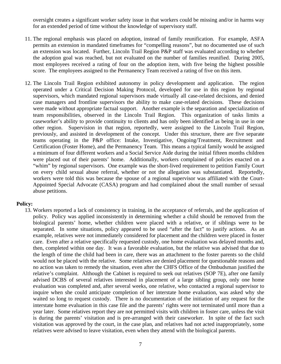oversight creates a significant worker safety issue in that workers could be missing and/or in harms way for an extended period of time without the knowledge of supervisory staff.

- 11. The regional emphasis was placed on adoption, instead of family reunification. For example, ASFA permits an extension in mandated timeframes for "compelling reasons", but no documented use of such an extension was located. Further, Lincoln Trail Region P&P staff was evaluated according to whether the adoption goal was reached, but not evaluated on the number of families reunified. During 2005, most employees received a rating of four on the adoption item, with five being the highest possible score. The employees assigned to the Permanency Team received a rating of five on this item.
- 12. The Lincoln Trail Region exhibited autonomy in policy development and application. The region operated under a Critical Decision Making Protocol, developed for use in this region by regional supervisors, which mandated regional supervisors made virtually all case-related decisions, and denied case managers and frontline supervisors the ability to make case-related decisions. These decisions were made without appropriate factual support. Another example is the separation and specialization of team responsibilities, observed in the Lincoln Trail Region. This organization of tasks limits a caseworker's ability to provide continuity to clients and has only been identified as being in use in one other region. Supervision in that region, reportedly, were assigned to the Lincoln Trail Region, previously, and assisted in development of the concept. Under this structure, there are five separate teams operating in the P&P office: Intake, Investigative, Ongoing/Treatment, Recruitment and Certification (Foster Home), and the Permanency Team. This means a typical family would be assigned a minimum of four different workers and a Social Service Aide during the initial fifteen months children were placed out of their parents' home. Additionally, workers complained of policies enacted on a "whim" by regional supervisors. One example was the short-lived requirement to petition Family Court on every child sexual abuse referral, whether or not the allegation was substantiated. Reportedly, workers were told this was because the spouse of a regional supervisor was affiliated with the Court-Appointed Special Advocate (CASA) program and had complained about the small number of sexual abuse petitions.

#### **Policy:**

13. Workers reported a lack of consistency in training, in the acceptance of referrals, and the application of policy. Policy was applied inconsistently in determining whether a child should be removed from the biological parents' home, whether children were placed with a relative, or if siblings were to be separated. In some situations, policy appeared to be used "after the fact" to justify actions. As an example, relatives were not immediately considered for placement and the children were placed in foster care. Even after a relative specifically requested custody, one home evaluation was delayed months and, then, completed within one day. It was a favorable evaluation, but the relative was advised that due to the length of time the child had been in care, there was an attachment to the foster parents so the child would not be placed with the relative. Some relatives are denied placement for questionable reasons and no action was taken to remedy the situation, even after the CHFS Office of the Ombudsman justified the relative's complaint. Although the Cabinet is required to seek out relatives (SOP 7E), after one family advised DCBS of several relatives interested in placement of a large sibling group, only one home evaluation was completed and, after several weeks, one relative, who contacted a regional supervisor to inquire when she could anticipate completion of her interstate home evaluation, was asked why she waited so long to request custody. There is no documentation of the initiation of any request for the interstate home evaluation in this case file and the parents' rights were not terminated until more than a year later. Some relatives report they are not permitted visits with children in foster care, unless the visit is during the parents' visitation and is pre-arranged with their caseworker. In spite of the fact such visitation was approved by the court, in the case plan, and relatives had not acted inappropriately, some relatives were advised to leave visitation, even when they attend with the biological parents.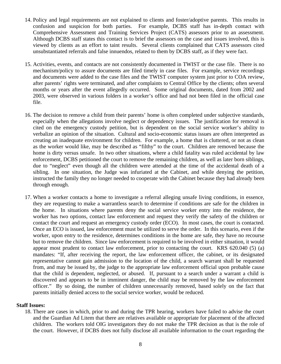- 14. Policy and legal requirements are not explained to clients and foster/adoptive parents. This results in confusion and suspicion for both parties. For example, DCBS staff has in-depth contact with Comprehensive Assessment and Training Services Project (CATS) assessors prior to an assessment. Although DCBS staff states this contact is to brief the assessors on the case and issues involved, this is viewed by clients as an effort to taint results. Several clients complained that CATS assessors cited unsubstantiated referrals and false innuendos, related to them by DCBS staff, as if they were fact.
- 15. Activities, events, and contacts are not consistently documented in TWIST or the case file. There is no mechanism/policy to assure documents are filed timely in case files. For example, service recordings and documents were added to the case files and the TWIST computer system just prior to COA review, after parents' rights were terminated, and after complaints to Central Office by the clients; often several months or years after the event allegedly occurred. Some original documents, dated from 2002 and 2003, were observed in various folders in a worker's office and had not been filed in the official case file.
- 16. The decision to remove a child from their parents' home is often completed under subjective standards, especially when the allegations involve neglect or dependency issues. The justification for removal is cited on the emergency custody petition, but is dependent on the social service worker's ability to verbalize an opinion of the situation. Cultural and socio-economic status issues are often interpreted as creating an inadequate environment for children. For example, a home that is cluttered, or not as clean as the worker would like, may be described as "filthy" to the court. Children are removed because the home is dirty versus unsafe. In two other situations, where a child fatality was ruled accidental by law enforcement, DCBS petitioned the court to remove the remaining children, as well as later born siblings, due to "neglect" even though all the children were attended at the time of the accidental death of a sibling. In one situation, the Judge was infuriated at the Cabinet, and while denying the petition, instructed the family they no longer needed to cooperate with the Cabinet because they had already been through enough.
- 17. When a worker contacts a home to investigate a referral alleging unsafe living conditions, in essence, they are requesting to make a warrantless search to determine if conditions are safe for the children in the home. In situations where parents deny the social service worker entry into the residence, the worker has two options, contact law enforcement and request they verify the safety of the children or contact the court and request an emergency custody order (ECO). In most cases, the court is contacted. Once an ECO is issued, law enforcement must be utilized to serve the order. In this scenario, even if the worker, upon entry to the residence, determines conditions in the home are safe, they have no recourse but to remove the children. Since law enforcement is required to be involved in either situation, it would appear most prudent to contact law enforcement, prior to contacting the court. KRS 620.040 (5) (a) mandates: "If, after receiving the report, the law enforcement officer, the cabinet, or its designated representative cannot gain admission to the location of the child, a search warrant shall be requested from, and may be issued by, the judge to the appropriate law enforcement official upon probable cause that the child is dependent, neglected, or abused. If, pursuant to a search under a warrant a child is discovered and appears to be in imminent danger, the child may be removed by the law enforcement officer." By so doing, the number of children unnecessarily removed, based solely on the fact that parents initially denied access to the social service worker, would be reduced.

#### **Staff Issues:**

18. There are cases in which, prior to and during the TPR hearing, workers have failed to advise the court and the Guardian Ad Litem that there are relatives available or appropriate for placement of the affected children. The workers told OIG investigators they do not make the TPR decision as that is the role of the court. However, if DCBS does not fully disclose all available information to the court regarding the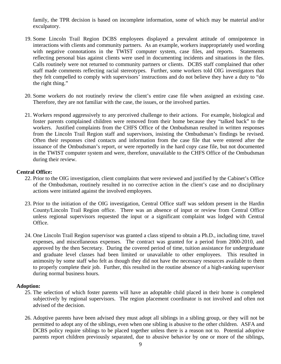family, the TPR decision is based on incomplete information, some of which may be material and/or exculpatory.

- 19. Some Lincoln Trail Region DCBS employees displayed a prevalent attitude of omnipotence in interactions with clients and community partners. As an example, workers inappropriately used wording with negative connotations in the TWIST computer system, case files, and reports. Statements reflecting personal bias against clients were used in documenting incidents and situations in the files. Calls routinely were not returned to community partners or clients. DCBS staff complained that other staff made comments reflecting racial stereotypes. Further, some workers told OIG investigators that they felt compelled to comply with supervisors' instructions and do not believe they have a duty to "do the right thing."
- 20. Some workers do not routinely review the client's entire case file when assigned an existing case. Therefore, they are not familiar with the case, the issues, or the involved parties.
- 21. Workers respond aggressively to any perceived challenge to their actions. For example, biological and foster parents complained children were removed from their home because they "talked back" to the workers. Justified complaints from the CHFS Office of the Ombudsman resulted in written responses from the Lincoln Trail Region staff and supervisors, insisting the Ombudsman's findings be revised. Often their responses cited contacts and information from the case file that were entered after the issuance of the Ombudsman's report, or were reportedly in the hard copy case file, but not documented in the TWIST computer system and were, therefore, unavailable to the CHFS Office of the Ombudsman during their review.

#### **Central Office:**

- 22. Prior to the OIG investigation, client complaints that were reviewed and justified by the Cabinet's Office of the Ombudsman, routinely resulted in no corrective action in the client's case and no disciplinary actions were initiated against the involved employees.
- 23. Prior to the initiation of the OIG investigation, Central Office staff was seldom present in the Hardin County/Lincoln Trail Region office. There was an absence of input or review from Central Office unless regional supervisors requested the input or a significant complaint was lodged with Central Office.
- 24. One Lincoln Trail Region supervisor was granted a class stipend to obtain a Ph.D., including time, travel expenses, and miscellaneous expenses. The contract was granted for a period from 2000-2010, and approved by the then Secretary. During the covered period of time, tuition assistance for undergraduate and graduate level classes had been limited or unavailable to other employees. This resulted in animosity by some staff who felt as though they did not have the necessary resources available to them to properly complete their job. Further, this resulted in the routine absence of a high-ranking supervisor during normal business hours.

#### **Adoption:**

- 25. The selection of which foster parents will have an adoptable child placed in their home is completed subjectively by regional supervisors. The region placement coordinator is not involved and often not advised of the decision.
- 26. Adoptive parents have been advised they must adopt all siblings in a sibling group, or they will not be permitted to adopt any of the siblings, even when one sibling is abusive to the other children. ASFA and DCBS policy require siblings to be placed together unless there is a reason not to. Potential adoptive parents report children previously separated, due to abusive behavior by one or more of the siblings,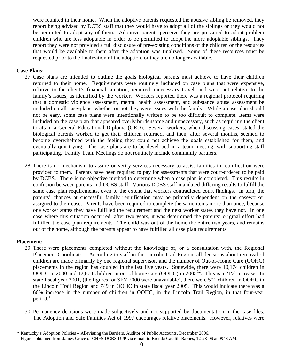<span id="page-12-0"></span>were reunited in their home. When the adoptive parents requested the abusive sibling be removed, they report being advised by DCBS staff that they would have to adopt all of the siblings or they would not be permitted to adopt any of them. Adoptive parents perceive they are pressured to adopt problem children who are less adoptable in order to be permitted to adopt the more adoptable siblings. They report they were not provided a full disclosure of pre-existing conditions of the children or the resources that would be available to them after the adoption was finalized. Some of these resources must be requested prior to the finalization of the adoption, or they are no longer available.

#### **Case Plans:**

- 27. Case plans are intended to outline the goals biological parents must achieve to have their children returned to their home. Requirements were routinely included on case plans that were expensive, relative to the client's financial situation; required unnecessary travel; and were not relative to the family's issues, as identified by the worker. Workers reported there was a regional protocol requiring that a domestic violence assessment, mental health assessment, and substance abuse assessment be included on all case-plans, whether or not they were issues with the family. While a case plan should not be easy, some case plans were intentionally written to be too difficult to complete. Items were included on the case plan that appeared overly burdensome and unnecessary, such as requiring the client to attain a General Educational Diploma (GED). Several workers, when discussing cases, stated the biological parents worked to get their children returned, and then, after several months, seemed to become overwhelmed with the feeling they could not achieve the goals established for them, and eventually quit trying. The case plans are to be developed in a team meeting, with supporting staff participating. Family Team Meetings do not routinely include community partners.
- 28. There is no mechanism to assure or verify services necessary to assist families in reunification were provided to them. Parents have been required to pay for assessments that were court-ordered to be paid by DCBS. There is no objective method to determine when a case plan is completed. This results in confusion between parents and DCBS staff. Various DCBS staff mandated differing results to fulfill the same case plan requirements, even to the extent that workers contradicted court findings. In turn, the parents' chances at successful family reunification may be primarily dependent on the caseworker assigned to their case. Parents have been required to complete the same items more than once, because one worker states they have fulfilled the requirement and the next worker states they have not. In one case where this situation occurred, after two years, it was determined the parents' original effort had fulfilled the case plan requirements. The child was out of the home the entire two years, and remains out of the home, although the parents appear to have fulfilled all case plan requirements.

#### **Placement:**

- 29. There were placements completed without the knowledge of, or a consultation with, the Regional Placement Coordinator. According to staff in the Lincoln Trail Region, all decisions about removal of children are made primarily by one regional supervisor, and the number of Out-of-Home Care (OOHC) placements in the region has doubled in the last five years. Statewide, there were 10,174 children in OOHC in 2000 and  $12,874$  $12,874$  children in out of home care (OOHC) in  $2005^{12}$ . This is a 21% increase. In state fiscal year 2001, (the figures for SFY 2000 were unavailable), there were 501 children in OOHC in the Lincoln Trail Region and 749 in OOHC in state fiscal year 2005. This would indicate there was a 66% increase in the number of children in OOHC, in the Lincoln Trail Region, in that four-year period.[1](#page-12-0)3
- 30. Permanency decisions were made subjectively and not supported by documentation in the case files. The Adoption and Safe Families Act of 1997 encourages relative placements. However, relatives were

 $^{12}$  Kentucky's Adoption Policies – Alleviating the Barriers, Auditor of Public Accounts, December 2006.

<sup>&</sup>lt;sup>13</sup> Figures obtained from James Grace of CHFS DCBS DPP via e-mail to Brenda Caudill-Barnes, 12-28-06 at 0948 AM.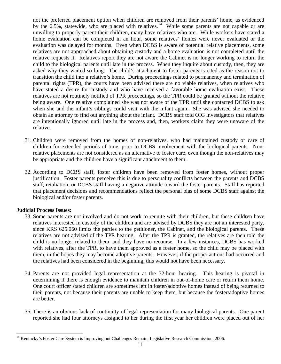<span id="page-13-0"></span>not the preferred placement option when children are removed from their parents' home, as evidenced by the 6.5%, statewide, who are placed with relatives.<sup>[14](#page-13-0)</sup> While some parents are not capable or are unwilling to properly parent their children, many have relatives who are. While workers have stated a home evaluation can be completed in an hour, some relatives' homes were never evaluated or the evaluation was delayed for months. Even when DCBS is aware of potential relative placements, some relatives are not approached about obtaining custody and a home evaluation is not completed until the relative requests it. Relatives report they are not aware the Cabinet is no longer working to return the child to the biological parents until late in the process. When they inquire about custody, then, they are asked why they waited so long. The child's attachment to foster parents is cited as the reason not to transition the child into a relative's home. During proceedings related to permanency and termination of parental rights (TPR), the courts have been advised there are no viable relatives, when relatives who have stated a desire for custody and who have received a favorable home evaluation exist. These relatives are not routinely notified of TPR proceedings, so the TPR could be granted without the relative being aware. One relative complained she was not aware of the TPR until she contacted DCBS to ask when she and the infant's siblings could visit with the infant again. She was advised she needed to obtain an attorney to find out anything about the infant. DCBS staff told OIG investigators that relatives are intentionally ignored until late in the process and, then, workers claim they were unaware of the relative.

- 31. Children were removed from the homes of non-relatives, who had maintained custody or care of children for extended periods of time, prior to DCBS involvement with the biological parents. Nonrelative placements are not considered as an alternative to foster care, even though the non-relatives may be appropriate and the children have a significant attachment to them.
- 32. According to DCBS staff, foster children have been removed from foster homes, without proper justification. Foster parents perceive this is due to personality conflicts between the parents and DCBS staff, retaliation, or DCBS staff having a negative attitude toward the foster parents. Staff has reported that placement decisions and recommendations reflect the personal bias of some DCBS staff against the biological and/or foster parents.

# **Judicial Process Issues:**

 $\overline{a}$ 

- 33. Some parents are not involved and do not work to reunite with their children, but these children have relatives interested in custody of the children and are advised by DCBS they are not an interested party, since KRS 625.060 limits the parties to the petitioner, the Cabinet, and the biological parents. These relatives are not advised of the TPR hearing. After the TPR is granted, the relatives are then told the child is no longer related to them, and they have no recourse. In a few instances, DCBS has worked with relatives, after the TPR, to have them approved as a foster home, so the child may be placed with them, in the hopes they may become adoptive parents. However, if the proper actions had occurred and the relatives had been considered in the beginning, this would not have been necessary.
- 34. Parents are not provided legal representation at the 72-hour hearing. This hearing is pivotal in determining if there is enough evidence to maintain children in out-of-home care or return them home. One court officer stated children are sometimes left in foster/adoptive homes instead of being returned to their parents, not because their parents are unable to keep them, but because the foster/adoptive homes are better.
- 35. There is an obvious lack of continuity of legal representation for many biological parents. One parent reported she had four attorneys assigned to her during the first year her children were placed out of her

<sup>&</sup>lt;sup>14</sup> Kentucky's Foster Care System is Improving but Challenges Remain, Legislative Research Commission, 2006.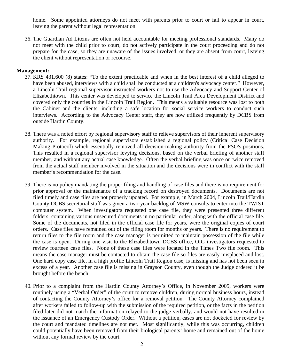home. Some appointed attorneys do not meet with parents prior to court or fail to appear in court, leaving the parent without legal representation.

36. The Guardian Ad Litems are often not held accountable for meeting professional standards. Many do not meet with the child prior to court, do not actively participate in the court proceeding and do not prepare for the case, so they are unaware of the issues involved, or they are absent from court, leaving the client without representation or recourse.

#### **Management:**

- 37. KRS 431.600 (8) states: "To the extent practicable and when in the best interest of a child alleged to have been abused, interviews with a child shall be conducted at a children's advocacy center." However, a Lincoln Trail regional supervisor instructed workers not to use the Advocacy and Support Center of Elizabethtown. This center was developed to service the Lincoln Trail Area Development District and covered only the counties in the Lincoln Trail Region. This means a valuable resource was lost to both the Cabinet and the clients, including a safe location for social service workers to conduct such interviews. According to the Advocacy Center staff, they are now utilized frequently by DCBS from outside Hardin County.
- 38. There was a noted effort by regional supervisory staff to relieve supervisors of their inherent supervisory authority. For example, regional supervisors established a regional policy (Critical Case Decision Making Protocol) which essentially removed all decision-making authority from the FSOS positions. This resulted in a regional supervisor levying decisions, based on the verbal briefing of another staff member, and without any actual case knowledge. Often the verbal briefing was once or twice removed from the actual staff member involved in the situation and the decisions were in conflict with the staff member's recommendation for the case.
- 39. There is no policy mandating the proper filing and handling of case files and there is no requirement for prior approval or the maintenance of a tracking record on destroyed documents. Documents are not filed timely and case files are not properly updated. For example, in March 2004, Lincoln Trail/Hardin County DCBS secretarial staff was given a two-year backlog of MSW consults to enter into the TWIST computer system. When investigators requested one case file, they were presented three different folders, containing various unsecured documents in no particular order, along with the official case file. Some of the documents, not filed in the official case file for years, were the original copies of court orders. Case files have remained out of the filing room for months or years. There is no requirement to return files to the file room and the case manager is permitted to maintain possession of the file while the case is open. During one visit to the Elizabethtown DCBS office, OIG investigators requested to review fourteen case files. None of these case files were located in the Times Two file room. This means the case manager must be contacted to obtain the case file so files are easily misplaced and lost. One hard copy case file, in a high profile Lincoln Trail Region case, is missing and has not been seen in excess of a year. Another case file is missing in Grayson County, even though the Judge ordered it be brought before the bench.
- 40. Prior to a complaint from the Hardin County Attorney's Office, in November 2005, workers were routinely using a "Verbal Order" of the court to remove children, during normal business hours, instead of contacting the County Attorney's office for a removal petition. The County Attorney complained after workers failed to follow-up with the submission of the required petition, or the facts in the petition filed later did not match the information relayed to the judge verbally, and would not have resulted in the issuance of an Emergency Custody Order. Without a petition, cases are not docketed for review by the court and mandated timelines are not met. Most significantly, while this was occurring, children could potentially have been removed from their biological parents' home and remained out of the home without any formal review by the court.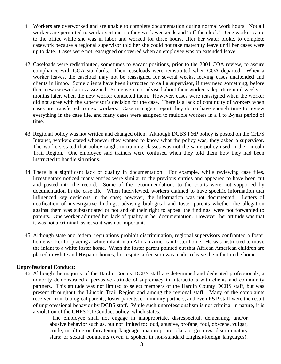- 41. Workers are overworked and are unable to complete documentation during normal work hours. Not all workers are permitted to work overtime, so they work weekends and "off the clock". One worker came to the office while she was in labor and worked for three hours, after her water broke, to complete casework because a regional supervisor told her she could not take maternity leave until her cases were up to date. Cases were not reassigned or covered when an employee was on extended leave.
- 42. Caseloads were redistributed, sometimes to vacant positions, prior to the 2001 COA review, to assure compliance with COA standards. Then, caseloads were reinstituted when COA departed. When a worker leaves, the caseload may not be reassigned for several weeks, leaving cases unattended and clients in limbo. Some clients have been instructed to call a supervisor, if they need something, before their new caseworker is assigned. Some were not advised about their worker's departure until weeks or months later, when the new worker contacted them. However, cases were reassigned when the worker did not agree with the supervisor's decision for the case. There is a lack of continuity of workers when cases are transferred to new workers. Case managers report they do no have enough time to review everything in the case file, and many cases were assigned to multiple workers in a 1 to 2-year period of time.
- 43. Regional policy was not written and changed often. Although DCBS P&P policy is posted on the CHFS Intranet, workers stated whenever they wanted to know what the policy was, they asked a supervisor. The workers stated that policy taught in training classes was not the same policy used in the Lincoln Trail Region. One employee said trainers were confused when they told them how they had been instructed to handle situations.
- 44. There is a significant lack of quality in documentation. For example, while reviewing case files, investigators noticed many entries were similar to the previous entries and appeared to have been cut and pasted into the record. Some of the recommendations to the courts were not supported by documentation in the case file. When interviewed, workers claimed to have specific information that influenced key decisions in the case; however, the information was not documented. Letters of notification of investigative findings, advising biological and foster parents whether the allegation against them was substantiated or not and of their right to appeal the findings, were not forwarded to parents. One worker admitted her lack of quality in her documentation. However, her attitude was that it was not a criminal issue, so it was not important.
- 45. Although state and federal regulations prohibit discrimination, regional supervisors confronted a foster home worker for placing a white infant in an African American foster home. He was instructed to move the infant to a white foster home. When the foster parent pointed out that African American children are placed in White and Hispanic homes, for respite, a decision was made to leave the infant in the home.

#### **Unprofessional Conduct:**

46. Although the majority of the Hardin County DCBS staff are determined and dedicated professionals, a minority demonstrated a pervasive attitude of supremacy in interactions with clients and community partners. This attitude was not limited to select members of the Hardin County DCBS staff, but was present throughout the Lincoln Trail Region and among the regional staff. Many of the complaints received from biological parents, foster parents, community partners, and even P&P staff were the result of unprofessional behavior by DCBS staff. While such unprofessionalism is not criminal in nature, it is a violation of the CHFS 2.1 Conduct policy, which states:

"The employee shall not engage in inappropriate, disrespectful, demeaning, and/or abusive behavior such as, but not limited to: loud, abusive, profane, foul, obscene, vulgar, crude, insulting or threatening language; inappropriate jokes or gestures; discriminatory slurs; or sexual comments (even if spoken in non-standard English/foreign languages).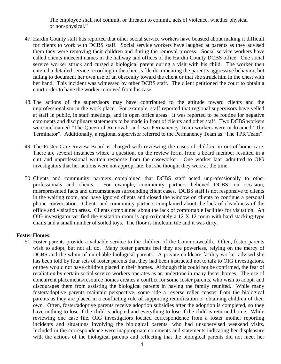The employee shall not commit, or threaten to commit, acts of violence, whether physical or non-physical."

- 47. Hardin County staff has reported that other social service workers have boasted about making it difficult for clients to work with DCBS staff. Social service workers have laughed at parents as they advised them they were removing their children and during the removal process. Social service workers have called clients indecent names in the hallway and offices of the Hardin County DCBS office. One social service worker struck and cursed a biological parent during a visit with his child. The worker then entered a detailed service recording in the client's file documenting the parent's aggressive behavior, but failing to document her own use of an obscenity toward the client or that she struck him in the chest with her hand. This incident was witnessed by other DCBS staff. The client petitioned the court to obtain a court order to have the worker removed from his case.
- 48. The actions of the supervisors may have contributed to the attitude toward clients and the unprofessionalism in the work place. For example, staff reported that regional supervisors have yelled at staff in public, in staff meetings, and in open office areas. It was reported to be routine for negative comments and disciplinary statements to be made in front of clients and other staff. Two DCBS workers were nicknamed "The Queen of Removal" and two Permanency Team workers were nicknamed "The Terminator". Additionally, a regional supervisor referred to the Permanency Team as "The TPR Team".
- 49. The Foster Care Review Board is charged with reviewing the cases of children in out-of-home care. There are several instances where a question, on the review form, from a board member resulted in a curt and unprofessional written response from the caseworker. One worker later admitted to OIG investigators that her actions were not appropriate, but she thought they were at the time.
- 50. Clients and community partners complained that DCBS staff acted unprofessionally to other professionals and clients. For example, community partners believed DCBS, on occasion, misrepresented facts and circumstances surrounding client cases. DCBS staff is not responsive to clients in the waiting room, and have ignored clients and closed the window on clients to continue a personal phone conversation. Clients and community partners complained about the lack of cleanliness of the office and visitation areas. Clients complained about the lack of comfortable facilities for visitation. An OIG investigator verified the visitation room is approximately a 12 X 12 room with hard stacking-type chairs and a small number of soiled toys. The floor is linoleum tile and it was dirty.

#### **Foster Homes:**

51. Foster parents provide a valuable service to the children of the Commonwealth. Often, foster parents wish to adopt, but not all do. Many foster parents feel they are powerless, relying on the mercy of DCBS and the whim of unreliable biological parents. A private childcare facility worker advised she has been told by four sets of foster parents that they had been instructed not to talk to OIG investigators, or they would not have children placed in their homes. Although this could not be confirmed, the fear of retaliation by certain social service workers operates as an undertone in many foster homes. The use of concurrent placements/resource homes creates a conflict for some foster parents, who wish to adopt, and discourages them from assisting the biological parents in having the family reunited. While many foster/adoptive parents maintain perspective, some ride a reverse roller coaster from the biological parents as they are placed in a conflicting role of supporting reunification or obtaining children of their own. Often, foster/adoptive parents receive adoption subsidies after the adoption is completed, so they have nothing to lose if the child is adopted and everything to lose if the child is returned home. While reviewing one case file, OIG investigators located correspondence from a foster mother reporting incidents and situations involving the biological parents, who had unsupervised weekend visits. Included in the correspondence were inappropriate comments and statements indicating her displeasure with the actions of the biological parents and reflecting that the biological parents did not meet her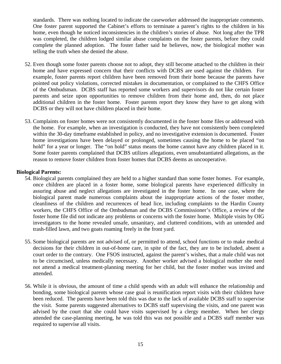standards. There was nothing located to indicate the caseworker addressed the inappropriate comments. One foster parent supported the Cabinet's efforts to terminate a parent's rights to the children in his home, even though he noticed inconsistencies in the children's stories of abuse. Not long after the TPR was completed, the children lodged similar abuse complaints on the foster parents, before they could complete the planned adoption. The foster father said he believes, now, the biological mother was telling the truth when she denied the abuse.

- 52. Even though some foster parents choose not to adopt, they still become attached to the children in their home and have expressed concern that their conflicts with DCBS are used against the children. For example, foster parents report children have been removed from their home because the parents have pointed out policy violations, corrected mistakes in documentation, or complained to the CHFS Office of the Ombudsman. DCBS staff has reported some workers and supervisors do not like certain foster parents and seize upon opportunities to remove children from their home and, then, do not place additional children in the foster home. Foster parents report they know they have to get along with DCBS or they will not have children placed in their home.
- 53. Complaints on foster homes were not consistently documented in the foster home files or addressed with the home. For example, when an investigation is conducted, they have not consistently been completed within the 30-day timeframe established in policy, and no investigative extension is documented. Foster home investigations have been delayed or prolonged, sometimes causing the home to be placed "on hold" for a year or longer. The "on hold" status means the home cannot have any children placed in it. Some foster parents complained that DCBS utilizes allegations, even unsubstantiated allegations, as the reason to remove foster children from foster homes that DCBS deems as uncooperative.

#### **Biological Parents:**

- 54. Biological parents complained they are held to a higher standard than some foster homes. For example, once children are placed in a foster home, some biological parents have experienced difficulty in assuring abuse and neglect allegations are investigated in the foster home. In one case, where the biological parent made numerous complaints about the inappropriate actions of the foster mother, cleanliness of the children and recurrences of head lice, including complaints to the Hardin County workers, the CHFS Office of the Ombudsman and the DCBS Commissioner's Office, a review of the foster home file did not indicate any problems or concerns with the foster home. Multiple visits by OIG investigators to the home revealed unsafe, unsanitary, and cluttered conditions, with an untended and trash-filled lawn, and two goats roaming freely in the front yard.
- 55. Some biological parents are not advised of, or permitted to attend, school functions or to make medical decisions for their children in out-of-home care, in spite of the fact, they are to be included, absent a court order to the contrary. One FSOS instructed, against the parent's wishes, that a male child was not to be circumcised, unless medically necessary. Another worker advised a biological mother she need not attend a medical treatment-planning meeting for her child, but the foster mother was invited and attended.
- 56. While it is obvious, the amount of time a child spends with an adult will enhance the relationship and bonding, some biological parents whose case goal is reunification report visits with their children have been reduced. The parents have been told this was due to the lack of available DCBS staff to supervise the visit. Some parents suggested alternatives to DCBS staff supervising the visits, and one parent was advised by the court that she could have visits supervised by a clergy member. When her clergy attended the case-planning meeting, he was told this was not possible and a DCBS staff member was required to supervise all visits.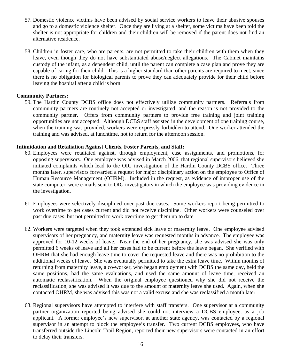- 57. Domestic violence victims have been advised by social service workers to leave their abusive spouses and go to a domestic violence shelter. Once they are living at a shelter, some victims have been told the shelter is not appropriate for children and their children will be removed if the parent does not find an alternative residence.
- 58. Children in foster care, who are parents, are not permitted to take their children with them when they leave, even though they do not have substantiated abuse/neglect allegations. The Cabinet maintains custody of the infant, as a dependent child, until the parent can complete a case plan and prove they are capable of caring for their child. This is a higher standard than other parents are required to meet, since there is no obligation for biological parents to prove they can adequately provide for their child before leaving the hospital after a child is born.

#### **Community Partners:**

59. The Hardin County DCBS office does not effectively utilize community partners. Referrals from community partners are routinely not accepted or investigated, and the reason is not provided to the community partner. Offers from community partners to provide free training and joint training opportunities are not accepted. Although DCBS staff assisted in the development of one training course, when the training was provided, workers were expressly forbidden to attend. One worker attended the training and was advised, at lunchtime, not to return for the afternoon session.

#### **Intimidation and Retaliation Against Clients, Foster Parents, and Staff:**

- 60. Employees were retaliated against, through employment, case assignments, and promotions, for opposing supervisors. One employee was advised in March 2006, that regional supervisors believed she initiated complaints which lead to the OIG investigation of the Hardin County DCBS office. Three months later, supervisors forwarded a request for major disciplinary action on the employee to Office of Human Resource Management (OHRM). Included in the request, as evidence of improper use of the state computer, were e-mails sent to OIG investigators in which the employee was providing evidence in the investigation.
- 61. Employees were selectively disciplined over past due cases. Some workers report being permitted to work overtime to get cases current and did not receive discipline. Other workers were counseled over past due cases, but not permitted to work overtime to get them up to date.
- 62. Workers were targeted when they took extended sick leave or maternity leave. One employee advised supervisors of her pregnancy, and maternity leave was requested months in advance. The employee was approved for 10-12 weeks of leave. Near the end of her pregnancy, she was advised she was only permitted 6 weeks of leave and all her cases had to be current before the leave began. She verified with OHRM that she had enough leave time to cover the requested leave and there was no prohibition to the additional weeks of leave. She was eventually permitted to take the extra leave time. Within months of returning from maternity leave, a co-worker, who began employment with DCBS the same day, held the same positions, had the same evaluations, and used the same amount of leave time, received an automatic reclassification. When the original employee questioned why she did not receive the reclassification, she was advised it was due to the amount of maternity leave she used. Again, when she contacted OHRM, she was advised this was not a valid excuse and she was reclassified a month later.
- 63. Regional supervisors have attempted to interfere with staff transfers. One supervisor at a community partner organization reported being advised she could not interview a DCBS employee, as a job applicant. A former employee's new supervisor, at another state agency, was contacted by a regional supervisor in an attempt to block the employee's transfer. Two current DCBS employees, who have transferred outside the Lincoln Trail Region, reported their new supervisors were contacted in an effort to delay their transfers.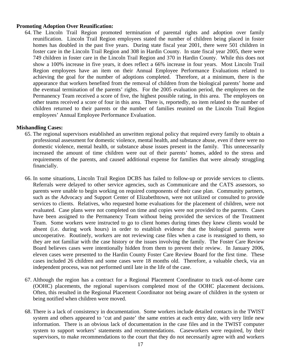#### **Promoting Adoption Over Reunification:**

64. The Lincoln Trail Region promoted termination of parental rights and adoption over family reunification. Lincoln Trail Region employees stated the number of children being placed in foster homes has doubled in the past five years. During state fiscal year 2001, there were 501 children in foster care in the Lincoln Trail Region and 308 in Hardin County. In state fiscal year 2005, there were 749 children in foster care in the Lincoln Trail Region and 370 in Hardin County. While this does not show a 100% increase in five years, it does reflect a 66% increase in four years.Most Lincoln Trail Region employees have an item on their Annual Employee Performance Evaluations related to achieving the goal for the number of adoptions completed. Therefore, at a minimum, there is the appearance that workers benefited from the removal of children from the biological parents' home and the eventual termination of the parents' rights. For the 2005 evaluation period, the employees on the Permanency Team received a score of five, the highest possible rating, in this area. The employees on other teams received a score of four in this area. There is, reportedly, no item related to the number of children returned to their parents or the number of families reunited on the Lincoln Trail Region employees' Annual Employee Performance Evaluation.

#### **Mishandling Cases:**

- 65. The regional supervisors established an unwritten regional policy that required every family to obtain a professional assessment for domestic violence, mental health, and substance abuse, even if there were no domestic violence, mental health, or substance abuse issues present in the family. This unnecessarily increased the amount of time children were out of their parents' homes, added to the stress and requirements of the parents, and caused additional expense for families that were already struggling financially.
- 66. In some situations, Lincoln Trail Region DCBS has failed to follow-up or provide services to clients. Referrals were delayed to other service agencies, such as Communicare and the CATS assessors, so parents were unable to begin working on required components of their case plan. Community partners, such as the Advocacy and Support Center of Elizabethtown, were not utilized or consulted to provide services to clients. Relatives, who requested home evaluations for the placement of children, were not evaluated. Case plans were not completed on time and copies were not provided to the parents. Cases have been assigned to the Permanency Team without being provided the services of the Treatment Team. Some workers were instructed to go to client homes during times they knew clients would be absent (i.e. during work hours) in order to establish evidence that the biological parents were uncooperative. Routinely, workers are not reviewing case files when a case is reassigned to them, so they are not familiar with the case history or the issues involving the family. The Foster Care Review Board believes cases were intentionally hidden from them to prevent their review. In January 2006, eleven cases were presented to the Hardin County Foster Care Review Board for the first time. These cases included 26 children and some cases were 18 months old. Therefore, a valuable check, via an independent process, was not performed until late in the life of the case.
- 67. Although the region has a contract for a Regional Placement Coordinator to track out-of-home care (OOHC) placements, the regional supervisors completed most of the OOHC placement decisions. Often, this resulted in the Regional Placement Coordinator not being aware of children in the system or being notified when children were moved.
- 68. There is a lack of consistency in documentation. Some workers include detailed contacts in the TWIST system and others appeared to 'cut and paste' the same entries at each entry date, with very little new information. There is an obvious lack of documentation in the case files and in the TWIST computer system to support workers' statements and recommendations. Caseworkers were required, by their supervisors, to make recommendations to the court that they do not necessarily agree with and workers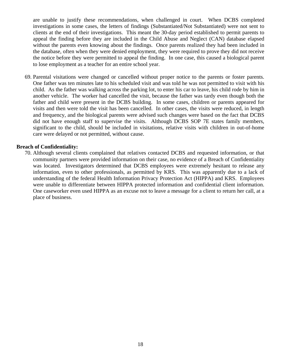are unable to justify these recommendations, when challenged in court. When DCBS completed investigations in some cases, the letters of findings (Substantiated/Not Substantiated) were not sent to clients at the end of their investigations. This meant the 30-day period established to permit parents to appeal the finding before they are included in the Child Abuse and Neglect (CAN) database elapsed without the parents even knowing about the findings. Once parents realized they had been included in the database, often when they were denied employment, they were required to prove they did not receive the notice before they were permitted to appeal the finding. In one case, this caused a biological parent to lose employment as a teacher for an entire school year.

69. Parental visitations were changed or cancelled without proper notice to the parents or foster parents. One father was ten minutes late to his scheduled visit and was told he was not permitted to visit with his child. As the father was walking across the parking lot, to enter his car to leave, his child rode by him in another vehicle. The worker had cancelled the visit, because the father was tardy even though both the father and child were present in the DCBS building. In some cases, children or parents appeared for visits and then were told the visit has been cancelled. In other cases, the visits were reduced, in length and frequency, and the biological parents were advised such changes were based on the fact that DCBS did not have enough staff to supervise the visits. Although DCBS SOP 7E states family members, significant to the child, should be included in visitations, relative visits with children in out-of-home care were delayed or not permitted, without cause.

#### **Breach of Confidentiality:**

70. Although several clients complained that relatives contacted DCBS and requested information, or that community partners were provided information on their case, no evidence of a Breach of Confidentiality was located. Investigators determined that DCBS employees were extremely hesitant to release any information, even to other professionals, as permitted by KRS. This was apparently due to a lack of understanding of the federal Health Information Privacy Protection Act (HIPPA) and KRS. Employees were unable to differentiate between HIPPA protected information and confidential client information. One caseworker even used HIPPA as an excuse not to leave a message for a client to return her call, at a place of business.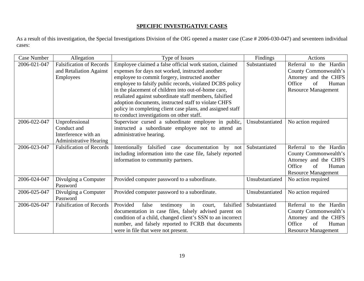#### **SPECIFIC INVESTIGATIVE CASES**

As a result of this investigation, the Special Investigations Division of the OIG opened a master case (Case # 2006-030-047) and seventeen individual cases:

| <b>Case Number</b> | Allegation                                                                             | Type of Issues                                                                                                                                                                                                                                                                                                                                                                                                                                                                                                 | Findings        | <b>Actions</b>                                                                                                                  |
|--------------------|----------------------------------------------------------------------------------------|----------------------------------------------------------------------------------------------------------------------------------------------------------------------------------------------------------------------------------------------------------------------------------------------------------------------------------------------------------------------------------------------------------------------------------------------------------------------------------------------------------------|-----------------|---------------------------------------------------------------------------------------------------------------------------------|
| 2006-021-047       | <b>Falsification of Records</b><br>and Retaliation Against<br>Employees                | Employee claimed a false official work station, claimed<br>expenses for days not worked, instructed another<br>employee to commit forgery, instructed another<br>employee to falsify public records, violated DCBS policy<br>in the placement of children into out-of-home care,<br>retaliated against subordinate staff members, falsified<br>adoption documents, instructed staff to violate CHFS<br>policy in completing client case plans, and assigned staff<br>to conduct investigations on other staff. | Substantiated   | Referral to the Hardin<br>County Commonwealth's<br>Attorney and the CHFS<br>Office<br>of<br>Human<br><b>Resource Management</b> |
| 2006-022-047       | Unprofessional<br>Conduct and<br>Interference with an<br><b>Administrative Hearing</b> | Supervisor cursed a subordinate employee in public,<br>instructed a subordinate employee not to attend an<br>administrative hearing.                                                                                                                                                                                                                                                                                                                                                                           | Unsubstantiated | No action required                                                                                                              |
| 2006-023-047       | <b>Falsification of Records</b>                                                        | Intentionally falsified case<br>documentation<br>by not<br>including information into the case file, falsely reported<br>information to community partners.                                                                                                                                                                                                                                                                                                                                                    | Substantiated   | Referral to the Hardin<br>County Commonwealth's<br>Attorney and the CHFS<br>Office<br>Human<br>of<br><b>Resource Management</b> |
| 2006-024-047       | Divulging a Computer<br>Password                                                       | Provided computer password to a subordinate.                                                                                                                                                                                                                                                                                                                                                                                                                                                                   | Unsubstantiated | No action required                                                                                                              |
| 2006-025-047       | Divulging a Computer<br>Password                                                       | Provided computer password to a subordinate.                                                                                                                                                                                                                                                                                                                                                                                                                                                                   | Unsubstantiated | No action required                                                                                                              |
| 2006-026-047       | <b>Falsification of Records</b>                                                        | Provided<br>falsified<br>false<br>testimony<br>in<br>court.<br>documentation in case files, falsely advised parent on<br>condition of a child, changed client's SSN to an incorrect<br>number, and falsely reported to FCRB that documents<br>were in file that were not present.                                                                                                                                                                                                                              | Substantiated   | Referral to the Hardin<br>County Commonwealth's<br>Attorney and the CHFS<br>Office<br>of<br>Human<br><b>Resource Management</b> |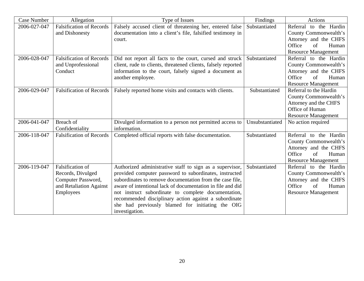| <b>Case Number</b> | Allegation                                                                                                 | Type of Issues                                                                                                                                                                                                                                                                                                                                                                                                                     | Findings        | Actions                                                                                                                         |
|--------------------|------------------------------------------------------------------------------------------------------------|------------------------------------------------------------------------------------------------------------------------------------------------------------------------------------------------------------------------------------------------------------------------------------------------------------------------------------------------------------------------------------------------------------------------------------|-----------------|---------------------------------------------------------------------------------------------------------------------------------|
| 2006-027-047       | <b>Falsification of Records</b><br>and Dishonesty                                                          | Falsely accused client of threatening her, entered false<br>documentation into a client's file, falsified testimony in<br>court.                                                                                                                                                                                                                                                                                                   | Substantiated   | Referral to the Hardin<br>County Commonwealth's<br>Attorney and the CHFS<br>Office<br>of<br>Human<br><b>Resource Management</b> |
| 2006-028-047       | <b>Falsification of Records</b><br>and Unprofessional<br>Conduct                                           | Did not report all facts to the court, cursed and struck<br>client, rude to clients, threatened clients, falsely reported<br>information to the court, falsely signed a document as<br>another employee.                                                                                                                                                                                                                           | Substantiated   | Referral to the Hardin<br>County Commonwealth's<br>Attorney and the CHFS<br>Office<br>of<br>Human<br><b>Resource Management</b> |
| 2006-029-047       | <b>Falsification of Records</b>                                                                            | Falsely reported home visits and contacts with clients.                                                                                                                                                                                                                                                                                                                                                                            | Substantiated   | Referral to the Hardin<br>County Commonwealth's<br>Attorney and the CHFS<br>Office of Human<br><b>Resource Management</b>       |
| 2006-041-047       | Breach of<br>Confidentiality                                                                               | Divulged information to a person not permitted access to<br>information.                                                                                                                                                                                                                                                                                                                                                           | Unsubstantiated | No action required                                                                                                              |
| 2006-118-047       | <b>Falsification of Records</b>                                                                            | Completed official reports with false documentation.                                                                                                                                                                                                                                                                                                                                                                               | Substantiated   | Referral to the Hardin<br>County Commonwealth's<br>Attorney and the CHFS<br>Office<br>Human<br>of<br><b>Resource Management</b> |
| 2006-119-047       | <b>Falsification of</b><br>Records, Divulged<br>Computer Password,<br>and Retaliation Against<br>Employees | Authorized administrative staff to sign as a supervisor,<br>provided computer password to subordinates, instructed<br>subordinates to remove documentation from the case file,<br>aware of intentional lack of documentation in file and did<br>not instruct subordinate to complete documentation,<br>recommended disciplinary action against a subordinate<br>she had previously blamed for initiating the OIG<br>investigation. | Substantiated   | Referral to the Hardin<br>County Commonwealth's<br>Attorney and the CHFS<br>Human<br>Office<br>of<br><b>Resource Management</b> |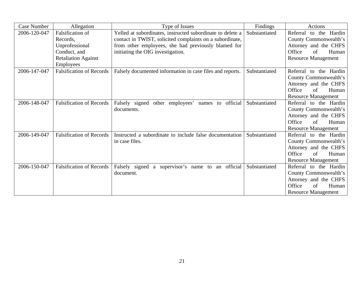| <b>Case Number</b> | Allegation                      | Type of Issues                                             | Findings      | Actions                    |
|--------------------|---------------------------------|------------------------------------------------------------|---------------|----------------------------|
| 2006-120-047       | <b>Falsification of</b>         | Yelled at subordinates, instructed subordinate to delete a | Substantiated | Referral to the Hardin     |
|                    | Records.                        | contact in TWIST, solicited complaints on a subordinate,   |               | County Commonwealth's      |
|                    | Unprofessional                  | from other employees, she had previously blamed for        |               | Attorney and the CHFS      |
|                    | Conduct, and                    | initiating the OIG investigation.                          |               | Office<br>Human<br>of      |
|                    | <b>Retaliation Against</b>      |                                                            |               | <b>Resource Management</b> |
|                    | <b>Employees</b>                |                                                            |               |                            |
| 2006-147-047       | <b>Falsification of Records</b> | Falsely documented information in case files and reports.  | Substantiated | Referral to the Hardin     |
|                    |                                 |                                                            |               | County Commonwealth's      |
|                    |                                 |                                                            |               | Attorney and the CHFS      |
|                    |                                 |                                                            |               | Office<br>of<br>Human      |
|                    |                                 |                                                            |               | <b>Resource Management</b> |
| 2006-148-047       | <b>Falsification of Records</b> | Falsely signed other employees' names to official          | Substantiated | Referral to the Hardin     |
|                    |                                 | documents.                                                 |               | County Commonwealth's      |
|                    |                                 |                                                            |               | Attorney and the CHFS      |
|                    |                                 |                                                            |               | Office<br>of<br>Human      |
|                    |                                 |                                                            |               | <b>Resource Management</b> |
| 2006-149-047       | <b>Falsification of Records</b> | Instructed a subordinate to include false documentation    | Substantiated | Referral to the Hardin     |
|                    |                                 | in case files.                                             |               | County Commonwealth's      |
|                    |                                 |                                                            |               | Attorney and the CHFS      |
|                    |                                 |                                                            |               | Office<br>of<br>Human      |
|                    |                                 |                                                            |               | <b>Resource Management</b> |
| 2006-150-047       | <b>Falsification of Records</b> | Falsely signed a supervisor's name to an official          | Substantiated | Referral to the Hardin     |
|                    |                                 | document.                                                  |               | County Commonwealth's      |
|                    |                                 |                                                            |               | Attorney and the CHFS      |
|                    |                                 |                                                            |               | Office<br>Human<br>of      |
|                    |                                 |                                                            |               | <b>Resource Management</b> |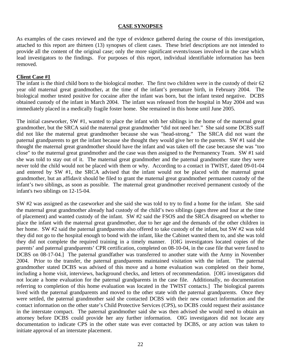#### **CASE SYNOPSES**

As examples of the cases reviewed and the type of evidence gathered during the course of this investigation, attached to this report are thirteen (13) synopses of client cases. These brief descriptions are not intended to provide all the content of the original case; only the more significant events/issues involved in the case which lead investigators to the findings. For purposes of this report, individual identifiable information has been removed.

#### **Client Case #1**

The infant is the third child born to the biological mother. The first two children were in the custody of their 62 year old maternal great grandmother, at the time of the infant's premature birth, in February 2004. The biological mother tested positive for cocaine after the infant was born, but the infant tested negative. DCBS obtained custody of the infant in March 2004. The infant was released from the hospital in May 2004 and was immediately placed in a medically fragile foster home. She remained in this home until June 2005.

The initial caseworker, SW #1, wanted to place the infant with her siblings in the home of the maternal great grandmother, but the SRCA said the maternal great grandmother "did not need her." She said some DCBS staff did not like the maternal great grandmother because she was "head-strong." The SRCA did not want the paternal grandparents to get the infant because she thought they would give her to the parents. SW #1 said she thought the maternal great grandmother should have the infant and was taken off the case because she was "too close" to the maternal great grandmother and the case was then assigned to the Permanency Team. SW #1 said she was told to stay out of it. The maternal great grandmother and the paternal grandmother state they were never told the child would not be placed with them or why. According to a contact in TWIST, dated 09-01-04 and entered by SW #1, the SRCA advised that the infant would not be placed with the maternal great grandmother, but an affidavit should be filed to grant the maternal great grandmother permanent custody of the infant's two siblings, as soon as possible. The maternal great grandmother received permanent custody of the infant's two siblings on 12-15-04.

SW #2 was assigned as the caseworker and she said she was told to try to find a home for the infant. She said the maternal great grandmother already had custody of the child's two siblings (ages three and four at the time of placement) and wanted custody of the infant. SW #2 said the FSOS and the SRCA disagreed on whether to place the infant with the maternal great grandmother, due to her age and the demands of the other children in her home. SW #2 said the paternal grandparents also offered to take custody of the infant, but SW #2 was told they did not go to the hospital enough to bond with the infant, like the Cabinet wanted them to, and she was told they did not complete the required training in a timely manner. [OIG investigators located copies of the parents' and paternal grandparents' CPR certification, completed on 08-10-04, in the case file that were faxed to DCBS on 08-17-04.] The paternal grandfather was transferred to another state with the Army in November 2004. Prior to the transfer, the paternal grandparents maintained visitation with the infant. The paternal grandmother stated DCBS was advised of this move and a home evaluation was completed on their home, including a home visit, interviews, background checks, and letters of recommendation. [OIG investigators did not locate a home evaluation for the paternal grandparents in the case file. Additionally, no documentation referring to completion of this home evaluation was located in the TWIST contacts.] The biological parents lived with the paternal grandparents and moved to the other state with the paternal grandparents. Once they were settled, the paternal grandmother said she contacted DCBS with their new contact information and the contact information on the other state's Child Protective Services (CPS), so DCBS could request their assistance in the interstate compact. The paternal grandmother said she was then advised she would need to obtain an attorney before DCBS could provide her any further information. OIG investigators did not locate any documentation to indicate CPS in the other state was ever contacted by DCBS, or any action was taken to initiate approval of an interstate placement.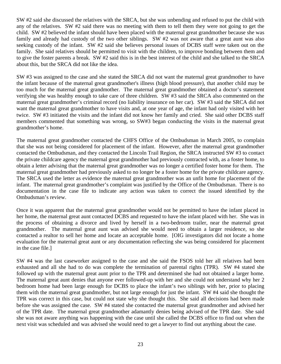SW #2 said she discussed the relatives with the SRCA, but she was unbending and refused to put the child with any of the relatives. SW #2 said there was no meeting with them to tell them they were not going to get the child. SW #2 believed the infant should have been placed with the maternal great grandmother because she was family and already had custody of the two other siblings. SW #2 was not aware that a great aunt was also seeking custody of the infant. SW #2 said she believes personal issues of DCBS staff were taken out on the family. She said relatives should be permitted to visit with the children, to improve bonding between them and to give the foster parents a break. SW #2 said this is in the best interest of the child and she talked to the SRCA about this, but the SRCA did not like the idea.

SW #3 was assigned to the case and she stated the SRCA did not want the maternal great grandmother to have the infant because of the maternal great grandmother's illness (high blood pressure), that another child may be too much for the maternal great grandmother. The maternal great grandmother obtained a doctor's statement verifying she was healthy enough to take care of three children. SW #3 said the SRCA also commented on the maternal great grandmother's criminal record (no liability insurance on her car). SW #3 said the SRCA did not want the maternal great grandmother to have visits and, at one year of age, the infant had only visited with her twice. SW #3 initiated the visits and the infant did not know her family and cried. She said other DCBS staff members commented that something was wrong, so SW#3 began conducting the visits in the maternal great grandmother's home.

The maternal great grandmother contacted the CHFS Office of the Ombudsman in March 2005, to complain that she was not being considered for placement of the infant. However, after the maternal great grandmother contacted the Ombudsman, and they contacted the Lincoln Trail Region, the SRCA instructed SW #3 to contact the private childcare agency the maternal great grandmother had previously contracted with, as a foster home, to obtain a letter advising that the maternal great grandmother was no longer a certified foster home for them. The maternal great grandmother had previously asked to no longer be a foster home for the private childcare agency. The SRCA used the letter as evidence the maternal great grandmother was an unfit home for placement of the infant. The maternal great grandmother's complaint was justified by the Office of the Ombudsman. There is no documentation in the case file to indicate any action was taken to correct the issued identified by the Ombudsman's review.

Once it was apparent that the maternal great grandmother would not be permitted to have the infant placed in her home, the maternal great aunt contacted DCBS and requested to have the infant placed with her. She was in the process of obtaining a divorce and lived by herself in a two-bedroom trailer, near the maternal great grandmother. The maternal great aunt was advised she would need to obtain a larger residence, so she contacted a realtor to sell her home and locate an acceptable home. [OIG investigators did not locate a home evaluation for the maternal great aunt or any documentation reflecting she was being considered for placement in the case file.]

SW #4 was the last caseworker assigned to the case and she said the FSOS told her all relatives had been exhausted and all she had to do was complete the termination of parental rights (TPR). SW #4 stated she followed up with the maternal great aunt prior to the TPR and determined she had not obtained a larger home. The maternal great aunt denies that anyone ever followed-up with her and she could not understand why her 2 bedroom home had been large enough for DCBS to place the infant's two siblings with her, prior to placing them with the maternal great grandmother, but not large enough for just the infant. SW #4 said she thought the TPR was correct in this case, but could not state why she thought this. She said all decisions had been made before she was assigned the case. SW #4 stated she contacted the maternal great grandmother and advised her of the TPR date. The maternal great grandmother adamantly denies being advised of the TPR date. She said she was not aware anything was happening with the case until she called the DCBS office to find out when the next visit was scheduled and was advised she would need to get a lawyer to find out anything about the case.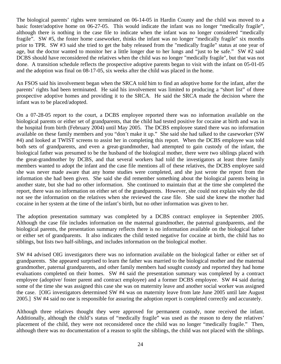The biological parents' rights were terminated on 06-14-05 in Hardin County and the child was moved to a basic foster/adoptive home on 06-27-05. This would indicate the infant was no longer "medically fragile", although there is nothing in the case file to indicate when the infant was no longer considered "medically fragile". SW #5, the foster home caseworker, thinks the infant was no longer "medically fragile" six months prior to TPR. SW #3 said she tried to get the baby released from the "medically fragile" status at one year of age, but the doctor wanted to monitor her a little longer due to her lungs and "just to be safe." SW #2 said DCBS should have reconsidered the relatives when the child was no longer "medically fragile", but that was not done. A transition schedule reflects the prospective adoptive parents began to visit with the infant on 05-01-05 and the adoption was final on 08-17-05, six weeks after the child was placed in the home.

An FSOS said his involvement began when the SRCA told him to find an adoptive home for the infant, after the parents' rights had been terminated. He said his involvement was limited to producing a "short list" of three prospective adoptive homes and providing it to the SRCA. He said the SRCA made the decision where the infant was to be placed/adopted.

On a 07-28-05 report to the court, a DCBS employee reported there was no information available on the biological parents or either set of grandparents, that the child had tested positive for cocaine at birth and was in the hospital from birth (February 2004) until May 2005. The DCBS employee stated there was no information available on these family members and you "don't make it up." She said she had talked to the caseworker (SW #4) and looked at TWIST screens to assist her in completing this report. When the DCBS employee was told both sets of grandparents, and even a great-grandmother, had attempted to gain custody of the infant, the biological father was presumed to be the husband of the biological mother, there were two siblings placed with the great-grandmother by DCBS, and that several workers had told the investigators at least three family members wanted to adopt the infant and the case file mentions all of these relatives, the DCBS employee said she was never made aware that any home studies were completed, and she just wrote the report from the information she had been given. She said she did remember something about the biological parents being in another state, but she had no other information. She continued to maintain that at the time she completed the report, there was no information on either set of the grandparents. However, she could not explain why she did not see the information on the relatives when she reviewed the case file. She said she knew the mother had cocaine in her system at the time of the infant's birth, but no other information was given to her.

The adoption presentation summary was completed by a DCBS contract employee in September 2005. Although the case file includes information on the maternal grandmother, the paternal grandparents, and the biological parents, the presentation summary reflects there is no information available on the biological father or either set of grandparents. It also indicates the child tested negative for cocaine at birth, the child has no siblings, but lists two half-siblings, and includes information on the biological mother.

SW #4 advised OIG investigators there was no information available on the biological father or either set of grandparents. She appeared surprised to learn the father was married to the biological mother and the maternal grandmother, paternal grandparents, and other family members had sought custody and reported they had home evaluations completed on their homes. SW #4 said the presentation summary was completed by a contract employee (adoptive/ foster parent and contract employee) and a former DCBS employee. SW #4 said during some of the time she was assigned this case she was on maternity leave and another social worker was assigned the case. [OIG investigators determined SW #4 was on maternity leave from late June 2005 until late August 2005.] SW #4 said no one is responsible for assuring the adoption report is completed correctly and accurately.

Although three relatives thought they were approved for permanent custody, none received the infant. Additionally, although the child's status of "medically fragile" was used as the reason to deny the relatives' placement of the child, they were not reconsidered once the child was no longer "medically fragile." Then, although there was no documentation of a reason to split the siblings, the child was not placed with the siblings.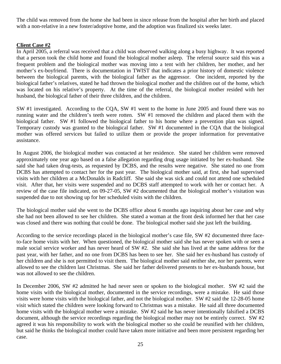The child was removed from the home she had been in since release from the hospital after her birth and placed with a non-relative in a new foster/adoptive home, and the adoption was finalized six weeks later.

# **Client Case #2**

In April 2005, a referral was received that a child was observed walking along a busy highway. It was reported that a person took the child home and found the biological mother asleep. The referral source said this was a frequent problem and the biological mother was moving into a tent with her children, her mother, and her mother's ex-boyfriend. There is documentation in TWIST that indicates a prior history of domestic violence between the biological parents, with the biological father as the aggressor. One incident, reported by the biological father's relatives, stated he had thrown the biological mother and the children out of the home, which was located on his relative's property. At the time of the referral, the biological mother resided with her husband, the biological father of their three children, and the children.

SW #1 investigated. According to the CQA, SW #1 went to the home in June 2005 and found there was no running water and the children's teeth were rotten. SW #1 removed the children and placed them with the biological father. SW #1 followed the biological father to his home where a prevention plan was signed. Temporary custody was granted to the biological father. SW #1 documented in the CQA that the biological mother was offered services but failed to utilize them or provide the proper information for preventative assistance.

In August 2006, the biological mother was contacted at her residence. She stated her children were removed approximately one year ago based on a false allegation regarding drug usage initiated by her ex-husband. She said she had taken drug-tests, as requested by DCBS, and the results were negative. She stated no one from DCBS has attempted to contact her for the past year. The biological mother said, at first, she had supervised visits with her children at a McDonalds in Radcliff. She said she was sick and could not attend one scheduled visit. After that, her visits were suspended and no DCBS staff attempted to work with her or contact her. A review of the case file indicated, on 09-27-05, SW #2 documented that the biological mother's visitation was suspended due to not showing up for her scheduled visits with the children.

The biological mother said she went to the DCBS office about 6 months ago inquiring about her case and why she had not been allowed to see her children. She stated a woman at the front desk informed her that her case was closed and there was nothing that could be done. The biological mother said she just left the building.

According to the service recordings placed in the biological mother's case file, SW #2 documented three faceto-face home visits with her. When questioned, the biological mother said she has never spoken with or seen a male social service worker and has never heard of SW #2. She said she has lived at the same address for the past year, with her father, and no one from DCBS has been to see her. She said her ex-husband has custody of her children and she is not permitted to visit them. The biological mother said neither she, nor her parents, were allowed to see the children last Christmas. She said her father delivered presents to her ex-husbands house, but was not allowed to see the children.

In December 2006, SW #2 admitted he had never seen or spoken to the biological mother. SW #2 said the home visits with the biological mother, documented in the service recordings, were a mistake. He said those visits were home visits with the biological father, and not the biological mother. SW #2 said the 12-28-05 home visit which stated the children were looking forward to Christmas was a mistake. He said all three documented home visits with the biological mother were a mistake. SW #2 said he has never intentionally falsified a DCBS document, although the service recordings regarding the biological mother may not be entirely correct. SW #2 agreed it was his responsibility to work with the biological mother so she could be reunified with her children, but said he thinks the biological mother could have taken more initiative and been more persistent regarding her case.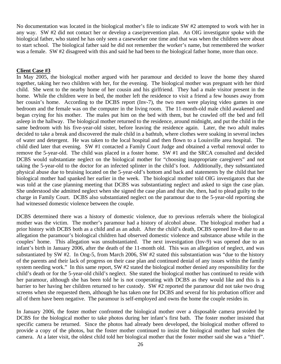No documentation was located in the biological mother's file to indicate SW #2 attempted to work with her in any way. SW #2 did not contact her or develop a case/prevention plan. An OIG investigator spoke with the biological father, who stated he has only seen a caseworker one time and that was when the children were about to start school. The biological father said he did not remember the worker's name, but remembered the worker was a female. SW #2 disagreed with this and said he had been to the biological father home, more than once.

#### **Client Case #3**

In May 2005, the biological mother argued with her paramour and decided to leave the home they shared together, taking her two children with her, for the evening. The biological mother was pregnant with her third child. She went to the nearby home of her cousin and his girlfriend. They had a male visitor present in the home. While the children were in bed, the mother left the residence to visit a friend a few houses away from her cousin's home. According to the DCBS report (Inv-7), the two men were playing video games in one bedroom and the female was on the computer in the living room. The 11-month-old male child awakened and began crying for his mother. The males put him on the bed with them, but he crawled off the bed and fell asleep in the hallway. The biological mother returned to the residence, around midnight, and put the child in the same bedroom with his five-year-old sister, before leaving the residence again. Later, the two adult males decided to take a break and discovered the male child in a bathtub, where clothes were soaking in several inches of water and detergent. He was taken to the local hospital and then flown to a Louisville area hospital. The child died later that evening. SW #1 contacted a Family Court Judge and obtained a verbal removal order to remove the 5-year-old. The child was placed in a foster home. SW #1 and the SRCA consulted and decided DCBS would substantiate neglect on the biological mother for "choosing inappropriate caregivers" and not taking the 5-year-old to the doctor for an infected splinter in the child's foot. Additionally, they substantiated physical abuse due to bruising located on the 5-year-old's bottom and back and statements by the child that her biological mother had spanked her earlier in the week. The biological mother told OIG investigators that she was told at the case planning meeting that DCBS was substantiating neglect and asked to sign the case plan. She understood she admitted neglect when she signed the case plan and that she, then, had to plead guilty to the charge in Family Court. DCBS also substantiated neglect on the paramour due to the 5-year-old reporting she had witnessed domestic violence between the couple.

DCBS determined there was a history of domestic violence, due to previous referrals where the biological mother was the victim. The mother's paramour had a history of alcohol abuse. The biological mother had a prior history with DCBS both as a child and as an adult. After the child's death, DCBS opened Inv-8 due to an allegation the paramour's biological children had observed domestic violence and substance abuse while in the couples' home. This allegation was unsubstantiated. The next investigation (Inv-9) was opened due to an infant's birth in January 2006, after the death of the 11-month old. This was an allegation of neglect, and was substantiated by SW #2. In Ong-5, from March 2006, SW #2 stated this substantiation was "due to the history of the parents and their lack of progress on their case plan and continued denial of any issues within the family system needing work." In this same report, SW #2 stated the biological mother denied any responsibility for the child's death or for the 5-year-old child's neglect. She stated the biological mother has continued to reside with her paramour, although she has been told he is not cooperating with DCBS as they would like and this is a barrier to her having her children returned to her custody. SW #2 reported the paramour did not take two drug screens when she requested them, although he has taken one for DCBS and several for his probation officer and all of them have been negative. The paramour is self-employed and owns the home the couple resides in.

In January 2006, the foster mother confronted the biological mother over a disposable camera provided by DCBS for the biological mother to take photos during her infant's first bath. The foster mother insisted that specific camera be returned. Since the photos had already been developed, the biological mother offered to provide a copy of the photos, but the foster mother continued to insist the biological mother had stolen the camera. At a later visit, the oldest child told her biological mother that the foster mother said she was a "thief".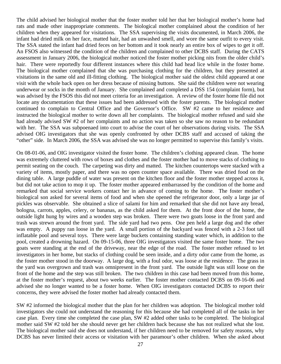The child advised her biological mother that the foster mother told her that her biological mother's home had rats and made other inappropriate comments. The biological mother complained about the condition of her children when they appeared for visitations. The SSA supervising the visits documented, in March 2006, the infant had dried milk on her face, matted hair, had an unwashed smell, and wore the same outfit to every visit. The SSA stated the infant had dried feces on her bottom and it took nearly an entire box of wipes to get it off. An FSOS also witnessed the condition of the children and complained to other DCBS staff. During the CATS assessment in January 2006, the biological mother noticed the foster mother picking nits from the older child's hair. There were reportedly four different instances where this child had head lice while in the foster home. The biological mother complained that she was purchasing clothing for the children, but they presented at visitations in the same old and ill-fitting clothing. The biological mother said the oldest child appeared at one visit with the whole back open on her dress because of missing buttons. She said the children were not wearing underwear or socks in the month of January. She complained and completed a DSS 154 (complaint form), but was advised by the FSOS this did not meet criteria for an investigation. A review of the foster home file did not locate any documentation that these issues had been addressed with the foster parents. The biological mother continued to complain to Central Office and the Governor's Office. SW #2 came to her residence and instructed the biological mother to write down all her complaints. The biological mother refused and said she had already advised SW #2 of her complaints and no action was taken so she saw no reason to be redundant with her. The SSA was subpoenaed into court to advise the court of her observations during visits. The SSA advised OIG investigators that she was openly confronted by other DCBS staff and accused of taking the "other" side. In March 2006, the SSA was advised she was no longer permitted to supervise this family's visits.

On 08-01-06, and OIG investigator visited the foster home. The children's clothing appeared clean. The home was extremely cluttered with rows of boxes and clothes and the foster mother had to move stacks of clothing to permit seating on the couch. The carpeting was dirty and matted. The kitchen countertops were stacked with a variety of items, mostly paper, and there was no open counter space available. There was dried food on the dining table. A large puddle of water was present on the kitchen floor and the foster mother stepped across it, but did not take action to mop it up. The foster mother appeared embarrassed by the condition of the home and remarked that social service workers contact her in advance of coming to the home. The foster mother's biological son asked for several items of food and when she opened the refrigerator door, only a large jar of pickles was observable. She obtained a slice of salami for him and remarked that she did not have any bread, bologna, carrots, apples, celery, or bananas, as the child asked for them. At the front door of the home, the outside light hung by wires and a wooden step was broken. There were two goats loose in the front yard and trash was strewn around the front yard. The side yard had two pens. One pen held a large dog and the other was empty. A puppy ran loose in the yard. A small portion of the backyard was fenced with a 2-3 foot tall inflatable pool and several toys. There were large buckets containing standing water which, in addition to the pool, created a drowning hazard. On 09-15-06, three OIG investigators visited the same foster home. The two goats were standing at the end of the driveway, near the edge of the road. The foster mother refused to let investigators in her home, but stacks of clothing could be seen inside, and a dirty odor came from the home, as the foster mother stood in the doorway. A large dog, with a foul odor, was loose at the residence. The grass in the yard was overgrown and trash was omnipresent in the front yard. The outside light was still loose on the front of the home and the step was still broken. The two children in this case had been moved from this home, at the foster mother's request, about two weeks earlier. The foster mother contacted DCBS on 09-16-06 and advised she no longer wanted to be a foster home. When OIG investigators contacted DCBS to report their concerns, they were advised the foster mother had already contacted them.

SW #2 informed the biological mother that the plan for her children was adoption. The biological mother told investigators she could not understand the reasoning for this because she had completed all of the tasks in her case plan. Every time she completed the case plan, SW #2 added other tasks to be completed. The biological mother said SW #2 told her she should never get her children back because she has not realized what she lost. The biological mother said she does not understand, if her children need to be removed for safety reasons, why DCBS has never limited their access or visitation with her paramour's other children. When she asked about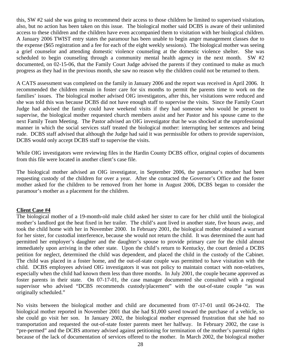this, SW #2 said she was going to recommend their access to those children be limited to supervised visitation, also, but no action has been taken on this issue. The biological mother said DCBS is aware of their unlimited access to these children and the children have even accompanied them to visitation with her biological children. A January 2006 TWIST entry states the paramour has been unable to begin anger management classes due to the expense (\$65 registration and a fee for each of the eight weekly sessions). The biological mother was seeing a grief counselor and attending domestic violence counseling at the domestic violence shelter. She was scheduled to begin counseling through a community mental health agency in the next month. SW #2 documented, on 02-15-06, that the Family Court Judge advised the parents if they continued to make as much progress as they had in the previous month, she saw no reason why the children could not be returned to them.

A CATS assessment was completed on the family in January 2006 and the report was received in April 2006. It recommended the children remain in foster care for six months to permit the parents time to work on the families' issues. The biological mother advised OIG investigators, after this, her visitations were reduced and she was told this was because DCBS did not have enough staff to supervise the visits. Since the Family Court Judge had advised the family could have weekend visits if they had someone who would be present to supervise, the biological mother requested church members assist and her Pastor and his spouse came to the next Family Team Meeting. The Pastor advised an OIG investigator that he was shocked at the unprofessional manner in which the social services staff treated the biological mother: interrupting her sentences and being rude. DCBS staff advised that although the Judge had said it was permissible for others to provide supervision, DCBS would only accept DCBS staff to supervise the visits.

While OIG investigators were reviewing files in the Hardin County DCBS office, original copies of documents from this file were located in another client's case file.

The biological mother advised an OIG investigator, in September 2006, the paramour's mother had been requesting custody of the children for over a year. After she contacted the Governor's Office and the foster mother asked for the children to be removed from her home in August 2006, DCBS began to consider the paramour's mother as a placement for the children.

#### **Client Case #4**

The biological mother of a 19-month-old male child asked her sister to care for her child until the biological mother's landlord got the heat fixed in her trailer. The child's aunt lived in another state, five hours away, and took the child home with her in November 2000. In February 2001, the biological mother obtained a warrant for her sister, for custodial interference, because she would not return the child. It was determined the aunt had permitted her employer's daughter and the daughter's spouse to provide primary care for the child almost immediately upon arriving in the other state. Upon the child's return to Kentucky, the court denied a DCBS petition for neglect, determined the child was dependent, and placed the child in the custody of the Cabinet. The child was placed in a foster home, and the out-of-state couple was permitted to have visitation with the child. DCBS employees advised OIG investigators it was not policy to maintain contact with non-relatives, especially when the child had known them less than three months. In July 2001, the couple became approved as foster parents in their state. On 07-17-01, the case manager documented she consulted with a regional supervisor who advised "DCBS recommends custody/placement" with the out-of-state couple "as was originally scheduled."

No visits between the biological mother and child are documented from 07-17-01 until 06-24-02. The biological mother reported in November 2001 that she had \$1,000 saved toward the purchase of a vehicle, so she could go visit her son. In January 2002, the biological mother expressed frustration that she had no transportation and requested the out-of-state foster parents meet her halfway. In February 2002, the case is "pre-permed" and the DCBS attorney advised against petitioning for termination of the mother's parental rights because of the lack of documentation of services offered to the mother. In March 2002, the biological mother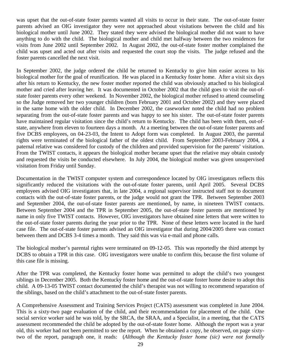was upset that the out-of-state foster parents wanted all visits to occur in their state. The out-of-state foster parents advised an OIG investigator they were not approached about visitations between the child and his biological mother until June 2002. They stated they were advised the biological mother did not want to have anything to do with the child. The biological mother and child met halfway between the two residences for visits from June 2002 until September 2002. In August 2002, the out-of-state foster mother complained the child was upset and acted out after visits and requested the court stop the visits. The judge refused and the foster parents cancelled the next visit.

In September 2002, the judge ordered the child be returned to Kentucky to give him easier access to his biological mother for the goal of reunification. He was placed in a Kentucky foster home. After a visit six days after his return to Kentucky, the new foster mother reported the child was obviously attached to his biological mother and cried after leaving her. It was documented in October 2002 that the child goes to visit the out-ofstate foster parents every other weekend. In November 2002, the biological mother refused to attend counseling so the Judge removed her two younger children (born February 2001 and October 2002) and they were placed in the same home with the older child. In December 2002, the caseworker noted the child had no problem separating from the out-of-state foster parents and was happy to see his sister. The out-of-state foster parents have maintained regular visitation since the child's return to Kentucky. The child has been with them, out-ofstate, anywhere from eleven to fourteen days a month. At a meeting between the out-of-state foster parents and five DCBS employees, on 04-23-03, the Intent to Adopt form was completed. In August 2003, the parental rights were terminated of the biological father of the oldest child. From September 2003-February 2004, a paternal relative was considered for custody of the children and provided supervision for the parents' visitation. From the TWIST contacts, it appears the biological mother became upset that the relative may obtain custody and requested the visits be conducted elsewhere. In July 2004, the biological mother was given unsupervised visitation from Friday until Sunday.

Documentation in the TWIST computer system and correspondence located by OIG investigators reflects this significantly reduced the visitations with the out-of-state foster parents, until April 2005. Several DCBS employees advised OIG investigators that, in late 2004, a regional supervisor instructed staff not to document contacts with the out-of-state foster parents, or the judge would not grant the TPR. Between September 2003 and September 2004, the out-of-state foster parents are mentioned, by name, in nineteen TWIST contacts. Between September 2004 and the TPR in September 2005, the out-of-state foster parents are mentioned by name in only five TWIST contacts. However, OIG investigators have obtained nine letters that were written to the out-of-state foster parents during the year prior to the TPR. None of these letters were located in the hard case file. The out-of-state foster parents advised an OIG investigator that during 2004/2005 there was contact between them and DCBS 3-4 times a month. They said this was via e-mail and phone calls.

The biological mother's parental rights were terminated on 09-12-05. This was reportedly the third attempt by DCBS to obtain a TPR in this case. OIG investigators were unable to confirm this, because the first volume of this case file is missing.

After the TPR was completed, the Kentucky foster home was permitted to adopt the child's two youngest siblings in December 2005. Both the Kentucky foster home and the out-of-state foster home desire to adopt this child. A 09-13-05 TWIST contact documented the child's therapist was not willing to recommend separation of the siblings, based on the child's attachment to the out-of-state foster parents.

A Comprehensive Assessment and Training Services Project (CATS) assessment was completed in June 2004. This is a sixty-two page evaluation of the child, and their recommendation for placement of the child. One social service worker said he was told, by the SRCA, the SRAA, and a Specialist, in a meeting, that the CATS assessment recommended the child be adopted by the out-of-state foster home. Although the report was a year old, this worker had not been permitted to see the report. When he obtained a copy, he observed, on page sixtytwo of the report, paragraph one, it reads: (*Although the Kentucky foster home (sic) were not formally*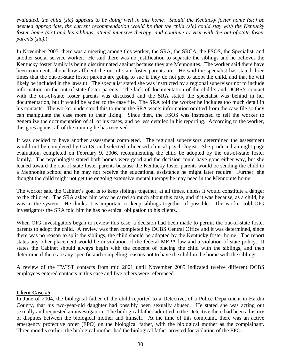*evaluated, the child (sic) appears to be doing well in this home. Should the Kentucky foster home (sic) be deemed appropriate, the current recommendation would be that the child (sic) could stay with the Kentucky foster home (sic) and his siblings, attend intensive therapy, and continue to visit with the out-of-state foster parents (sic).*)

In November 2005, there was a meeting among this worker, the SRA, the SRCA, the FSOS, the Specialist, and another social service worker. He said there was no justification to separate the siblings and he believes the Kentucky foster family is being discriminated against because they are Mennonites. The worker said there have been comments about how affluent the out-of-state foster parents are. He said the specialist has stated three times that the out-of-state foster parents are going to sue if they do not get to adopt the child, and that he will likely be included in the lawsuit. The specialist stated she was instructed by a regional supervisor not to include information on the out-of-state foster parents. The lack of documentation of the child's and DCBS's contact with the out-of-state foster parents was discussed and the SRA stated the specialist was behind in her documentation, but it would be added to the case file. The SRA told the worker he includes too much detail in his contacts. The worker understood this to mean the SRA wants information omitted from the case file so they can manipulate the case more to their liking. Since then, the FSOS was instructed to tell the worker to generalize the documentation of all of his cases, and be less detailed in his reporting. According to the worker, this goes against all of the training he has received.

It was decided to have another assessment completed. The regional supervisors determined the assessment would not be completed by CATS, and selected a licensed clinical psychologist. She produced an eight-page evaluation, completed on February 9, 2006, recommending the child be adopted by the out-of-state foster family. The psychologist stated both homes were good and the decision could have gone either way, but she leaned toward the out-of-state foster parents because the Kentucky foster parents would be sending the child to a Mennonite school and he may not receive the educational assistance he might later require. Further, she thought the child might not get the ongoing extensive mental therapy he may need in the Mennonite home.

The worker said the Cabinet's goal is to keep siblings together, at all times, unless it would constitute a danger to the children. The SRA asked him why he cared so much about this case, and if it was because, as a child, he was in the system. He thinks it is important to keep siblings together, if possible. The worker told OIG investigators the SRA told him he has no ethical obligation to his clients.

When OIG investigators began to review this case, a decision had been made to permit the out-of-state foster parents to adopt the child. A review was then completed by DCBS Central Office and it was determined, since there was no reason to split the siblings, the child should be adopted by the Kentucky foster home. The report states any other placement would be in violation of the federal MEPA law and a violation of state policy. It states the Cabinet should always begin with the concept of placing the child with the siblings, and then determine if there are any specific and compelling reasons not to have the child in the home with the siblings.

A review of the TWIST contacts from mid 2001 until November 2005 indicated twelve different DCBS employees entered contacts in this case and five others were referenced.

#### **Client Case #5**

In June of 2004, the biological father of the child reported to a Detective, of a Police Department in Hardin County, that his two-year-old daughter had possibly been sexually abused. He stated she was acting out sexually and requested an investigation. The biological father admitted to the Detective there had been a history of disputes between the biological mother and himself. At the time of this complaint, there was an active emergency protective order (EPO) on the biological father, with the biological mother as the complainant. Three months earlier, the biological mother had the biological father arrested for violation of the EPO.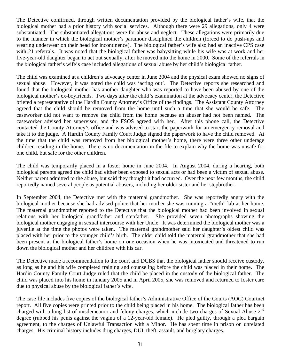The Detective confirmed, through written documentation provided by the biological father's wife, that the biological mother had a prior history with social services. Although there were 29 allegations, only 4 were substantiated. The substantiated allegations were for abuse and neglect. These allegations were primarily due to the manner in which the biological mother's paramour disciplined the children (forced to do push-ups and wearing underwear on their head for incontinence). The biological father's wife also had an inactive CPS case with 21 referrals. It was noted that the biological father was babysitting while his wife was at work and her five-year-old daughter began to act out sexually, after he moved into the home in 2000. Some of the referrals in the biological father's wife's case included allegations of sexual abuse by her child's biological father.

The child was examined at a children's advocacy center in June 2004 and the physical exam showed no signs of sexual abuse. However, it was noted the child was 'acting out'. The Detective reports she researched and found that the biological mother has another daughter who was reported to have been abused by one of the biological mother's ex-boyfriends. Two days after the child's examination at the advocacy center, the Detective briefed a representative of the Hardin County Attorney's Office of the findings. The Assistant County Attorney agreed that the child should be removed from the home until such a time that she would be safe. The caseworker did not want to remove the child from the home because an abuser had not been named. The caseworker advised her supervisor, and the FSOS agreed with her. After this phone call, the Detective contacted the County Attorney's office and was advised to start the paperwork for an emergency removal and take it to the judge. A Hardin County Family Court Judge signed the paperwork to have the child removed. At the time that the child was removed from her biological mother's home, there were three other underage children residing in the home. There is no documentation in the file to explain why the home was unsafe for one child, but safe for the other children.

The child was temporarily placed in a foster home in June 2004. In August 2004, during a hearing, both biological parents agreed the child had either been exposed to sexual acts or had been a victim of sexual abuse. Neither parent admitted to the abuse, but said they thought it had occurred. Over the next few months, the child reportedly named several people as potential abusers, including her older sister and her stepbrother.

In September 2004, the Detective met with the maternal grandmother. She was reportedly angry with the biological mother because she had advised police that her mother she was running a "meth" lab at her home. The maternal grandmother reported to the Detective that the biological mother had been involved in sexual relations with her biological grandfather and stepfather. She provided seven photographs showing the biological mother engaging in sexual intercourse with her Uncle. It was determined the biological mother was a juvenile at the time the photos were taken. The maternal grandmother said her daughter's oldest child was placed with her prior to the younger child's birth. The older child told the maternal grandmother that she had been present at the biological father's home on one occasion when he was intoxicated and threatened to run down the biological mother and her children with his car.

The Detective made a recommendation to the court and DCBS that the biological father should receive custody, as long as he and his wife completed training and counseling before the child was placed in their home. The Hardin County Family Court Judge ruled that the child be placed in the custody of the biological father. The child was placed into his home in January 2005 and in April 2005, she was removed and returned to foster care due to physical abuse by the biological father's wife.

The case file includes five copies of the biological father's Administrative Office of the Courts (AOC) Courtnet report. All five copies were printed prior to the child being placed in his home. The biological father has been charged with a long list of misdemeanor and felony charges, which include two charges of Sexual Abuse  $2<sup>nd</sup>$ degree (rubbed his penis against the vagina of a 12-year-old female). He pled guilty, through a plea bargain agreement, to the charges of Unlawful Transaction with a Minor. He has spent time in prison on unrelated charges. His criminal history includes drug charges, DUI, theft, assault, and burglary charges.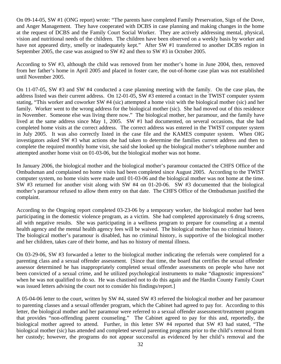On 09-14-05, SW #1 (ONG report) wrote: "The parents have completed Family Preservation, Sign of the Dove, and Anger Management. They have cooperated with DCBS in case planning and making changes in the home at the request of DCBS and the Family Court Social Worker. They are actively addressing mental, physical, vision and nutritional needs of the children. The children have been observed on a weekly basis by worker and have not appeared dirty, smelly or inadequately kept." After SW #1 transferred to another DCBS region in September 2005, the case was assigned to SW #2 and then to SW #3 in October 2005.

According to SW #3, although the child was removed from her mother's home in June 2004, then, removed from her father's home in April 2005 and placed in foster care, the out-of-home case plan was not established until November 2005.

On 11-07-05, SW #3 and SW #4 conducted a case planning meeting with the family. On the case plan, the address listed was their current address. On 12-01-05, SW #3 entered a contact in the TWIST computer system stating, "This worker and coworker SW #4 (sic) attempted a home visit with the biological mother (sic) and her family. Worker went to the wrong address for the biological mother (sic). She had moved out of this residence in November. Someone else was living there now." The biological mother, her paramour, and the family have lived at the same address since May 1, 2005. SW #1 had documented, on several occasions, that she had completed home visits at the correct address. The correct address was entered in the TWIST computer system in July 2005. It was also correctly listed in the case file and the KAMES computer system. When OIG investigators asked SW #3 what actions she had taken to determine the families current address and then to complete the required monthly home visit, she said she looked up the biological mother's telephone number and attempted another home visit on 01-03-06, but the biological mother was not home.

In January 2006, the biological mother and the biological mother's paramour contacted the CHFS Office of the Ombudsman and complained no home visits had been completed since August 2005. According to the TWIST computer system, no home visits were made until 01-03-06 and the biological mother was not home at the time. SW #3 returned for another visit along with SW #4 on 01-20-06. SW #3 documented that the biological mother's paramour refused to allow them entry on that date. The CHFS Office of the Ombudsman justified the complaint.

According to the Ongoing report completed 03-23-06 by a temporary worker, the biological mother had been participating in the domestic violence program, as a victim. She had completed approximately 6 drug screens, all with negative results. She was participating in a wellness program to prepare for counseling at a mental health agency and the mental health agency fees will be waived. The biological mother has no criminal history. The biological mother's paramour is disabled, has no criminal history, is supportive of the biological mother and her children, takes care of their home, and has no history of mental illness.

On 03-29-06, SW #3 forwarded a letter to the biological mother indicating the referrals were completed for a parenting class and a sexual offender assessment. [Since that time, the board that certifies the sexual offender assessor determined he has inappropriately completed sexual offender assessments on people who have not been convicted of a sexual crime, and he utilized psychological instruments to make "diagnostic impressions" when he was not qualified to do so. He was chastised not to do this again and the Hardin County Family Court was issued letters advising the court not to consider his findings/report.]

A 05-04-06 letter to the court, written by SW #4, stated SW #3 referred the biological mother and her paramour to parenting classes and a sexual offender program, which the Cabinet had agreed to pay for. According to this letter, the biological mother and her paramour were referred to a sexual offender assessment/treatment program that provides "non-offending parent counseling." The Cabinet agreed to pay for this and, reportedly, the biological mother agreed to attend. Further, in this letter SW #4 reported that SW #3 had stated, "The biological mother (sic) has attended and completed several parenting programs prior to the child's removal from her custody; however, the programs do not appear successful as evidenced by her child's removal and the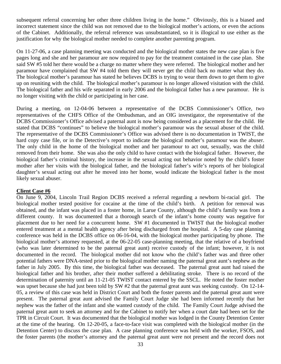subsequent referral concerning her other three children living in the home." Obviously, this is a biased and incorrect statement since the child was not removed due to the biological mother's actions, or even the actions of the Cabinet. Additionally, the referral reference was unsubstantiated, so it is illogical to use either as the justification for why the biological mother needed to complete another parenting program.

On 11-27-06, a case planning meeting was conducted and the biological mother states the new case plan is five pages long and she and her paramour are now required to pay for the treatment contained in the case plan. She said SW #5 told her there would be a charge no matter where they were referred. The biological mother and her paramour have complained that SW #4 told them they will never get the child back no matter what they do. The biological mother's paramour has stated he believes DCBS is trying to wear them down to get them to give up on reuniting with the child. The biological mother's paramour is no longer allowed visitation with the child. The biological father and his wife separated in early 2006 and the biological father has a new paramour. He is no longer visiting with the child or participating in her case.

During a meeting, on 12-04-06 between a representative of the DCBS Commissioner's Office, two representatives of the CHFS Office of the Ombudsman, and an OIG investigator, the representative of the DCBS Commissioner's Office advised a paternal aunt is now being considered as a placement for the child. He stated that DCBS "continues" to believe the biological mother's paramour was the sexual abuser of the child. The representative of the DCBS Commissioner's Office was advised there is no documentation in TWIST, the hard copy case file, or in the Detective's report to indicate the biological mother's paramour was the abuser. The only child in the home of the biological mother and her paramour to act out, sexually, was the child removed from their home. She was also the only child to have contact with the biological father. However, the biological father's criminal history, the increase in the sexual acting out behavior noted by the child's foster mother after her visits with the biological father, and the biological father's wife's reports of her biological daughter's sexual acting out after he moved into her home, would indicate the biological father is the most likely sexual abuser.

#### **Client Case #6**

On June 9, 2004, Lincoln Trail Region DCBS received a referral regarding a newborn bi-racial girl. The biological mother tested positive for cocaine at the time of the child's birth. A petition for removal was obtained, and the infant was placed in a foster home, in Larue County, although the child's family was from a different county. It was documented that a thorough search of the infant's home county was negative for placement due to her need for a concurrent home. SW #1 documented in TWIST that the biological mother entered treatment at a mental health agency after being discharged from the hospital. A 5-day case planning conference was held in the DCBS office on 06-16-04, with the biological mother participating by phone. The biological mother's attorney requested, at the 06-22-05 case-planning meeting, that the relative of a boyfriend (who was later determined to be the paternal great aunt) receive custody of the infant; however, it is not documented in the record. The biological mother did not know who the child's father was and three other potential fathers were DNA-tested prior to the biological mother naming the paternal great aunt's nephew as the father in July 2005. By this time, the biological father was deceased. The paternal great aunt had raised the biological father and his brother, after their mother suffered a debilitating stroke. There is no record of the determination of paternity until an 11-21-05 TWIST contact entered by the SSCL. He noted the foster mother was upset because she had just been told by SW #2 that the paternal great aunt was seeking custody. On 12-14- 05, a review of this case was held in District Court and both the foster parents and the paternal great aunt were present. The paternal great aunt advised the Family Court Judge she had been informed recently that her nephew was the father of the infant and she wanted custody of the child. The Family Court Judge advised the paternal great aunt to seek an attorney and for the Cabinet to notify her when a court date had been set for the TPR in Circuit Court. It was documented that the biological mother was lodged in the County Detention Center at the time of the hearing. On 12-20-05, a face-to-face visit was completed with the biological mother (in the Detention Center) to discuss the case plan. A case planning conference was held with the worker, FSOS, and the foster parents (the mother's attorney and the paternal great aunt were not present and the record does not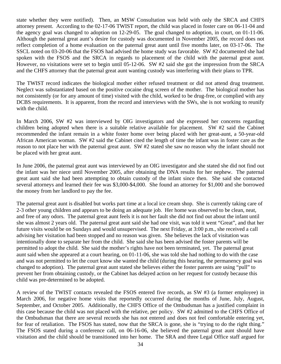state whether they were notified). Then, an MSW Consultation was held with only the SRCA and CHFS attorney present. According to the 02-17-06 TWIST report, the child was placed in foster care on 06-11-04 and the agency goal was changed to adoption on 12-29-05. The goal changed to adoption, in court, on 01-11-06. Although the paternal great aunt's desire for custody was documented in November 2005, the record does not reflect completion of a home evaluation on the paternal great aunt until five months later, on 03-17-06. The SSCL noted on 03-20-06 that the FSOS had advised the home study was favorable. SW #2 documented she had spoken with the FSOS and the SRCA in regards to placement of the child with the paternal great aunt. However, no visitations were set to begin until 05-12-06. SW #2 said she got the impression from the SRCA and the CHFS attorney that the paternal great aunt wanting custody was interfering with their plans to TPR.

The TWIST record indicates the biological mother either refused treatment or did not attend drug treatment. Neglect was substantiated based on the positive cocaine drug screen of the mother. The biological mother has not consistently (or for any amount of time) visited with the child, worked to be drug-free, or complied with any DCBS requirements. It is apparent, from the record and interviews with the SWs, she is not working to reunify with the child.

In March 2006, SW #2 was interviewed by OIG investigators and she expressed her concerns regarding children being adopted when there is a suitable relative available for placement. SW #2 said the Cabinet recommended the infant remain in a white foster home over being placed with her great-aunt, a 50-year-old African American woman. SW #2 said the Cabinet cited the length of time the infant was in foster care as the reason to not place her with the paternal great aunt. SW #2 stated she saw no reason why the infant should not be placed with her great aunt.

In June 2006, the paternal great aunt was interviewed by an OIG investigator and she stated she did not find out the infant was her niece until November 2005, after obtaining the DNA results for her nephew. The paternal great aunt said she had been attempting to obtain custody of the infant since then. She said she contacted several attorneys and learned their fee was \$3,000-\$4,000. She found an attorney for \$1,000 and she borrowed the money from her landlord to pay the fee.

The paternal great aunt is disabled but works part time at a local ice cream shop. She is currently taking care of 2-3 other young children and appears to be doing an adequate job. Her home was observed to be clean, neat, and free of any odors. The paternal great aunt feels it is not her fault she did not find out about the infant until she was almost 2 years old. The paternal great aunt said she had one visit, was told it went "Great", and that her future visits would be on Sundays and would unsupervised. The next Friday, at 3:00 p.m., she received a call advising her visitation had been stopped and no reason was given. She believes the lack of visitation was intentionally done to separate her from the child. She said she has been advised the foster parents will be permitted to adopt the child. She said the mother's rights have not been terminated, yet. The paternal great aunt said when she appeared at a court hearing, on 01-11-06, she was told she had nothing to do with the case and was not permitted to let the court know she wanted the child (during this hearing, the permanency goal was changed to adoption). The paternal great aunt stated she believes either the foster parents are using "pull" to prevent her from obtaining custody, or the Cabinet has delayed action on her request for custody because this child was pre-determined to be adopted.

A review of the TWIST contacts revealed the FSOS entered five records, as SW #3 (a former employee) in March 2006, for negative home visits that reportedly occurred during the months of June, July, August, September, and October 2005. Additionally, the CHFS Office of the Ombudsman has a justified complaint in this case because the child was not placed with the relative, per policy. SW #2 admitted to the CHFS Office of the Ombudsman that there are several records she has not entered and does not feel comfortable entering yet, for fear of retaliation. The FSOS has stated, now that the SRCA is gone, she is "trying to do the right thing." The FSOS stated during a conference call, on 06-16-06, she believed the paternal great aunt should have visitation and the child should be transitioned into her home. The SRA and three Legal Office staff argued for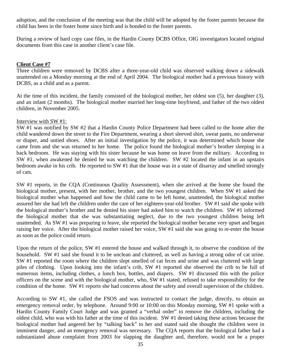adoption, and the conclusion of the meeting was that the child will be adopted by the foster parents because the child has been in the foster home since birth and is bonded to the foster parents.

During a review of hard copy case files, in the Hardin County DCBS Office, OIG investigators located original documents from this case in another client's case file.

#### **Client Case #7**

Three children were removed by DCBS after a three-year-old child was observed walking down a sidewalk unattended on a Monday morning at the end of April 2004. The biological mother had a previous history with DCBS, as a child and as a parent.

At the time of this incident, the family consisted of the biological mother, her oldest son (5), her daughter (3), and an infant (2 months). The biological mother married her long-time boyfriend, and father of the two oldest children, in November 2005.

#### Interview with SW #1:

SW #1 was notified by SW #2 that a Hardin County Police Department had been called to the home after the child wandered down the street to the Fire Department, wearing a short sleeved shirt, sweat pants, no underwear or diaper, and untied shoes. After an initial investigation by the police, it was determined which house she came from and she was returned to her home. The police found the biological mother's brother sleeping in a back bedroom. He was staying with his sister because he was home on leave from the military. According to SW #1, when awakened he denied he was watching the children. SW #2 located the infant in an upstairs bedroom awake in his crib. He reported to SW #1 that the house was in a state of disarray and smelled strongly of cats.

SW #1 reports, in the CQA (Continuous Quality Assessment), when she arrived at the home she found the biological mother, present, with her mother, brother, and the two youngest children. When SW #1 asked the biological mother what happened and how the child came to be left home, unattended, the biological mother assured her she had left the children under the care of her eighteen-year-old brother. SW #1 said she spoke with the biological mother's brother and he denied his sister had asked him to watch the children. SW #1 informed the biological mother that she was substantiating neglect, due to the two youngest children being left unattended. As SW #1 was preparing to leave, she reported the biological mother became very upset and began raising her voice. After the biological mother raised her voice, SW #1 said she was going to re-enter the house as soon as the police could return.

Upon the return of the police, SW #1 entered the house and walked through it, to observe the condition of the household. SW #1 said she found it to be unclean and cluttered, as well as having a strong odor of cat urine. SW #1 reported the room where the children slept smelled of cat feces and urine and was cluttered with large piles of clothing. Upon looking into the infant's crib, SW #1 reported she observed the crib to be full of numerous items, including clothes, a lunch box, bottles, and diapers. SW #1 discussed this with the police officers on the scene and with the biological mother, who, SW #1 stated, refused to take responsibility for the condition of the home. SW #1 reports she had concerns about the safety and overall supervision of the children.

According to SW #1, she called the FSOS and was instructed to contact the judge, directly, to obtain an emergency removal order, by telephone. Around 9:00 or 10:00 on this Monday morning, SW #1 spoke with a Hardin County Family Court Judge and was granted a "verbal order" to remove the children, including the oldest child, who was with his father at the time of this incident. SW #1 denied taking these actions because the biological mother had angered her by "talking back" to her and stated said she thought the children were in imminent danger, and an emergency removal was necessary. The CQA reports that the biological father had a substantiated abuse complaint from 2003 for slapping the daughter and, therefore, would not be a proper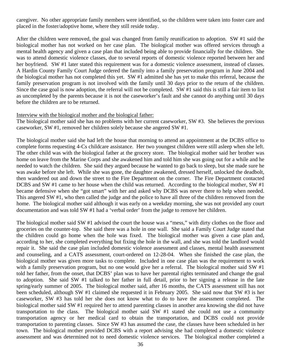caregiver. No other appropriate family members were identified, so the children were taken into foster care and placed in the foster/adoptive home, where they still reside today.

After the children were removed, the goal was changed from family reunification to adoption. SW #1 said the biological mother has not worked on her case plan. The biological mother was offered services through a mental health agency and given a case plan that included being able to provide financially for the children. She was to attend domestic violence classes, due to several reports of domestic violence reported between her and her boyfriend. SW #1 later stated this requirement was for a domestic violence assessment, instead of classes. A Hardin County Family Court Judge ordered the family into a family preservation program in June 2004 and the biological mother has not completed this yet. SW #1 admitted she has yet to make this referral, because the family preservation program is not involved with the family until 30 days prior to the return of the children. Since the case goal is now adoption, the referral will not be completed. SW #1 said this is still a fair item to list as uncompleted by the parents because it is not the caseworker's fault and she cannot do anything until 30 days before the children are to be returned.

#### Interview with the biological mother and the biological father:

The biological mother said she has no problems with her current caseworker, SW #3. She believes the previous caseworker, SW #1, removed her children solely because she angered SW #1.

The biological mother said she had left the house that morning to attend an appointment at the DCBS office to complete forms requesting 4-Cs childcare assistance. Her two youngest children were still asleep when she left. The other child was with the biological father at the grocery store. The biological mother said her brother was home on leave from the Marine Corps and she awakened him and told him she was going out for a while and he needed to watch the children. She said they argued because he wanted to go back to sleep, but she made sure he was awake before she left. While she was gone, the daughter awakened, dressed herself, unlocked the deadbolt, then wandered out and down the street to the Fire Department on the corner. The Fire Department contacted DCBS and SW #1 came to her house when the child was returned. According to the biological mother, SW #1 became defensive when she "got smart" with her and asked why DCBS was never there to help when needed. This angered SW #1, who then called the judge and the police to have all three of the children removed from the home. The biological mother said although it was early on a weekday morning, she was not provided any court documentation and was told SW #1 had a 'verbal order' from the judge to remove her children.

The biological mother said SW #1 advised the court the house was a "mess," with dirty clothes on the floor and groceries on the counter-top. She said there was a hole in one wall. She said a Family Court Judge stated that the children could go home when the hole was fixed. The biological mother was given a case plan and, according to her, she completed everything but fixing the hole in the wall, and she was told the landlord would repair it. She said the case plan included domestic violence assessment and classes, mental health assessment and counseling, and a CATS assessment, court-ordered on 12-28-04. When she finished the case plan, the biological mother was given more tasks to complete. Included in one case plan was the requirement to work with a family preservation program, but no one would give her a referral. The biological mother said SW #1 told her father, from the onset, that DCBS' plan was to have her parental rights terminated and change the goal to adoption. She said SW #1 talked to her father in full detail, prior to her signing a release in the late spring/early summer of 2005. The biological mother said, after 16 months, the CATS assessment still has not been scheduled, although SW #1 claimed she requested it in February 2005. She said now that SW #3 is her caseworker, SW #3 has told her she does not know what to do to have the assessment completed. The biological mother said SW #1 required her to attend parenting classes in another area knowing she did not have transportation to the class. The biological mother said SW #1 stated she could not use a community transportation agency or her medical card to obtain the transportation, and DCBS could not provide transportation to parenting classes. Since SW #3 has assumed the case, the classes have been scheduled in her town. The biological mother provided DCBS with a report advising she had completed a domestic violence assessment and was determined not to need domestic violence services. The biological mother completed a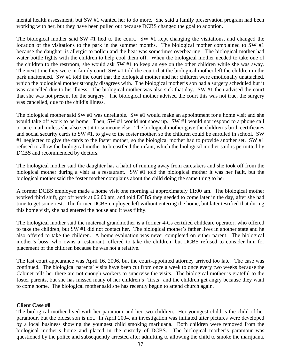mental health assessment, but SW #1 wanted her to do more. She said a family preservation program had been working with her, but they have been pulled out because DCBS changed the goal to adoption.

The biological mother said SW #1 lied to the court. SW #1 kept changing the visitations, and changed the location of the visitations to the park in the summer months. The biological mother complained to SW #1 because the daughter is allergic to pollen and the heat was sometimes overbearing. The biological mother had water bottle fights with the children to help cool them off. When the biological mother needed to take one of the children to the restroom, she would ask SW #1 to keep an eye on the other children while she was away. The next time they were in family court, SW #1 told the court that the biological mother left the children in the park unattended. SW #1 told the court that the biological mother and her children were emotionally unattached, which the biological mother strongly disagrees with. The biological mother's son had a surgery scheduled but it was cancelled due to his illness. The biological mother was also sick that day. SW #1 then advised the court that she was not present for the surgery. The biological mother advised the court this was not true, the surgery was cancelled, due to the child's illness.

The biological mother said SW #1 was unreliable. SW #1 would make an appointment for a home visit and she would take off work to be home. Then, SW #1 would not show up. SW #1 would not respond to a phone call or an e-mail, unless she also sent it to someone else. The biological mother gave the children's birth certificates and social security cards to SW #1, to give to the foster mother, so the children could be enrolled in school. SW #1 neglected to give the cards to the foster mother, so the biological mother had to provide another set. SW  $#1$ refused to allow the biological mother to breastfeed the infant, which the biological mother said is permitted by DCBS and recommended by doctors.

The biological mother said the daughter has a habit of running away from caretakers and she took off from the biological mother during a visit at a restaurant. SW #1 told the biological mother it was her fault, but the biological mother said the foster mother complains about the child doing the same thing to her.

A former DCBS employee made a home visit one morning at approximately 11:00 am. The biological mother worked third shift, got off work at 06:00 am, and told DCBS they needed to come later in the day, after she had time to get some rest. The former DCBS employee left without entering the home, but later testified that during this home visit, she had entered the house and it was filthy.

The biological mother said the maternal grandmother is a former 4-Cs certified childcare operator, who offered to take the children, but SW #1 did not contact her. The biological mother's father lives in another state and he also offered to take the children. A home evaluation was never completed on either parent. The biological mother's boss, who owns a restaurant, offered to take the children, but DCBS refused to consider him for placement of the children because he was not a relative.

The last court appearance was April 16, 2006, but the court-appointed attorney arrived too late. The case was continued. The biological parents' visits have been cut from once a week to once every two weeks because the Cabinet tells her there are not enough workers to supervise the visits. The biological mother is grateful to the foster parents, but she has missed many of her children's "firsts" and the children get angry because they want to come home. The biological mother said she has recently begun to attend church again.

#### **Client Case #8**

The biological mother lived with her paramour and her two children. Her youngest child is the child of her paramour, but the oldest son is not. In April 2004, an investigation was initiated after pictures were developed by a local business showing the youngest child smoking marijuana. Both children were removed from the biological mother's home and placed in the custody of DCBS. The biological mother's paramour was questioned by the police and subsequently arrested after admitting to allowing the child to smoke the marijuana.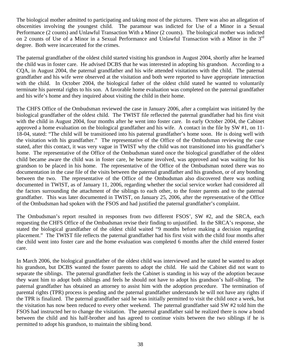The biological mother admitted to participating and taking most of the pictures. There was also an allegation of obscenities involving the youngest child. The paramour was indicted for Use of a Minor in a Sexual Performance (2 counts) and Unlawful Transaction With a Minor (2 counts). The biological mother was indicted on 2 counts of Use of a Minor in a Sexual Performance and Unlawful Transaction with a Minor in the 3<sup>rd</sup> degree. Both were incarcerated for the crimes.

The paternal grandfather of the oldest child started visiting his grandson in August 2004, shortly after he learned the child was in foster care. He advised DCBS that he was interested in adopting his grandson. According to a CQA, in August 2004, the paternal grandfather and his wife attended visitations with the child. The paternal grandfather and his wife were observed at the visitation and both were reported to have appropriate interaction with the child. In October 2004, the biological father of the oldest child stated he wanted to voluntarily terminate his parental rights to his son. A favorable home evaluation was completed on the paternal grandfather and his wife's home and they inquired about visiting the child in their home.

The CHFS Office of the Ombudsman reviewed the case in January 2006, after a complaint was initiated by the biological grandfather of the oldest child. The TWIST file reflected the paternal grandfather had his first visit with the child in August 2004, four months after he went into foster care. In early October 2004, the Cabinet approved a home evaluation on the biological grandfather and his wife. A contact in the file by SW #1, on 11- 18-04, stated: "The child will be transitioned into his paternal grandfather's home soon. He is doing well with the visitation with his grandfather." The representative of the Office of the Ombudsman reviewing the case stated, after this contact, it was very vague in TWIST why the child was not transitioned into his grandfather's home. The representative of the Office of the Ombudsman stated once the biological grandfather of the oldest child became aware the child was in foster care, he became involved, was approved and was waiting for his grandson to be placed in his home. The representative of the Office of the Ombudsman noted there was no documentation in the case file of the visits between the paternal grandfather and his grandson, or of any bonding between the two. The representative of the Office of the Ombudsman also discovered there was nothing documented in TWIST, as of January 11, 2006, regarding whether the social service worker had considered all the factors surrounding the attachment of the siblings to each other, to the foster parents and to the paternal grandfather. This was later documented in TWIST, on January 25, 2006, after the representative of the Office of the Ombudsman had spoken with the FSOS and had justified the paternal grandfather's complaint.

The Ombudsman's report resulted in responses from two different FSOS', SW #2, and the SRCA, each requesting the CHFS Office of the Ombudsman revise their finding to unjustified. In the SRCA's response, she stated the biological grandfather of the oldest child waited "9 months before making a decision regarding placement." The TWIST file reflects the paternal grandfather had his first visit with the child four months after the child went into foster care and the home evaluation was completed 6 months after the child entered foster care.

In March 2006, the biological grandfather of the oldest child was interviewed and he stated he wanted to adopt his grandson, but DCBS wanted the foster parents to adopt the child. He said the Cabinet did not want to separate the siblings. The paternal grandfather feels the Cabinet is standing in his way of the adoption because they want him to adopt both siblings and feels he should not have to adopt his grandson's half-sibling. The paternal grandfather has obtained an attorney to assist him with the adoption procedure. The termination of parental rights (TPR) process is pending and the paternal grandfather understands he will not have any rights if the TPR is finalized. The paternal grandfather said he was initially permitted to visit the child once a week, but the visitation has now been reduced to every other weekend. The paternal grandfather said SW #2 told him the FSOS had instructed her to change the visitation. The paternal grandfather said he realized there is now a bond between the child and his half-brother and has agreed to continue visits between the two siblings if he is permitted to adopt his grandson, to maintain the sibling bond.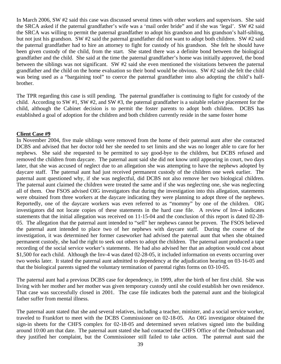In March 2006, SW #2 said this case was discussed several times with other workers and supervisors. She said the SRCA asked if the paternal grandfather's wife was a 'mail order bride" and if she was 'legal'. SW #2 said the SRCA was willing to permit the paternal grandfather to adopt his grandson and his grandson's half-sibling, but not just his grandson. SW #2 said the paternal grandfather did not want to adopt both children. SW #2 said the paternal grandfather had to hire an attorney to fight for custody of his grandson. She felt he should have been given custody of the child, from the start. She stated there was a definite bond between the biological grandfather and the child. She said at the time the paternal grandfather's home was initially approved, the bond between the siblings was not significant. SW #2 said she even mentioned the visitations between the paternal grandfather and the child on the home evaluation so their bond would be obvious. SW #2 said she felt the child was being used as a "bargaining tool" to coerce the paternal grandfather into also adopting the child's halfbrother.

The TPR regarding this case is still pending. The paternal grandfather is continuing to fight for custody of the child. According to SW #1, SW #2, and SW #3, the paternal grandfather is a suitable relative placement for the child, although the Cabinet decision is to permit the foster parents to adopt both children. DCBS has established a goal of adoption for the children and both children currently reside in the same foster home

#### **Client Case #9**

In November 2004, five male siblings were removed from the home of their paternal aunt after she contacted DCBS and advised that her doctor told her she needed to set limits and she was no longer able to care for her nephews. She said she requested to be permitted to say good-bye to the children, but DCBS refused and removed the children from daycare. The paternal aunt said she did not know until appearing in court, two days later, that she was accused of neglect due to an allegation she was attempting to have the nephews adopted by daycare staff. The paternal aunt had just received permanent custody of the children one week earlier. The paternal aunt questioned why, if she was neglectful, did DCBS not also remove her two biological children. The paternal aunt claimed the children were treated the same and if she was neglecting one, she was neglecting all of them. One FSOS advised OIG investigators that during the investigation into this allegation, statements were obtained from three workers at the daycare indicating they were planning to adopt three of the nephews. Reportedly, one of the daycare workers was even referred to as "mommy" by one of the children. OIG investigators did not locate copies of these statements in the hard case file. A review of Inv-4 indicates statements that the initial allegation was received on 11-15-04 and the conclusion of this report is dated 02-28- 05. The allegation that the paternal aunt intended to "sell" her nephews cannot be proven. The FSOS believed the paternal aunt intended to place two of her nephews with daycare staff. During the course of the investigation, it was determined her former caseworker had advised the paternal aunt that when she obtained permanent custody, she had the right to seek out others to adopt the children. The paternal aunt produced a tape recording of the social service worker's statements. He had also advised her that an adoption would cost about \$1,500 for each child. Although the Inv-4 was dated 02-28-05, it included information on events occurring over two weeks later. It stated the paternal aunt admitted to dependency at the adjudication hearing on 03-16-05 and that the biological parents signed the voluntary termination of parental rights forms on 03-10-05.

The paternal aunt had a previous DCBS case for dependency, in 1999, after the birth of her first child. She was living with her mother and her mother was given temporary custody until she could establish her own residence. That case was successfully closed in 2001. The case file indicates both the paternal aunt and the biological father suffer from mental illness.

The paternal aunt stated that she and several relatives, including a teacher, minister, and a social service worker, traveled to Frankfort to meet with the DCBS Commissioner on 02-18-05. An OIG investigator obtained the sign-in sheets for the CHFS complex for 02-18-05 and determined seven relatives signed into the building around 10:00 am that date. The paternal aunt stated she had contacted the CHFS Office of the Ombudsman and they justified her complaint, but the Commissioner still failed to take action. The paternal aunt said the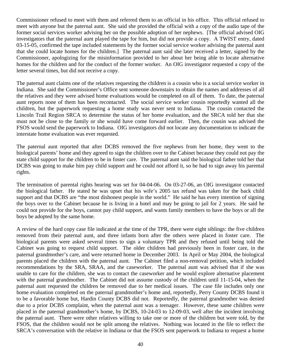Commissioner refused to meet with them and referred them to an official in his office. This official refused to meet with anyone but the paternal aunt. She said she provided the official with a copy of the audio tape of the former social services worker advising her on the possible adoption of her nephews. [The official advised OIG investigators that the paternal aunt played the tape for him, but did not provide a copy. A TWIST entry, dated 03-15-05, confirmed the tape included statements by the former social service worker advising the paternal aunt that she could locate homes for the children.] The paternal aunt said she later received a letter, signed by the Commissioner, apologizing for the misinformation provided to her about her being able to locate alternative homes for the children and for the conduct of the former worker. An OIG investigator requested a copy of the letter several times, but did not receive a copy.

The paternal aunt claims one of the relatives requesting the children is a cousin who is a social service worker in Indiana. She said the Commissioner's Office sent someone downstairs to obtain the names and addresses of all the relatives and they were advised home evaluations would be completed on all of them. To date, the paternal aunt reports none of them has been recontacted. The social service worker cousin reportedly wanted all the children, but the paperwork requesting a home study was never sent to Indiana. The cousin contacted the Lincoln Trail Region SRCA to determine the status of her home evaluation, and the SRCA told her that she must not be close to the family or she would have come forward earlier. Then, the cousin was advised the FSOS would send the paperwork to Indiana. OIG investigators did not locate any documentation to indicate the interstate home evaluation was ever requested.

The paternal aunt reported that after DCBS removed the five nephews from her home, they went to the biological parents' home and they agreed to sign the children over to the Cabinet because they could not pay the state child support for the children to be in foster care. The paternal aunt said the biological father told her that DCBS was going to make him pay child support and he could not afford it, so he had to sign away his parental rights.

The termination of parental rights hearing was set for 04-04-06. On 03-27-06, an OIG investigator contacted the biological father. He stated he was upset that his wife's 2005 tax refund was taken for the back child support and that DCBS are "the most dishonest people in the world." He said he has every intention of signing the boys over to the Cabinet because he is living in a hotel and may be going to jail for 2 years. He said he could not provide for the boys, cannot pay child support, and wants family members to have the boys or all the boys be adopted by the same home.

A review of the hard copy case file indicated at the time of the TPR, there were eight siblings: the five children removed from their paternal aunt, and three infants born after the others were placed in foster care. The biological parents were asked several times to sign a voluntary TPR and they refused until being told the Cabinet was going to request child support. The older children had previously been in foster care, in the paternal grandmother's care, and were returned home in December 2003. In April or May 2004, the biological parents placed the children with the paternal aunt. The Cabinet filed a non-removal petition, which included recommendations by the SRA, SRAA, and the caseworker. The paternal aunt was advised that if she was unable to care for the children, she was to contact the caseworker and he would explore alternative placement with the paternal grandmother. The Cabinet did not assume custody of the children until 11-15-04, when the paternal aunt requested the children be removed due to her medical issues. The case file includes only one home evaluation completed on the paternal grandmother's home and, reportedly, Perry County DCBS found it to be a favorable home but, Hardin County DCBS did not. Reportedly, the paternal grandmother was denied due to a prior DCBS complaint, when the paternal aunt was a teenager. However, these same children were placed in the paternal grandmother's home, by DCBS, 10-24-03 to 12-09-03, well after the incident involving the paternal aunt. There were other relatives willing to take one or more of the children but were told, by the FSOS, that the children would not be split among the relatives. Nothing was located in the file to reflect the SRCA's conversation with the relative in Indiana or that the FSOS sent paperwork to Indiana to request a home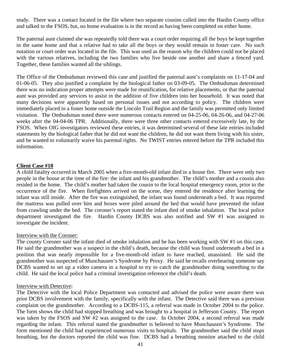study. There was a contact located in the file where two separate cousins called into the Hardin County office and talked to the FSOS, but, no home evaluation is in the record as having been completed on either home.

The paternal aunt claimed she was repeatedly told there was a court order requiring all the boys be kept together in the same home and that a relative had to take all the boys or they would remain in foster care. No such notation or court order was located in the file. This was used as the reason why the children could not be placed with the various relatives, including the two families who live beside one another and share a fenced yard. Together, these families wanted all the siblings.

The Office of the Ombudsman reviewed this case and justified the paternal aunt's complaints on 11-17-04 and 01-06-05. They also justified a complaint by the biological father on 03-09-05. The Ombudsman determined there was no indication proper attempts were made for reunification, for relative placements, or that the paternal aunt was provided any services to assist in the addition of five children into her household. It was noted that many decisions were apparently based on personal issues and not according to policy. The children were immediately placed in a foster home outside the Lincoln Trail Region and the family was permitted only limited visitation. The Ombudsman noted there were numerous contacts entered on 04-25-06, 04-26-06, and 04-27-06 weeks after the 04-04-06 TPR. Additionally, there were three other contacts entered excessively late, by the FSOS. When OIG investigators reviewed these entries, it was determined several of these late entries included statements by the biological father that he did not want the children, he did not want them living with his sister, and he wanted to voluntarily waive his parental rights. No TWIST entries entered before the TPR included this information.

#### **Client Case #10**

A child fatality occurred in March 2005 when a five-month-old infant died in a house fire. There were only two people in the house at the time of the fire: the infant and his grandmother. The child's mother and a cousin also resided in the home. The child's mother had taken the cousin to the local hospital emergency room, prior to the occurrence of the fire. When firefighters arrived on the scene, they entered the residence after learning the infant was still inside. After the fire was extinguished, the infant was found underneath a bed. It was reported the mattress was pulled over him and boxes were piled around the bed that would have prevented the infant from crawling under the bed. The coroner's report stated the infant died of smoke inhalation. The local police department investigated the fire. Hardin County DCBS was also notified and SW #1 was assigned to investigate the incident.

#### Interview with the Coroner:

The county Coroner said the infant died of smoke inhalation and he has been working with SW #1 on this case. He said the grandmother was a suspect in the child's death, because the child was found underneath a bed in a position that was nearly impossible for a five-month-old infant to have reached, unassisted. He said the grandmother was suspected of Munchausen's Syndrome by Proxy. He said he recalls overhearing someone say DCBS wanted to set up a video camera in a hospital to try to catch the grandmother doing something to the child. He said the local police had a criminal investigation reference the child's death.

#### Interview with Detective:

The Detective with the local Police Department was contacted and advised the police were aware there was prior DCBS involvement with the family, specifically with the infant. The Detective said there was a previous complaint on the grandmother. According to a DCBS-115, a referral was made in October 2004 to the police. The form shows the child had stopped breathing and was brought to a hospital in Jefferson County. The report was taken by the FSOS and SW #2 was assigned to the case. In October 2004, a second referral was made regarding the infant. This referral stated the grandmother is believed to have Munchausen's Syndrome. The form mentioned the child had experienced numerous visits to hospitals. The grandmother said the child stops breathing, but the doctors reported the child was fine. DCBS had a breathing monitor attached to the child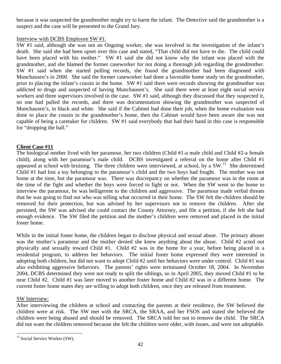<span id="page-44-0"></span>because it was suspected the grandmother might try to harm the infant. The Detective said the grandmother is a suspect and the case will be presented to the Grand Jury.

#### Interview with DCBS Employee SW #1:

SW #1 said, although she was not an Ongoing worker, she was involved in the investigation of the infant's death. She said she had been upset over this case and stated, "That child did not have to die. The child could have been placed with his mother." SW #1 said she did not know why the infant was placed with the grandmother, and she blamed the former caseworker for not doing a thorough job regarding the grandmother. SW #1 said when she started pulling records, she found the grandmother had been diagnosed with Munchausen's in 2000. She said the former caseworker had done a favorable home study on the grandmother, prior to placing the infant's cousin in the home. SW #1 said there were records showing the grandmother was addicted to drugs and suspected of having Munchausen's. She said there were at least eight social service workers and three supervisors involved in the case. SW #1 said, although they discussed that they suspected it, no one had pulled the records, and there was documentation showing the grandmother was suspected of Munchausen's, in black and white. She said if the Cabinet had done their job, when the home evaluation was done to place the cousin in the grandmother's home, then the Cabinet would have been aware she was not capable of being a caretaker for children. SW #1 said everybody that had their hand in this case is responsible for "dropping the ball."

# **Client Case #11**

The biological mother lived with her paramour, her two children (Child #1-a male child and Child #2-a female child), along with her paramour's male child. DCBS investigated a referral on the home after Child #1 appeared at school with bruising. The three children were interviewed, at school, by a  $SW<sup>15</sup>$  $SW<sup>15</sup>$  $SW<sup>15</sup>$ . She determined Child #1 had lost a toy belonging to the paramour's child and the two boys had fought. The mother was not home at the time, but the paramour was. There was discrepancy on whether the paramour was in the room at the time of the fight and whether the boys were forced to fight or not. When the SW went to the home to interview the paramour, he was belligerent to the children and aggressive. The paramour made verbal threats that he was going to find out who was telling what occurred in their home. The SW felt the children should be removed for their protection, but was advised by her supervisors not to remove the children. After she persisted, the SW was advised she could contact the County Attorney, and file a petition, if she felt she had enough evidence. The SW filed the petition and the mother's children were removed and placed in the initial foster home.

While in the initial foster home, the children began to disclose physical and sexual abuse. The primary abuser was the mother's paramour and the mother denied she knew anything about the abuse. Child #2 acted out physically and sexually toward Child #1. Child #2 was in the home for a year, before being placed in a residential program, to address her behaviors. The initial foster home expressed they were interested in adopting both children, but did not want to adopt Child #2 until her behaviors were under control. Child #1 was also exhibiting aggressive behaviors. The parents' rights were terminated October 18, 2004. In November 2004, DCBS determined they were not ready to split the siblings, so in April 2005, they moved Child #1 to be near Child #2. Child #1 was later moved to another foster home and Child #2 was in a different home. The current foster home states they are willing to adopt both children, once they are released from treatment.

# SW Interview:

After interviewing the children at school and contacting the parents at their residence, the SW believed the children were at risk. The SW met with the SRCA, the SRAA, and her FSOS and stated she believed the children were being abused and should be removed. The SRCA told her not to remove the child. The SRCA did not want the children removed because she felt the children were older, with issues, and were not adoptable.

<sup>1</sup> <sup>15</sup> Social Service Worker (SW).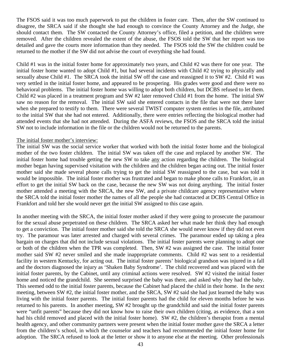The FSOS said it was too much paperwork to put the children in foster care. Then, after the SW continued to disagree, the SRCA said if she thought she had enough to convince the County Attorney and the Judge, she should contact them. The SW contacted the County Attorney's office, filed a petition, and the children were removed. After the children revealed the extent of the abuse, the FSOS told the SW that her report was too detailed and gave the courts more information than they needed. The FSOS told the SW the children could be returned to the mother if the SW did not advise the court of everything she had found.

Child #1 was in the initial foster home for approximately two years, and Child #2 was there for one year. The initial foster home wanted to adopt Child #1, but had several incidents with Child #2 trying to physically and sexually abuse Child #1. The SRCA took the initial SW off the case and reassigned it to SW #2. Child #1 was very settled in the initial foster home, and appeared to be prospering. His grades were good and there were no behavioral problems. The initial foster home was willing to adopt both children, but DCBS refused to let them. Child #2 was placed in a treatment program and SW #2 later removed Child #1 from the home. The initial SW saw no reason for the removal. The initial SW said she entered contacts in the file that were not there later when she prepared to testify to them. There were several TWIST computer system entries in the file, attributed to the initial SW that she had not entered. Additionally, there were entries reflecting the biological mother had attended events that she had not attended. During the ASFA reviews, the FSOS and the SRCA told the initial SW not to include information in the file or the children would not be returned to the parents.

#### The initial foster mother's interview:

The initial SW was the social service worker that worked with both the initial foster home and the biological mother of the two foster children. The initial SW was taken off the case and replaced by another SW. The initial foster home had trouble getting the new SW to take any action regarding the children. The biological mother began having supervised visitation with the children and the children began acting out. The initial foster mother said she made several phone calls trying to get the initial SW reassigned to the case, but was told it would be impossible. The initial foster mother was frustrated and began to make phone calls to Frankfort, in an effort to get the initial SW back on the case, because the new SW was not doing anything. The initial foster mother attended a meeting with the SRCA, the new SW, and a private childcare agency representative where the SRCA told the initial foster mother the names of all the people she had contacted at DCBS Central Office in Frankfort and told her she would never get the initial SW assigned to this case again.

In another meeting with the SRCA, the initial foster mother asked if they were going to prosecute the paramour for the sexual abuse perpetrated on these children. The SRCA asked her what made her think they had enough to get a conviction. The initial foster mother said she told the SRCA she would never know if they did not even try. The paramour was later arrested and charged with several crimes. The paramour ended up taking a plea bargain on charges that did not include sexual violations. The initial foster parents were planning to adopt one or both of the children when the TPR was completed. Then, SW #2 was assigned the case. The initial foster mother said SW #2 never smiled and she made inappropriate comments. Child #2 was sent to a residential facility in western Kentucky, for acting out. The initial foster parents' biological grandson was injured in a fall and the doctors diagnosed the injury as 'Shaken Baby Syndrome'. The child recovered and was placed with the initial foster parents, by the Cabinet, until any criminal actions were resolved. SW #2 visited the initial foster home and noticed the grandchild. She seemed surprised the baby was there, and asked why they had the baby. This seemed odd to the initial foster parents, because the Cabinet had placed the child in their home. In the next meeting, between SW #2, the initial foster mother, and the SRCA, SW #2 said she had just learned the baby was living with the initial foster parents. The initial foster parents had the child for eleven months before he was returned to his parents. In another meeting, SW #2 brought up the grandchild and said the initial foster parents were "unfit parents" because they did not know how to raise their own children (citing, as evidence, that a son had his child removed and placed with the initial foster home). SW #2, the children's therapist from a mental health agency, and other community partners were present when the initial foster mother gave the SRCA a letter from the children's school, in which the counselor and teachers had recommended the initial foster home for adoption. The SRCA refused to look at the letter or show it to anyone else at the meeting. Other professionals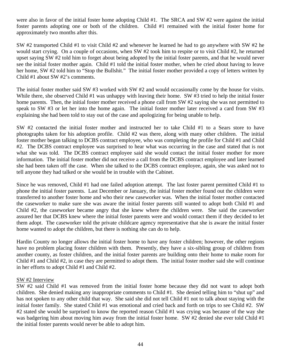were also in favor of the initial foster home adopting Child #1. The SRCA and SW #2 were against the initial foster parents adopting one or both of the children. Child #1 remained with the initial foster home for approximately two months after this.

SW #2 transported Child #1 to visit Child #2 and whenever he learned he had to go anywhere with SW #2 he would start crying. On a couple of occasions, when SW #2 took him to respite or to visit Child #2, he returned upset saying SW #2 told him to forget about being adopted by the initial foster parents, and that he would never see the initial foster mother again. Child #1 told the initial foster mother, when he cried about having to leave her home, SW #2 told him to "Stop the Bullshit." The initial foster mother provided a copy of letters written by Child #1 about SW #2's comments.

The initial foster mother said SW #3 worked with SW #2 and would occasionally come by the house for visits. While there, she observed Child #1 was unhappy with leaving their home. SW #3 tried to help the initial foster home parents. Then, the initial foster mother received a phone call from SW #2 saying she was not permitted to speak to SW #3 or let her into the home again. The initial foster mother later received a card from SW #3 explaining she had been told to stay out of the case and apologizing for being unable to help.

SW #2 contacted the initial foster mother and instructed her to take Child #1 to a Sears store to have photographs taken for his adoption profile. Child #2 was there, along with many other children. The initial foster mother began talking to DCBS contract employee, who was completing the profile for Child #1 and Child #2. The DCBS contract employee was surprised to hear what was occurring in the case and stated that is not what she was told. The DCBS contract employee said she would contact the initial foster mother for more information. The initial foster mother did not receive a call from the DCBS contract employee and later learned she had been taken off the case. When she talked to the DCBS contract employee, again, she was asked not to tell anyone they had talked or she would be in trouble with the Cabinet.

Since he was removed, Child #1 had one failed adoption attempt. The last foster parent permitted Child #1 to phone the initial foster parents. Last December or January, the initial foster mother found out the children were transferred to another foster home and who their new caseworker was. When the initial foster mother contacted the caseworker to make sure she was aware the initial foster parents still wanted to adopt both Child #1 and Child #2, the caseworker became angry that she knew where the children were. She said the caseworker assured her that DCBS knew where the initial foster parents were and would contact them if they decided to let them adopt. The caseworker told the private childcare agency representative that she is aware the initial foster home wanted to adopt the children, but there is nothing she can do to help.

Hardin County no longer allows the initial foster home to have any foster children; however, the other regions have no problem placing foster children with them. Presently, they have a six-sibling group of children from another county, as foster children, and the initial foster parents are building onto their home to make room for Child #1 and Child #2, in case they are permitted to adopt them. The initial foster mother said she will continue in her efforts to adopt Child #1 and Child #2.

#### SW #2 Interview

SW #2 said Child #1 was removed from the initial foster home because they did not want to adopt both children. She denied making any inappropriate comments to Child #1. She denied telling him to "shut up" and has not spoken to any other child that way. She said she did not tell Child #1 not to talk about staying with the initial foster family. She stated Child #1 was emotional and cried back and forth on trips to see Child #2. SW #2 stated she would be surprised to know the reported reason Child #1 was crying was because of the way she was badgering him about moving him away from the initial foster home. SW #2 denied she ever told Child #1 the initial foster parents would never be able to adopt him.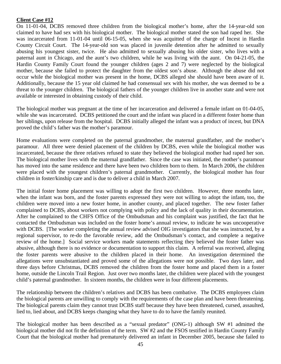#### **Client Case #12**

On 11-01-04, DCBS removed three children from the biological mother's home, after the 14-year-old son claimed to have had sex with his biological mother. The biological mother stated the son had raped her. She was incarcerated from 11-01-04 until 06-15-05, when she was acquitted of the charge of Incest in Hardin County Circuit Court. The 14-year-old son was placed in juvenile detention after he admitted to sexually abusing his youngest sister, twice. He also admitted to sexually abusing his older sister, who lives with a paternal aunt in Chicago, and the aunt's two children, while he was living with the aunt. On 04-21-05, the Hardin County Family Court found the younger children (ages 2 and 7) were neglected by the biological mother, because she failed to protect the daughter from the oldest son's abuse. Although the abuse did not occur while the biological mother was present in the home, DCBS alleged she should have been aware of it. Additionally, because the 15 year old claimed he had consensual sex with his mother, she was deemed to be a threat to the younger children. The biological fathers of the younger children live in another state and were not available or interested in obtaining custody of their child.

The biological mother was pregnant at the time of her incarceration and delivered a female infant on 01-04-05, while she was incarcerated. DCBS petitioned the court and the infant was placed in a different foster home than her siblings, upon release from the hospital. DCBS initially alleged the infant was a product of incest, but DNA proved the child's father was the mother's paramour.

Home evaluations were completed on the paternal grandmother, the maternal grandfather, and the mother's paramour. All three were denied placement of the children by DCBS, even while the biological mother was incarcerated, because the three relatives refused to state they believed the biological mother had raped her son. The biological mother lives with the maternal grandfather. Since the case was initiated, the mother's paramour has moved into the same residence and there have been two children born to them. In March 2006, the children were placed with the youngest children's paternal grandmother. Currently, the biological mother has four children in foster/kinship care and is due to deliver a child in March 2007.

The initial foster home placement was willing to adopt the first two children. However, three months later, when the infant was born, and the foster parents expressed they were not willing to adopt the infant, too, the children were moved into a new foster home, in another county, and placed together. The new foster father complained to DCBS, about workers not complying with policy and the lack of quality in their documentation. After he complained to the CHFS Office of the Ombudsman and his complaint was justified, the fact that he contacted the Ombudsman was included on the foster home's annual review, to indicate he was uncooperative with DCBS. [The worker completing the annual review advised OIG investigators that she was instructed, by a regional supervisor, to re-do the favorable review, add the Ombudsman's contact, and complete a negative review of the home.] Social service workers made statements reflecting they believed the foster father was abusive, although there is no evidence or documentation to support this claim. A referral was received, alleging the foster parents were abusive to the children placed in their home. An investigation determined the allegations were unsubstantiated and proved some of the allegations were not possible. Two days later, and three days before Christmas, DCBS removed the children from the foster home and placed them in a foster home, outside the Lincoln Trail Region. Just over two months later, the children were placed with the youngest child's paternal grandmother. In sixteen months, the children were in four different placements.

The relationship between the children's relatives and DCBS has been combative. The DCBS employees claim the biological parents are unwilling to comply with the requirements of the case plan and have been threatening. The biological parents claim they cannot trust DCBS staff because they have been threatened, cursed, assaulted, lied to, lied about, and DCBS keeps changing what they have to do to have the family reunited.

The biological mother has been described as a "sexual predator" (ONG-1) although SW #1 admitted the biological mother did not fit the definition of the term. SW #2 and the FSOS testified in Hardin County Family Court that the biological mother had prematurely delivered an infant in December 2005, because she failed to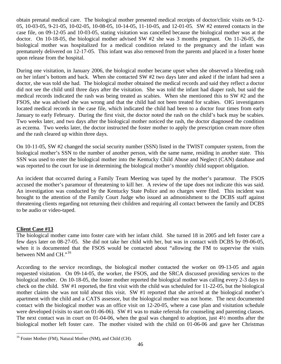<span id="page-48-0"></span>obtain prenatal medical care. The biological mother presented medical receipts of doctor/clinic visits on 9-12- 05, 10-03-05, 9-21-05, 10-02-05, 10-08-05, 10-14-05, 11-10-05, and 12-01-05. SW #2 entered contacts in the case file, on 09-12-05 and 10-03-05, stating visitation was cancelled because the biological mother was at the doctor. On 10-18-05, the biological mother advised SW #2 she was 3 months pregnant. On 11-26-05, the biological mother was hospitalized for a medical condition related to the pregnancy and the infant was prematurely delivered on 12-17-05. This infant was also removed from the parents and placed in a foster home upon release from the hospital.

During one visitation, in January 2006, the biological mother became upset when she observed a bleeding rash on her infant's bottom and back. When she contacted SW #2 two days later and asked if the infant had seen a doctor, she was told she had. The biological mother obtained the medical records and said they reflect a doctor did not see the child until three days after the visitation. She was told the infant had diaper rash, but said the medical records indicated the rash was being treated as scabies. When she mentioned this to SW #2 and the FSOS, she was advised she was wrong and that the child had not been treated for scabies. OIG investigators located medical records in the case file, which indicated the child had been to a doctor four times from early January to early February. During the first visit, the doctor noted the rash on the child's back may be scabies. Two weeks later, and two days after the biological mother noticed the rash, the doctor diagnosed the condition as eczema. Two weeks later, the doctor instructed the foster mother to apply the prescription cream more often and the rash cleared up within three days.

On 10-11-05, SW #2 changed the social security number (SSN) listed in the TWIST computer system, from the biological mother's SSN to the number of another person, with the same name, residing in another state. This SSN was used to enter the biological mother into the Kentucky Child Abuse and Neglect (CAN) database and was reported to the court for use in determining the biological mother's monthly child support obligation.

An incident that occurred during a Family Team Meeting was taped by the mother's paramour. The FSOS accused the mother's paramour of threatening to kill her. A review of the tape does not indicate this was said. An investigation was conducted by the Kentucky State Police and no charges were filed. This incident was brought to the attention of the Family Court Judge who issued an admonishment to the DCBS staff against threatening clients regarding not returning their children and requiring all contact between the family and DCBS to be audio or video-taped.

# **Client Case #13**

The biological mother came into foster care with her infant child. She turned 18 in 2005 and left foster care a few days later on 08-27-05. She did not take her child with her, but was in contact with DCBS by 09-06-05, when it is documented that the FSOS would be contacted about "allowing the FM to supervise the visits between NM and CH."<sup>[1](#page-48-0)6</sup>

According to the service recordings, the biological mother contacted the worker on 09-13-05 and again requested visitation. On 09-14-05, the worker, the FSOS, and the SRCA discussed providing services to the biological mother. On 10-18-05, the foster mother reported the biological mother was calling every 2-3 days to check on the child. SW #1 reported, the first visit with the child was scheduled for 11-22-05, but the biological mother claims she was not told about this visit. SW #1 reported that she arrived at the biological mother's apartment with the child and a CATS assessor, but the biological mother was not home. The next documented contact with the biological mother was an office visit on 12-20-05, where a case plan and visitation schedule were developed (visits to start on 01-06-06). SW #1 was to make referrals for counseling and parenting classes. The next contact was in court on 01-04-06, when the goal was changed to adoption, just 4½ months after the biological mother left foster care. The mother visited with the child on 01-06-06 and gave her Christmas

<sup>1</sup> <sup>16</sup> Foster Mother (FM), Natural Mother (NM), and Child (CH).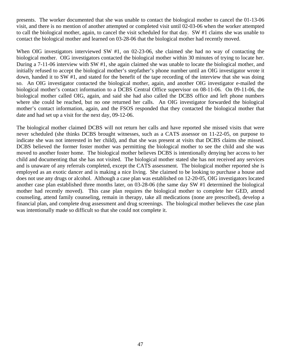presents. The worker documented that she was unable to contact the biological mother to cancel the 01-13-06 visit, and there is no mention of another attempted or completed visit until 02-03-06 when the worker attempted to call the biological mother, again, to cancel the visit scheduled for that day. SW #1 claims she was unable to contact the biological mother and learned on 03-28-06 that the biological mother had recently moved.

When OIG investigators interviewed SW #1, on 02-23-06, she claimed she had no way of contacting the biological mother. OIG investigators contacted the biological mother within 30 minutes of trying to locate her. During a 7-11-06 interview with SW #1, she again claimed she was unable to locate the biological mother, and initially refused to accept the biological mother's stepfather's phone number until an OIG investigator wrote it down, handed it to SW #1, and stated for the benefit of the tape recording of the interview that she was doing so. An OIG investigator contacted the biological mother, again, and another OIG investigator e-mailed the biological mother's contact information to a DCBS Central Office supervisor on 08-11-06. On 09-11-06, the biological mother called OIG, again, and said she had also called the DCBS office and left phone numbers where she could be reached, but no one returned her calls. An OIG investigator forwarded the biological mother's contact information, again, and the FSOS responded that they contacted the biological mother that date and had set up a visit for the next day, 09-12-06.

The biological mother claimed DCBS will not return her calls and have reported she missed visits that were never scheduled (she thinks DCBS brought witnesses, such as a CATS assessor on 11-22-05, on purpose to indicate she was not interested in her child), and that she was present at visits that DCBS claims she missed. DCBS believed the former foster mother was permitting the biological mother to see the child and she was moved to another foster home. The biological mother believes DCBS is intentionally denying her access to her child and documenting that she has not visited. The biological mother stated she has not received any services and is unaware of any referrals completed, except the CATS assessment. The biological mother reported she is employed as an exotic dancer and is making a nice living. She claimed to be looking to purchase a house and does not use any drugs or alcohol. Although a case plan was established on 12-20-05, OIG investigators located another case plan established three months later, on 03-28-06 (the same day SW #1 determined the biological mother had recently moved). This case plan requires the biological mother to complete her GED, attend counseling, attend family counseling, remain in therapy, take all medications (none are prescribed), develop a financial plan, and complete drug assessment and drug screenings. The biological mother believes the case plan was intentionally made so difficult so that she could not complete it.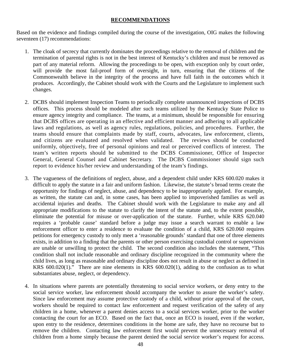#### **RECOMMENDATIONS**

Based on the evidence and findings compiled during the course of the investigation, OIG makes the following seventeen (17) recommendations:

- 1. The cloak of secrecy that currently dominates the proceedings relative to the removal of children and the termination of parental rights is not in the best interest of Kentucky's children and must be removed as part of any material reform. Allowing the proceedings to be open, with exception only by court order, will provide the most fail-proof form of oversight, in turn, ensuring that the citizens of the Commonwealth believe in the integrity of the process and have full faith in the outcomes which it produces. Accordingly, the Cabinet should work with the Courts and the Legislature to implement such changes.
- 2. DCBS should implement Inspection Teams to periodically complete unannounced inspections of DCBS offices. This process should be modeled after such teams utilized by the Kentucky State Police to ensure agency integrity and compliance. The teams, at a minimum, should be responsible for ensuring that DCBS offices are operating in an effective and efficient manner and adhering to all applicable laws and regulations, as well as agency rules, regulations, policies, and procedures. Further, the teams should ensure that complaints made by staff, courts, advocates, law enforcement, clients, and citizens are evaluated and resolved when validated. The reviews should be conducted uniformly, objectively, free of personal opinions and real or perceived conflicts of interest. The team's written reports should be submitted to the DCBS Commissioner, Office of Inspector General, General Counsel and Cabinet Secretary. The DCBS Commissioner should sign such report to evidence his/her review and understanding of the team's findings.
- 3. The vagueness of the definitions of neglect, abuse, and a dependent child under KRS 600.020 makes it difficult to apply the statute in a fair and uniform fashion. Likewise, the statute's broad terms create the opportunity for findings of neglect, abuse, and dependency to be inappropriately applied. For example, as written, the statute can and, in some cases, has been applied to impoverished families as well as accidental injuries and deaths. The Cabinet should work with the Legislature to make any and all appropriate modifications to the statute to clarify the intent of the statute and, to the extent possible, eliminate the potential for misuse or over-application of the statute. Further, while KRS 620.040 requires a 'probable cause' standard before a judge may issue a search warrant to enable a law enforcement officer to enter a residence to evaluate the condition of a child, KRS 620.060 requires petitions for emergency custody to only meet a 'reasonable grounds' standard that one of three elements exists, in addition to a finding that the parents or other person exercising custodial control or supervision are unable or unwilling to protect the child. The second condition also includes the statement, "This condition shall not include reasonable and ordinary discipline recognized in the community where the child lives, as long as reasonable and ordinary discipline does not result in abuse or neglect as defined in KRS  $600.020(1)$ ." There are nine elements in KRS  $600.020(1)$ , adding to the confusion as to what substantiates abuse, neglect, or dependency.
- 4. In situations where parents are potentially threatening to social service workers, or deny entry to the social service worker, law enforcement should accompany the worker to assure the worker's safety. Since law enforcement may assume protective custody of a child, without prior approval of the court, workers should be required to contact law enforcement and request verification of the safety of any children in a home, whenever a parent denies access to a social services worker, prior to the worker contacting the court for an ECO. Based on the fact that, once an ECO is issued, even if the worker, upon entry to the residence, determines conditions in the home are safe, they have no recourse but to remove the children. Contacting law enforcement first would prevent the unnecessary removal of children from a home simply because the parent denied the social service worker's request for access.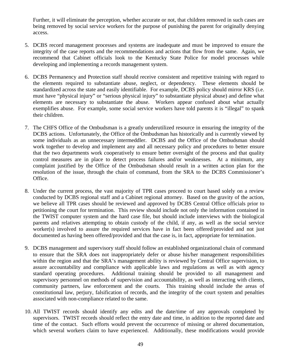Further, it will eliminate the perception, whether accurate or not, that children removed in such cases are being removed by social service workers for the purpose of punishing the parent for originally denying access.

- 5. DCBS record management processes and systems are inadequate and must be improved to ensure the integrity of the case reports and the recommendations and actions that flow from the same. Again, we recommend that Cabinet officials look to the Kentucky State Police for model processes while developing and implementing a records management system.
- 6. DCBS Permanency and Protection staff should receive consistent and repetitive training with regard to the elements required to substantiate abuse, neglect, or dependency. These elements should be standardized across the state and easily identifiable. For example, DCBS policy should mirror KRS (i.e. must have "physical injury" or "serious physical injury" to substantiate physical abuse) and define what elements are necessary to substantiate the abuse. Workers appear confused about what actually exemplifies abuse. For example, some social service workers have told parents it is "illegal" to spank their children.
- 7. The CHFS Office of the Ombudsman is a greatly underutilized resource in ensuring the integrity of the DCBS actions. Unfortunately, the Office of the Ombudsman has historically and is currently viewed by some individuals as an unnecessary intermeddler. DCBS and the Office of the Ombudsman should work together to develop and implement any and all necessary policy and procedures to better ensure that the two departments work cooperatively to ensure better oversight of the process and that quality control measures are in place to detect process failures and/or weaknesses. At a minimum, any complaint justified by the Office of the Ombudsman should result in a written action plan for the resolution of the issue, through the chain of command, from the SRA to the DCBS Commissioner's Office.
- 8. Under the current process, the vast majority of TPR cases proceed to court based solely on a review conducted by DCBS regional staff and a Cabinet regional attorney. Based on the gravity of the action, we believe all TPR cases should be reviewed and approved by DCBS Central Office officials prior to petitioning the court for termination. This review should include not only the information contained in the TWIST computer system and the hard case file, but should include interviews with the biological parents and relatives attempting to obtain custody of the child, if any, as well as the social service worker(s) involved to assure the required services have in fact been offered/provided and not just documented as having been offered/provided and that the case is, in fact, appropriate for termination.
- 9. DCBS management and supervisory staff should follow an established organizational chain of command to ensure that the SRA does not inappropriately defer or abuse his/her management responsibilities within the region and that the SRA's management ability is reviewed by Central Office supervision, to assure accountability and compliance with applicable laws and regulations as well as with agency standard operating procedures. Additional training should be provided to all management and supervisory personnel on methods of supervision and accountability, as well as interacting with clients, community partners, law enforcement and the courts. This training should include the areas of constitutional law, perjury, falsification of records, and the integrity of the court system and penalties associated with non-compliance related to the same.
- 10. All TWIST records should identify any edits and the date/time of any approvals completed by supervisors. TWIST records should reflect the entry date and time, in addition to the reported date and time of the contact. Such efforts would prevent the occurrence of missing or altered documentation, which several workers claim to have experienced. Additionally, these modifications would provide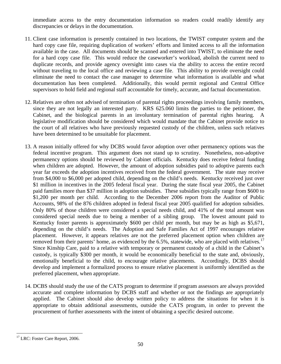<span id="page-52-0"></span>immediate access to the entry documentation information so readers could readily identify any discrepancies or delays in the documentation.

- 11. Client case information is presently contained in two locations, the TWIST computer system and the hard copy case file, requiring duplication of workers' efforts and limited access to all the information available in the case. All documents should be scanned and entered into TWIST, to eliminate the need for a hard copy case file. This would reduce the caseworker's workload, abolish the current need to duplicate records, and provide agency oversight into cases via the ability to access the entire record without traveling to the local office and reviewing a case file. This ability to provide oversight could eliminate the need to contact the case manager to determine what information is available and what documentation has been completed. Additionally, this would permit regional and Central Office supervisors to hold field and regional staff accountable for timely, accurate, and factual documentation.
- 12. Relatives are often not advised of termination of parental rights proceedings involving family members, since they are not legally an interested party. KRS 625.060 limits the parties to the petitioner, the Cabinet, and the biological parents in an involuntary termination of parental rights hearing. A legislative modification should be considered which would mandate that the Cabinet provide notice to the court of all relatives who have previously requested custody of the children, unless such relatives have been determined to be unsuitable for placement.
- 13. A reason initially offered for why DCBS would favor adoption over other permanency options was the federal incentive program. This argument does not stand up to scrutiny. Nonetheless, non-adoptive permanency options should be reviewed by Cabinet officials. Kentucky does receive federal funding when children are adopted. However, the amount of adoption subsidies paid to adoptive parents each year far exceeds the adoption incentives received from the federal government. The state may receive from \$4,000 to \$6,000 per adopted child, depending on the child's needs. Kentucky received just over \$1 million in incentives in the 2005 federal fiscal year. During the state fiscal year 2005, the Cabinet paid families more than \$37 million in adoption subsidies. These subsidies typically range from \$600 to \$1,200 per month per child. According to the December 2006 report from the Auditor of Public Accounts, 98% of the 876 children adopted in federal fiscal year 2005 qualified for adoption subsidies. Only 80% of those children were considered a special needs child, and 41% of the total amount was considered special needs due to being a member of a sibling group. The lowest amount paid to Kentucky foster parents is approximately \$600 per child per month, but may be as high as \$5,671, depending on the child's needs. The Adoption and Safe Families Act of 1997 encourages relative placement. However, it appears relatives are not the preferred placement option when children are removed from their parents' home, as evidenced by the 6.5%, statewide, who are placed with relatives.<sup>[17](#page-52-0)</sup> Since Kinship Care, paid to a relative with temporary or permanent custody of a child in the Cabinet's custody, is typically \$300 per month, it would be economically beneficial to the state and, obviously, emotionally beneficial to the child, to encourage relative placements. Accordingly, DCBS should develop and implement a formalized process to ensure relative placement is uniformly identified as the preferred placement, when appropriate.
- 14. DCBS should study the use of the CATS program to determine if program assessors are always provided accurate and complete information by DCBS staff and whether or not the findings are appropriately applied. The Cabinet should also develop written policy to address the situations for when it is appropriate to obtain additional assessments, outside the CATS program, in order to prevent the procurement of further assessments with the intent of obtaining a specific desired outcome.

 $\overline{a}$ <sup>17</sup> LRC: Foster Care Report, 2006.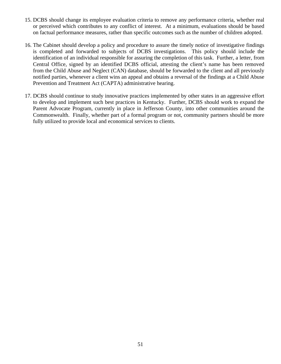- 15. DCBS should change its employee evaluation criteria to remove any performance criteria, whether real or perceived which contributes to any conflict of interest. At a minimum, evaluations should be based on factual performance measures, rather than specific outcomes such as the number of children adopted.
- 16. The Cabinet should develop a policy and procedure to assure the timely notice of investigative findings is completed and forwarded to subjects of DCBS investigations. This policy should include the identification of an individual responsible for assuring the completion of this task. Further, a letter, from Central Office, signed by an identified DCBS official, attesting the client's name has been removed from the Child Abuse and Neglect (CAN) database, should be forwarded to the client and all previously notified parties, whenever a client wins an appeal and obtains a reversal of the findings at a Child Abuse Prevention and Treatment Act (CAPTA) administrative hearing.
- 17. DCBS should continue to study innovative practices implemented by other states in an aggressive effort to develop and implement such best practices in Kentucky. Further, DCBS should work to expand the Parent Advocate Program, currently in place in Jefferson County, into other communities around the Commonwealth. Finally, whether part of a formal program or not, community partners should be more fully utilized to provide local and economical services to clients.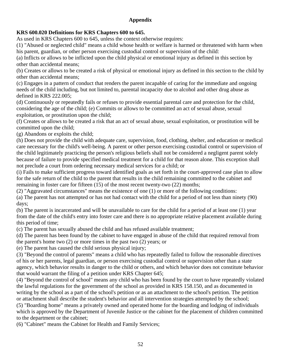# **Appendix**

# **KRS 600.020 Definitions for KRS Chapters 600 to 645.**

As used in KRS Chapters 600 to 645, unless the context otherwise requires:

(1) "Abused or neglected child" means a child whose health or welfare is harmed or threatened with harm when his parent, guardian, or other person exercising custodial control or supervision of the child:

(a) Inflicts or allows to be inflicted upon the child physical or emotional injury as defined in this section by other than accidental means;

(b) Creates or allows to be created a risk of physical or emotional injury as defined in this section to the child by other than accidental means;

(c) Engages in a pattern of conduct that renders the parent incapable of caring for the immediate and ongoing needs of the child including, but not limited to, parental incapacity due to alcohol and other drug abuse as defined in KRS 222.005;

(d) Continuously or repeatedly fails or refuses to provide essential parental care and protection for the child, considering the age of the child; (e) Commits or allows to be committed an act of sexual abuse, sexual exploitation, or prostitution upon the child;

(f) Creates or allows to be created a risk that an act of sexual abuse, sexual exploitation, or prostitution will be committed upon the child;

(g) Abandons or exploits the child;

(h) Does not provide the child with adequate care, supervision, food, clothing, shelter, and education or medical care necessary for the child's well-being. A parent or other person exercising custodial control or supervision of the child legitimately practicing the person's religious beliefs shall not be considered a negligent parent solely because of failure to provide specified medical treatment for a child for that reason alone. This exception shall not preclude a court from ordering necessary medical services for a child; or

(i) Fails to make sufficient progress toward identified goals as set forth in the court-approved case plan to allow for the safe return of the child to the parent that results in the child remaining committed to the cabinet and remaining in foster care for fifteen (15) of the most recent twenty-two (22) months;

(2) "Aggravated circumstances" means the existence of one (1) or more of the following conditions:

(a) The parent has not attempted or has not had contact with the child for a period of not less than ninety (90) days;

(b) The parent is incarcerated and will be unavailable to care for the child for a period of at least one (1) year from the date of the child's entry into foster care and there is no appropriate relative placement available during this period of time;

(c) The parent has sexually abused the child and has refused available treatment;

(d) The parent has been found by the cabinet to have engaged in abuse of the child that required removal from the parent's home two (2) or more times in the past two (2) years; or

(e) The parent has caused the child serious physical injury;

(3) "Beyond the control of parents" means a child who has repeatedly failed to follow the reasonable directives of his or her parents, legal guardian, or person exercising custodial control or supervision other than a state agency, which behavior results in danger to the child or others, and which behavior does not constitute behavior that would warrant the filing of a petition under KRS Chapter 645;

(4) "Beyond the control of school" means any child who has been found by the court to have repeatedly violated the lawful regulations for the government of the school as provided in KRS 158.150, and as documented in writing by the school as a part of the school's petition or as an attachment to the school's petition. The petition or attachment shall describe the student's behavior and all intervention strategies attempted by the school;

(5) "Boarding home" means a privately owned and operated home for the boarding and lodging of individuals which is approved by the Department of Juvenile Justice or the cabinet for the placement of children committed to the department or the cabinet;

(6) "Cabinet" means the Cabinet for Health and Family Services;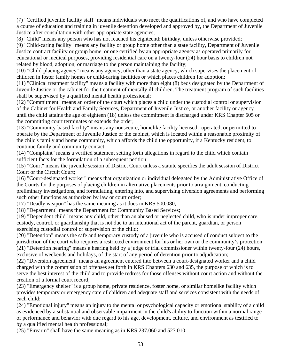(7) "Certified juvenile facility staff" means individuals who meet the qualifications of, and who have completed a course of education and training in juvenile detention developed and approved by, the Department of Juvenile Justice after consultation with other appropriate state agencies;

(8) "Child" means any person who has not reached his eighteenth birthday, unless otherwise provided;

(9) "Child-caring facility" means any facility or group home other than a state facility, Department of Juvenile Justice contract facility or group home, or one certified by an appropriate agency as operated primarily for educational or medical purposes, providing residential care on a twenty-four (24) hour basis to children not related by blood, adoption, or marriage to the person maintaining the facility;

(10) "Child-placing agency" means any agency, other than a state agency, which supervises the placement of children in foster family homes or child-caring facilities or which places children for adoption;

(11) "Clinical treatment facility" means a facility with more than eight (8) beds designated by the Department of Juvenile Justice or the cabinet for the treatment of mentally ill children. The treatment program of such facilities shall be supervised by a qualified mental health professional;

(12) "Commitment" means an order of the court which places a child under the custodial control or supervision of the Cabinet for Health and Family Services, Department of Juvenile Justice, or another facility or agency until the child attains the age of eighteen (18) unless the commitment is discharged under KRS Chapter 605 or the committing court terminates or extends the order;

(13) "Community-based facility" means any nonsecure, homelike facility licensed, operated, or permitted to operate by the Department of Juvenile Justice or the cabinet, which is located within a reasonable proximity of the child's family and home community, which affords the child the opportunity, if a Kentucky resident, to continue family and community contact;

(14) "Complaint" means a verified statement setting forth allegations in regard to the child which contain sufficient facts for the formulation of a subsequent petition;

(15) "Court" means the juvenile session of District Court unless a statute specifies the adult session of District Court or the Circuit Court;

(16) "Court-designated worker" means that organization or individual delegated by the Administrative Office of the Courts for the purposes of placing children in alternative placements prior to arraignment, conducting preliminary investigations, and formulating, entering into, and supervising diversion agreements and performing such other functions as authorized by law or court order;

(17) "Deadly weapon" has the same meaning as it does in KRS 500.080;

(18) "Department" means the Department for Community Based Services;

(19) "Dependent child" means any child, other than an abused or neglected child, who is under improper care, custody, control, or guardianship that is not due to an intentional act of the parent, guardian, or person exercising custodial control or supervision of the child;

(20) "Detention" means the safe and temporary custody of a juvenile who is accused of conduct subject to the jurisdiction of the court who requires a restricted environment for his or her own or the community's protection; (21) "Detention hearing" means a hearing held by a judge or trial commissioner within twenty-four (24) hours, exclusive of weekends and holidays, of the start of any period of detention prior to adjudication;

(22) "Diversion agreement" means an agreement entered into between a court-designated worker and a child charged with the commission of offenses set forth in KRS Chapters 630 and 635, the purpose of which is to serve the best interest of the child and to provide redress for those offenses without court action and without the creation of a formal court record;

(23) "Emergency shelter" is a group home, private residence, foster home, or similar homelike facility which provides temporary or emergency care of children and adequate staff and services consistent with the needs of each child;

(24) "Emotional injury" means an injury to the mental or psychological capacity or emotional stability of a child as evidenced by a substantial and observable impairment in the child's ability to function within a normal range of performance and behavior with due regard to his age, development, culture, and environment as testified to by a qualified mental health professional;

(25) "Firearm" shall have the same meaning as in KRS 237.060 and 527.010;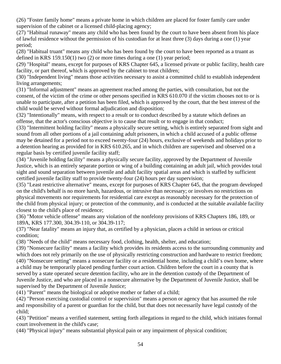(26) "Foster family home" means a private home in which children are placed for foster family care under supervision of the cabinet or a licensed child-placing agency;

(27) "Habitual runaway" means any child who has been found by the court to have been absent from his place of lawful residence without the permission of his custodian for at least three (3) days during a one (1) year period;

(28) "Habitual truant" means any child who has been found by the court to have been reported as a truant as defined in KRS 159.150(1) two (2) or more times during a one (1) year period;

(29) "Hospital" means, except for purposes of KRS Chapter 645, a licensed private or public facility, health care facility, or part thereof, which is approved by the cabinet to treat children;

(30) "Independent living" means those activities necessary to assist a committed child to establish independent living arrangements;

(31) "Informal adjustment" means an agreement reached among the parties, with consultation, but not the consent, of the victim of the crime or other persons specified in KRS 610.070 if the victim chooses not to or is unable to participate, after a petition has been filed, which is approved by the court, that the best interest of the child would be served without formal adjudication and disposition;

(32) "Intentionally" means, with respect to a result or to conduct described by a statute which defines an offense, that the actor's conscious objective is to cause that result or to engage in that conduct;

(33) "Intermittent holding facility" means a physically secure setting, which is entirely separated from sight and sound from all other portions of a jail containing adult prisoners, in which a child accused of a public offense may be detained for a period not to exceed twenty-four (24) hours, exclusive of weekends and holidays prior to a detention hearing as provided for in KRS 610.265, and in which children are supervised and observed on a regular basis by certified juvenile facility staff;

(34) "Juvenile holding facility" means a physically secure facility, approved by the Department of Juvenile Justice, which is an entirely separate portion or wing of a building containing an adult jail, which provides total sight and sound separation between juvenile and adult facility spatial areas and which is staffed by sufficient certified juvenile facility staff to provide twenty-four (24) hours per day supervision;

(35) "Least restrictive alternative" means, except for purposes of KRS Chapter 645, that the program developed on the child's behalf is no more harsh, hazardous, or intrusive than necessary; or involves no restrictions on physical movements nor requirements for residential care except as reasonably necessary for the protection of the child from physical injury; or protection of the community, and is conducted at the suitable available facility closest to the child's place of residence;

(36) "Motor vehicle offense" means any violation of the nonfelony provisions of KRS Chapters 186, 189, or 189A, KRS 177.300, 304.39-110, or 304.39-117;

(37) "Near fatality" means an injury that, as certified by a physician, places a child in serious or critical condition;

(38) "Needs of the child" means necessary food, clothing, health, shelter, and education;

(39) "Nonsecure facility" means a facility which provides its residents access to the surrounding community and which does not rely primarily on the use of physically restricting construction and hardware to restrict freedom; (40) "Nonsecure setting" means a nonsecure facility or a residential home, including a child's own home, where a child may be temporarily placed pending further court action. Children before the court in a county that is served by a state operated secure detention facility, who are in the detention custody of the Department of Juvenile Justice, and who are placed in a nonsecure alternative by the Department of Juvenile Justice, shall be supervised by the Department of Juvenile Justice;

(41) "Parent" means the biological or adoptive mother or father of a child;

(42) "Person exercising custodial control or supervision" means a person or agency that has assumed the role and responsibility of a parent or guardian for the child, but that does not necessarily have legal custody of the child;

(43) "Petition" means a verified statement, setting forth allegations in regard to the child, which initiates formal court involvement in the child's case;

(44) "Physical injury" means substantial physical pain or any impairment of physical condition;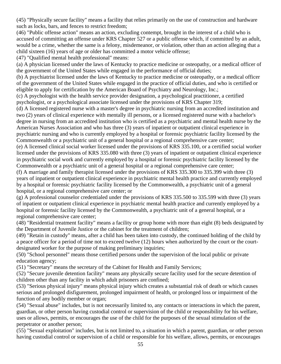(45) "Physically secure facility" means a facility that relies primarily on the use of construction and hardware such as locks, bars, and fences to restrict freedom;

(46) "Public offense action" means an action, excluding contempt, brought in the interest of a child who is accused of committing an offense under KRS Chapter 527 or a public offense which, if committed by an adult, would be a crime, whether the same is a felony, misdemeanor, or violation, other than an action alleging that a child sixteen (16) years of age or older has committed a motor vehicle offense;

(47) "Qualified mental health professional" means:

(a) A physician licensed under the laws of Kentucky to practice medicine or osteopathy, or a medical officer of the government of the United States while engaged in the performance of official duties;

(b) A psychiatrist licensed under the laws of Kentucky to practice medicine or osteopathy, or a medical officer of the government of the United States while engaged in the practice of official duties, and who is certified or eligible to apply for certification by the American Board of Psychiatry and Neurology, Inc.;

(c) A psychologist with the health service provider designation, a psychological practitioner, a certified psychologist, or a psychological associate licensed under the provisions of KRS Chapter 319;

(d) A licensed registered nurse with a master's degree in psychiatric nursing from an accredited institution and two (2) years of clinical experience with mentally ill persons, or a licensed registered nurse with a bachelor's degree in nursing from an accredited institution who is certified as a psychiatric and mental health nurse by the American Nurses Association and who has three (3) years of inpatient or outpatient clinical experience in psychiatric nursing and who is currently employed by a hospital or forensic psychiatric facility licensed by the Commonwealth or a psychiatric unit of a general hospital or a regional comprehensive care center;

(e) A licensed clinical social worker licensed under the provisions of KRS 335.100, or a certified social worker licensed under the provisions of KRS 335.080 with three (3) years of inpatient or outpatient clinical experience in psychiatric social work and currently employed by a hospital or forensic psychiatric facility licensed by the Commonwealth or a psychiatric unit of a general hospital or a regional comprehensive care center;

(f) A marriage and family therapist licensed under the provisions of KRS 335.300 to 335.399 with three (3) years of inpatient or outpatient clinical experience in psychiatric mental health practice and currently employed by a hospital or forensic psychiatric facility licensed by the Commonwealth, a psychiatric unit of a general hospital, or a regional comprehensive care center; or

(g) A professional counselor credentialed under the provisions of KRS 335.500 to 335.599 with three (3) years of inpatient or outpatient clinical experience in psychiatric mental health practice and currently employed by a hospital or forensic facility licensed by the Commonwealth, a psychiatric unit of a general hospital, or a regional comprehensive care center;

(48) "Residential treatment facility" means a facility or group home with more than eight (8) beds designated by the Department of Juvenile Justice or the cabinet for the treatment of children;

(49) "Retain in custody" means, after a child has been taken into custody, the continued holding of the child by a peace officer for a period of time not to exceed twelve (12) hours when authorized by the court or the courtdesignated worker for the purpose of making preliminary inquiries;

(50) "School personnel" means those certified persons under the supervision of the local public or private education agency;

(51) "Secretary" means the secretary of the Cabinet for Health and Family Services;

(52) "Secure juvenile detention facility" means any physically secure facility used for the secure detention of children other than any facility in which adult prisoners are confined;

(53) "Serious physical injury" means physical injury which creates a substantial risk of death or which causes serious and prolonged disfigurement, prolonged impairment of health, or prolonged loss or impairment of the function of any bodily member or organ;

(54) "Sexual abuse" includes, but is not necessarily limited to, any contacts or interactions in which the parent, guardian, or other person having custodial control or supervision of the child or responsibility for his welfare, uses or allows, permits, or encourages the use of the child for the purposes of the sexual stimulation of the perpetrator or another person;

(55) "Sexual exploitation" includes, but is not limited to, a situation in which a parent, guardian, or other person having custodial control or supervision of a child or responsible for his welfare, allows, permits, or encourages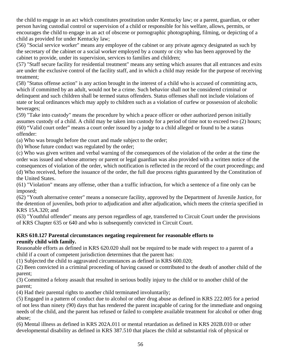the child to engage in an act which constitutes prostitution under Kentucky law; or a parent, guardian, or other person having custodial control or supervision of a child or responsible for his welfare, allows, permits, or encourages the child to engage in an act of obscene or pornographic photographing, filming, or depicting of a child as provided for under Kentucky law;

(56) "Social service worker" means any employee of the cabinet or any private agency designated as such by the secretary of the cabinet or a social worker employed by a county or city who has been approved by the cabinet to provide, under its supervision, services to families and children;

(57) "Staff secure facility for residential treatment" means any setting which assures that all entrances and exits are under the exclusive control of the facility staff, and in which a child may reside for the purpose of receiving treatment;

(58) "Status offense action" is any action brought in the interest of a child who is accused of committing acts, which if committed by an adult, would not be a crime. Such behavior shall not be considered criminal or delinquent and such children shall be termed status offenders. Status offenses shall not include violations of state or local ordinances which may apply to children such as a violation of curfew or possession of alcoholic beverages;

(59) "Take into custody" means the procedure by which a peace officer or other authorized person initially assumes custody of a child. A child may be taken into custody for a period of time not to exceed two (2) hours; (60) "Valid court order" means a court order issued by a judge to a child alleged or found to be a status offender:

(a) Who was brought before the court and made subject to the order;

(b) Whose future conduct was regulated by the order;

(c) Who was given written and verbal warning of the consequences of the violation of the order at the time the order was issued and whose attorney or parent or legal guardian was also provided with a written notice of the consequences of violation of the order, which notification is reflected in the record of the court proceedings; and (d) Who received, before the issuance of the order, the full due process rights guaranteed by the Constitution of the United States.

(61) "Violation" means any offense, other than a traffic infraction, for which a sentence of a fine only can be imposed;

(62) "Youth alternative center" means a nonsecure facility, approved by the Department of Juvenile Justice, for the detention of juveniles, both prior to adjudication and after adjudication, which meets the criteria specified in KRS 15A.320; and

(63) "Youthful offender" means any person regardless of age, transferred to Circuit Court under the provisions of KRS Chapter 635 or 640 and who is subsequently convicted in Circuit Court.

# **KRS 610.127 Parental circumstances negating requirement for reasonable efforts to reunify child with family.**

Reasonable efforts as defined in KRS 620.020 shall not be required to be made with respect to a parent of a child if a court of competent jurisdiction determines that the parent has:

(1) Subjected the child to aggravated circumstances as defined in KRS 600.020;

(2) Been convicted in a criminal proceeding of having caused or contributed to the death of another child of the parent;

(3) Committed a felony assault that resulted in serious bodily injury to the child or to another child of the parent;

(4) Had their parental rights to another child terminated involuntarily;

(5) Engaged in a pattern of conduct due to alcohol or other drug abuse as defined in KRS 222.005 for a period of not less than ninety (90) days that has rendered the parent incapable of caring for the immediate and ongoing needs of the child, and the parent has refused or failed to complete available treatment for alcohol or other drug abuse;

(6) Mental illness as defined in KRS 202A.011 or mental retardation as defined in KRS 202B.010 or other developmental disability as defined in KRS 387.510 that places the child at substantial risk of physical or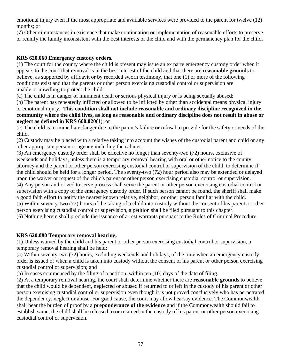emotional injury even if the most appropriate and available services were provided to the parent for twelve (12) months; or

(7) Other circumstances in existence that make continuation or implementation of reasonable efforts to preserve or reunify the family inconsistent with the best interests of the child and with the permanency plan for the child.

# **KRS 620.060 Emergency custody orders.**

(1) The court for the county where the child is present may issue an ex parte emergency custody order when it appears to the court that removal is in the best interest of the child and that there are **reasonable grounds** to believe, as supported by affidavit or by recorded sworn testimony, that one (1) or more of the following conditions exist and that the parents or other person exercising custodial control or supervision are unable or unwilling to protect the child:

(a) The child is in danger of imminent death or serious physical injury or is being sexually abused;

(b) The parent has repeatedly inflicted or allowed to be inflicted by other than accidental means physical injury or emotional injury. **This condition shall not include reasonable and ordinary discipline recognized in the community where the child lives, as long as reasonable and ordinary discipline does not result in abuse or neglect as defined in KRS 600.020(1**); or

(c) The child is in immediate danger due to the parent's failure or refusal to provide for the safety or needs of the child.

(2) Custody may be placed with a relative taking into account the wishes of the custodial parent and child or any other appropriate person or agency including the cabinet.

(3) An emergency custody order shall be effective no longer than seventy-two (72) hours, exclusive of weekends and holidays, unless there is a temporary removal hearing with oral or other notice to the county attorney and the parent or other person exercising custodial control or supervision of the child, to determine if the child should be held for a longer period. The seventy-two (72) hour period also may be extended or delayed upon the waiver or request of the child's parent or other person exercising custodial control or supervision. (4) Any person authorized to serve process shall serve the parent or other person exercising custodial control or supervision with a copy of the emergency custody order. If such person cannot be found, the sheriff shall make a good faith effort to notify the nearest known relative, neighbor, or other person familiar with the child. (5) Within seventy-two (72) hours of the taking of a child into custody without the consent of his parent or other person exercising custodial control or supervision, a petition shall be filed pursuant to this chapter.

(6) Nothing herein shall preclude the issuance of arrest warrants pursuant to the Rules of Criminal Procedure.

# **KRS 620.080 Temporary removal hearing.**

(1) Unless waived by the child and his parent or other person exercising custodial control or supervision, a temporary removal hearing shall be held:

(a) Within seventy-two (72) hours, excluding weekends and holidays, of the time when an emergency custody order is issued or when a child is taken into custody without the consent of his parent or other person exercising custodial control or supervision; and

(b) In cases commenced by the filing of a petition, within ten (10) days of the date of filing.

(2) At a temporary removal hearing, the court shall determine whether there are **reasonable grounds** to believe that the child would be dependent, neglected or abused if returned to or left in the custody of his parent or other person exercising custodial control or supervision even though it is not proved conclusively who has perpetrated the dependency, neglect or abuse. For good cause, the court may allow hearsay evidence. The Commonwealth shall bear the burden of proof by a **preponderance of the evidence** and if the Commonwealth should fail to establish same, the child shall be released to or retained in the custody of his parent or other person exercising custodial control or supervision.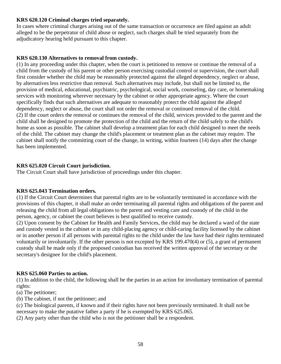#### **KRS 620.120 Criminal charges tried separately.**

In cases where criminal charges arising out of the same transaction or occurrence are filed against an adult alleged to be the perpetrator of child abuse or neglect, such charges shall be tried separately from the adjudicatory hearing held pursuant to this chapter.

### **KRS 620.130 Alternatives to removal from custody.**

(1) In any proceeding under this chapter, when the court is petitioned to remove or continue the removal of a child from the custody of his parent or other person exercising custodial control or supervision, the court shall first consider whether the child may be reasonably protected against the alleged dependency, neglect or abuse, by alternatives less restrictive than removal. Such alternatives may include, but shall not be limited to, the provision of medical, educational, psychiatric, psychological, social work, counseling, day care, or homemaking services with monitoring wherever necessary by the cabinet or other appropriate agency. Where the court specifically finds that such alternatives are adequate to reasonably protect the child against the alleged dependency, neglect or abuse, the court shall not order the removal or continued removal of the child. (2) If the court orders the removal or continues the removal of the child, services provided to the parent and the child shall be designed to promote the protection of the child and the return of the child safely to the child's home as soon as possible. The cabinet shall develop a treatment plan for each child designed to meet the needs of the child. The cabinet may change the child's placement or treatment plan as the cabinet may require. The cabinet shall notify the committing court of the change, in writing, within fourteen (14) days after the change has been implemented.

#### **KRS 625.020 Circuit Court jurisdiction.**

The Circuit Court shall have jurisdiction of proceedings under this chapter.

#### **KRS 625.043 Termination orders.**

(1) If the Circuit Court determines that parental rights are to be voluntarily terminated in accordance with the provisions of this chapter, it shall make an order terminating all parental rights and obligations of the parent and releasing the child from all legal obligations to the parent and vesting care and custody of the child in the person, agency, or cabinet the court believes is best qualified to receive custody.

(2) Upon consent by the Cabinet for Health and Family Services, the child may be declared a ward of the state and custody vested in the cabinet or in any child-placing agency or child-caring facility licensed by the cabinet or in another person if all persons with parental rights to the child under the law have had their rights terminated voluntarily or involuntarily. If the other person is not excepted by KRS 199.470(4) or (5), a grant of permanent custody shall be made only if the proposed custodian has received the written approval of the secretary or the secretary's designee for the child's placement.

#### **KRS 625.060 Parties to action.**

(1) In addition to the child, the following shall be the parties in an action for involuntary termination of parental rights:

- (a) The petitioner;
- (b) The cabinet, if not the petitioner; and

(c) The biological parents, if known and if their rights have not been previously terminated. It shall not be necessary to make the putative father a party if he is exempted by KRS 625.065.

(2) Any party other than the child who is not the petitioner shall be a respondent.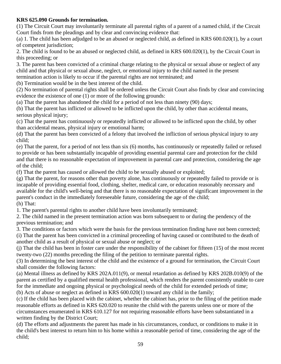# **KRS 625.090 Grounds for termination.**

(1) The Circuit Court may involuntarily terminate all parental rights of a parent of a named child, if the Circuit Court finds from the pleadings and by clear and convincing evidence that:

(a) 1. The child has been adjudged to be an abused or neglected child, as defined in KRS 600.020(1), by a court of competent jurisdiction;

2. The child is found to be an abused or neglected child, as defined in KRS 600.020(1), by the Circuit Court in this proceeding; or

3. The parent has been convicted of a criminal charge relating to the physical or sexual abuse or neglect of any child and that physical or sexual abuse, neglect, or emotional injury to the child named in the present termination action is likely to occur if the parental rights are not terminated; and

(b) Termination would be in the best interest of the child.

(2) No termination of parental rights shall be ordered unless the Circuit Court also finds by clear and convincing evidence the existence of one (1) or more of the following grounds:

(a) That the parent has abandoned the child for a period of not less than ninety (90) days;

(b) That the parent has inflicted or allowed to be inflicted upon the child, by other than accidental means, serious physical injury;

(c) That the parent has continuously or repeatedly inflicted or allowed to be inflicted upon the child, by other than accidental means, physical injury or emotional harm;

(d) That the parent has been convicted of a felony that involved the infliction of serious physical injury to any child;

(e) That the parent, for a period of not less than six (6) months, has continuously or repeatedly failed or refused to provide or has been substantially incapable of providing essential parental care and protection for the child and that there is no reasonable expectation of improvement in parental care and protection, considering the age of the child;

(f) That the parent has caused or allowed the child to be sexually abused or exploited;

(g) That the parent, for reasons other than poverty alone, has continuously or repeatedly failed to provide or is incapable of providing essential food, clothing, shelter, medical care, or education reasonably necessary and available for the child's well-being and that there is no reasonable expectation of significant improvement in the parent's conduct in the immediately foreseeable future, considering the age of the child; (h) That:

1. The parent's parental rights to another child have been involuntarily terminated;

2. The child named in the present termination action was born subsequent to or during the pendency of the previous termination; and

3. The conditions or factors which were the basis for the previous termination finding have not been corrected; (i) That the parent has been convicted in a criminal proceeding of having caused or contributed to the death of

another child as a result of physical or sexual abuse or neglect; or

(j) That the child has been in foster care under the responsibility of the cabinet for fifteen (15) of the most recent twenty-two (22) months preceding the filing of the petition to terminate parental rights.

(3) In determining the best interest of the child and the existence of a ground for termination, the Circuit Court shall consider the following factors:

(a) Mental illness as defined by KRS 202A.011(9), or mental retardation as defined by KRS 202B.010(9) of the parent as certified by a qualified mental health professional, which renders the parent consistently unable to care for the immediate and ongoing physical or psychological needs of the child for extended periods of time;

(b) Acts of abuse or neglect as defined in KRS 600.020(1) toward any child in the family;

(c) If the child has been placed with the cabinet, whether the cabinet has, prior to the filing of the petition made reasonable efforts as defined in KRS 620.020 to reunite the child with the parents unless one or more of the circumstances enumerated in KRS 610.127 for not requiring reasonable efforts have been substantiated in a written finding by the District Court;

(d) The efforts and adjustments the parent has made in his circumstances, conduct, or conditions to make it in the child's best interest to return him to his home within a reasonable period of time, considering the age of the child;